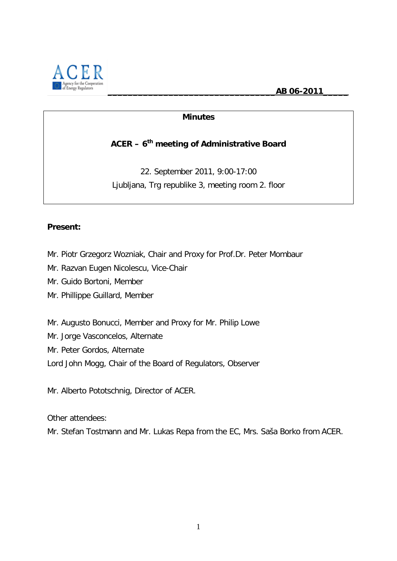**\_\_\_\_\_\_\_\_\_\_\_\_\_\_\_\_\_\_\_\_\_\_\_\_\_\_\_\_\_\_\_\_\_AB 06-2011\_\_\_\_\_**



### **Minutes**

### **ACER – 6th meeting of Administrative Board**

22. September 2011, 9:00-17:00 Ljubljana, Trg republike 3, meeting room 2. floor

#### **Present:**

Mr. Piotr Grzegorz Wozniak, Chair and Proxy for Prof.Dr. Peter Mombaur

Mr. Razvan Eugen Nicolescu, Vice-Chair

Mr. Guido Bortoni, Member

Mr. Phillippe Guillard, Member

Mr. Augusto Bonucci, Member and Proxy for Mr. Philip Lowe

Mr. Jorge Vasconcelos, Alternate

Mr. Peter Gordos, Alternate

Lord John Mogg, Chair of the Board of Regulators, Observer

Mr. Alberto Pototschnig, Director of ACER.

Other attendees:

Mr. Stefan Tostmann and Mr. Lukas Repa from the EC, Mrs. Saša Borko from ACER.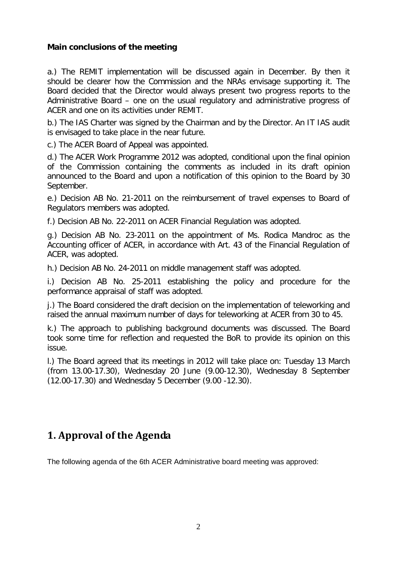#### **Main conclusions of the meeting**

a.) The REMIT implementation will be discussed again in December. By then it should be clearer how the Commission and the NRAs envisage supporting it. The Board decided that the Director would always present two progress reports to the Administrative Board – one on the usual regulatory and administrative progress of ACER and one on its activities under REMIT.

b.) The IAS Charter was signed by the Chairman and by the Director. An IT IAS audit is envisaged to take place in the near future.

c.) The ACER Board of Appeal was appointed.

d.) The ACER Work Programme 2012 was adopted, conditional upon the final opinion of the Commission containing the comments as included in its draft opinion announced to the Board and upon a notification of this opinion to the Board by 30 September.

e.) Decision AB No. 21-2011 on the reimbursement of travel expenses to Board of Regulators members was adopted.

f.) Decision AB No. 22-2011 on ACER Financial Regulation was adopted.

g.) Decision AB No. 23-2011 on the appointment of Ms. Rodica Mandroc as the Accounting officer of ACER, in accordance with Art. 43 of the Financial Regulation of ACER, was adopted.

h.) Decision AB No. 24-2011 on middle management staff was adopted.

i.) Decision AB No. 25-2011 establishing the policy and procedure for the performance appraisal of staff was adopted.

j.) The Board considered the draft decision on the implementation of teleworking and raised the annual maximum number of days for teleworking at ACER from 30 to 45.

k.) The approach to publishing background documents was discussed. The Board took some time for reflection and requested the BoR to provide its opinion on this issue.

l.) The Board agreed that its meetings in 2012 will take place on: Tuesday 13 March (from 13.00-17.30), Wednesday 20 June (9.00-12.30), Wednesday 8 September (12.00-17.30) and Wednesday 5 December (9.00 -12.30).

## **1. Approval of the Agenda**

The following agenda of the 6th ACER Administrative board meeting was approved: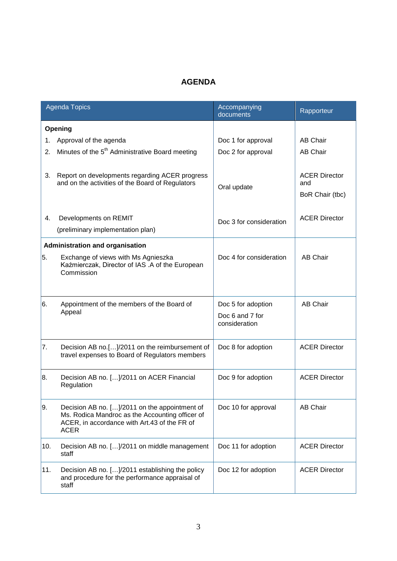### **AGENDA**

| <b>Agenda Topics</b> |                                                                                                                                                                 | Accompanying<br>documents                              | Rapporteur                                     |  |  |
|----------------------|-----------------------------------------------------------------------------------------------------------------------------------------------------------------|--------------------------------------------------------|------------------------------------------------|--|--|
|                      | Opening                                                                                                                                                         |                                                        |                                                |  |  |
| 1.                   | Approval of the agenda                                                                                                                                          | Doc 1 for approval                                     | <b>AB Chair</b>                                |  |  |
| 2.                   | Minutes of the 5 <sup>th</sup> Administrative Board meeting                                                                                                     | Doc 2 for approval                                     | <b>AB Chair</b>                                |  |  |
| 3.                   | Report on developments regarding ACER progress<br>and on the activities of the Board of Regulators                                                              | Oral update                                            | <b>ACER Director</b><br>and<br>BoR Chair (tbc) |  |  |
| 4.                   | Developments on REMIT                                                                                                                                           | Doc 3 for consideration                                | <b>ACER Director</b>                           |  |  |
|                      | (preliminary implementation plan)                                                                                                                               |                                                        |                                                |  |  |
|                      | <b>Administration and organisation</b>                                                                                                                          |                                                        |                                                |  |  |
| 5.                   | Exchange of views with Ms Agnieszka<br>Kaźmierczak, Director of IAS .A of the European<br>Commission                                                            | Doc 4 for consideration                                | <b>AB Chair</b>                                |  |  |
| 16.                  | Appointment of the members of the Board of<br>Appeal                                                                                                            | Doc 5 for adoption<br>Doc 6 and 7 for<br>consideration | <b>AB Chair</b>                                |  |  |
| 7.                   | Decision AB no.[]/2011 on the reimbursement of<br>travel expenses to Board of Regulators members                                                                | Doc 8 for adoption                                     | <b>ACER Director</b>                           |  |  |
| 8.                   | Decision AB no. []/2011 on ACER Financial<br>Regulation                                                                                                         | Doc 9 for adoption                                     | <b>ACER Director</b>                           |  |  |
| 9.                   | Decision AB no. []/2011 on the appointment of<br>Ms. Rodica Mandroc as the Accounting officer of<br>ACER, in accordance with Art.43 of the FR of<br><b>ACER</b> | Doc 10 for approval                                    | <b>AB Chair</b>                                |  |  |
| 10.                  | Decision AB no. []/2011 on middle management<br>staff                                                                                                           | Doc 11 for adoption                                    | <b>ACER Director</b>                           |  |  |
| 11.                  | Decision AB no. []/2011 establishing the policy<br>and procedure for the performance appraisal of<br>staff                                                      | Doc 12 for adoption                                    | <b>ACER Director</b>                           |  |  |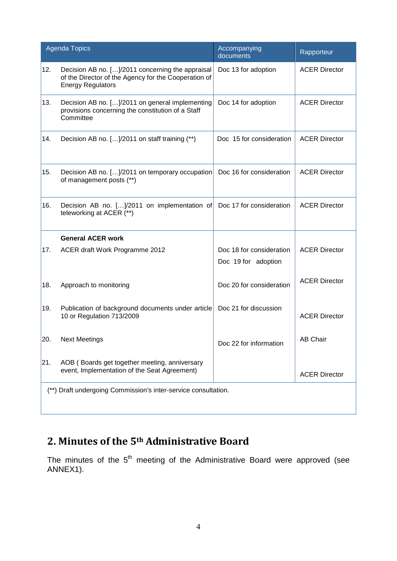| <b>Agenda Topics</b>                                           |                                                                                                                                      | Accompanying<br>documents                       | Rapporteur           |
|----------------------------------------------------------------|--------------------------------------------------------------------------------------------------------------------------------------|-------------------------------------------------|----------------------|
| 12.                                                            | Decision AB no. []/2011 concerning the appraisal<br>of the Director of the Agency for the Cooperation of<br><b>Energy Regulators</b> | Doc 13 for adoption                             | <b>ACER Director</b> |
| 13.                                                            | Decision AB no. []/2011 on general implementing<br>provisions concerning the constitution of a Staff<br>Committee                    | Doc 14 for adoption                             | <b>ACER Director</b> |
| 14.                                                            | Decision AB no. []/2011 on staff training (**)                                                                                       | Doc 15 for consideration                        | <b>ACER Director</b> |
| 15.                                                            | Decision AB no. []/2011 on temporary occupation<br>of management posts (**)                                                          | Doc 16 for consideration                        | <b>ACER Director</b> |
| 16.                                                            | Decision AB no. []/2011 on implementation of<br>teleworking at ACER (**)                                                             | Doc 17 for consideration                        | <b>ACER Director</b> |
|                                                                | <b>General ACER work</b>                                                                                                             |                                                 |                      |
| 17.                                                            | ACER draft Work Programme 2012                                                                                                       | Doc 18 for consideration<br>Doc 19 for adoption | <b>ACER Director</b> |
| 18.                                                            | Approach to monitoring                                                                                                               | Doc 20 for consideration                        | <b>ACER Director</b> |
| 19.                                                            | Publication of background documents under article<br>10 or Regulation 713/2009                                                       | Doc 21 for discussion                           | <b>ACER Director</b> |
| 20.                                                            | <b>Next Meetings</b>                                                                                                                 | Doc 22 for information                          | AB Chair             |
| 21.                                                            | AOB (Boards get together meeting, anniversary<br>event, Implementation of the Seat Agreement)                                        |                                                 | <b>ACER Director</b> |
| (**) Draft undergoing Commission's inter-service consultation. |                                                                                                                                      |                                                 |                      |

# **2. Minutes of the 5th Administrative Board**

The minutes of the  $5<sup>th</sup>$  meeting of the Administrative Board were approved (see ANNEX1).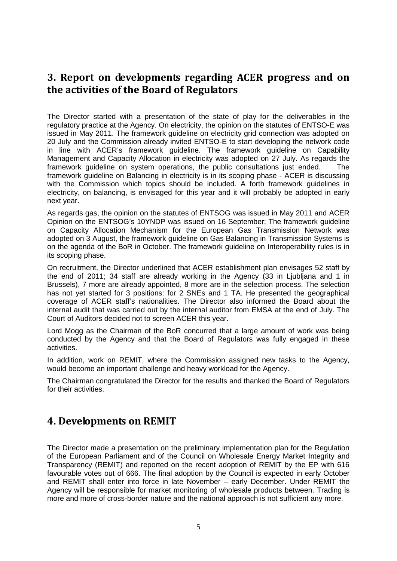### **3. Report on developments regarding ACER progress and on the activities of the Board of Regulators**

The Director started with a presentation of the state of play for the deliverables in the regulatory practice at the Agency. On electricity, the opinion on the statutes of ENTSO-E was issued in May 2011. The framework guideline on electricity grid connection was adopted on 20 July and the Commission already invited ENTSO-E to start developing the network code in line with ACER's framework guideline. The framework guideline on Capability Management and Capacity Allocation in electricity was adopted on 27 July. As regards the framework guideline on system operations, the public consultations just ended. The framework guideline on Balancing in electricity is in its scoping phase - ACER is discussing with the Commission which topics should be included. A forth framework guidelines in electricity, on balancing, is envisaged for this year and it will probably be adopted in early next year.

As regards gas, the opinion on the statutes of ENTSOG was issued in May 2011 and ACER Opinion on the ENTSOG's 10YNDP was issued on 16 September; The framework guideline on Capacity Allocation Mechanism for the European Gas Transmission Network was adopted on 3 August, the framework guideline on Gas Balancing in Transmission Systems is on the agenda of the BoR in October. The framework guideline on Interoperability rules is in its scoping phase.

On recruitment, the Director underlined that ACER establishment plan envisages 52 staff by the end of 2011; 34 staff are already working in the Agency (33 in Ljubljana and 1 in Brussels), 7 more are already appointed, 8 more are in the selection process. The selection has not yet started for 3 positions: for 2 SNEs and 1 TA. He presented the geographical coverage of ACER staff's nationalities. The Director also informed the Board about the internal audit that was carried out by the internal auditor from EMSA at the end of July. The Court of Auditors decided not to screen ACER this year.

Lord Mogg as the Chairman of the BoR concurred that a large amount of work was being conducted by the Agency and that the Board of Regulators was fully engaged in these activities.

In addition, work on REMIT, where the Commission assigned new tasks to the Agency, would become an important challenge and heavy workload for the Agency.

The Chairman congratulated the Director for the results and thanked the Board of Regulators for their activities.

### **4. Developments on REMIT**

The Director made a presentation on the preliminary implementation plan for the Regulation of the European Parliament and of the Council on Wholesale Energy Market Integrity and Transparency (REMIT) and reported on the recent adoption of REMIT by the EP with 616 favourable votes out of 666. The final adoption by the Council is expected in early October and REMIT shall enter into force in late November – early December. Under REMIT the Agency will be responsible for market monitoring of wholesale products between. Trading is more and more of cross-border nature and the national approach is not sufficient any more.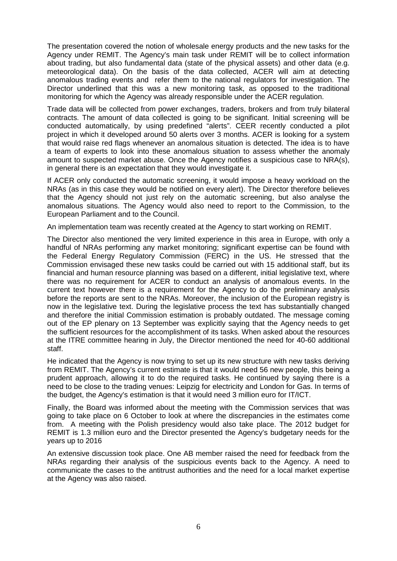The presentation covered the notion of wholesale energy products and the new tasks for the Agency under REMIT. The Agency's main task under REMIT will be to collect information about trading, but also fundamental data (state of the physical assets) and other data (e.g. meteorological data). On the basis of the data collected, ACER will aim at detecting anomalous trading events and refer them to the national regulators for investigation. The Director underlined that this was a new monitoring task, as opposed to the traditional monitoring for which the Agency was already responsible under the ACER regulation.

Trade data will be collected from power exchanges, traders, brokers and from truly bilateral contracts. The amount of data collected is going to be significant. Initial screening will be conducted automatically, by using predefined "alerts". CEER recently conducted a pilot project in which it developed around 50 alerts over 3 months. ACER is looking for a system that would raise red flags whenever an anomalous situation is detected. The idea is to have a team of experts to look into these anomalous situation to assess whether the anomaly amount to suspected market abuse. Once the Agency notifies a suspicious case to NRA(s), in general there is an expectation that they would investigate it.

If ACER only conducted the automatic screening, it would impose a heavy workload on the NRAs (as in this case they would be notified on every alert). The Director therefore believes that the Agency should not just rely on the automatic screening, but also analyse the anomalous situations. The Agency would also need to report to the Commission, to the European Parliament and to the Council.

An implementation team was recently created at the Agency to start working on REMIT.

The Director also mentioned the very limited experience in this area in Europe, with only a handful of NRAs performing any market monitoring; significant expertise can be found with the Federal Energy Regulatory Commission (FERC) in the US. He stressed that the Commission envisaged these new tasks could be carried out with 15 additional staff, but its financial and human resource planning was based on a different, initial legislative text, where there was no requirement for ACER to conduct an analysis of anomalous events. In the current text however there is a requirement for the Agency to do the preliminary analysis before the reports are sent to the NRAs. Moreover, the inclusion of the European registry is now in the legislative text. During the legislative process the text has substantially changed and therefore the initial Commission estimation is probably outdated. The message coming out of the EP plenary on 13 September was explicitly saying that the Agency needs to get the sufficient resources for the accomplishment of its tasks. When asked about the resources at the ITRE committee hearing in July, the Director mentioned the need for 40-60 additional staff.

He indicated that the Agency is now trying to set up its new structure with new tasks deriving from REMIT. The Agency's current estimate is that it would need 56 new people, this being a prudent approach, allowing it to do the required tasks. He continued by saying there is a need to be close to the trading venues: Leipzig for electricity and London for Gas. In terms of the budget, the Agency's estimation is that it would need 3 million euro for IT/ICT.

Finally, the Board was informed about the meeting with the Commission services that was going to take place on 6 October to look at where the discrepancies in the estimates come from. A meeting with the Polish presidency would also take place. The 2012 budget for REMIT is 1.3 million euro and the Director presented the Agency's budgetary needs for the years up to 2016

An extensive discussion took place. One AB member raised the need for feedback from the NRAs regarding their analysis of the suspicious events back to the Agency. A need to communicate the cases to the antitrust authorities and the need for a local market expertise at the Agency was also raised.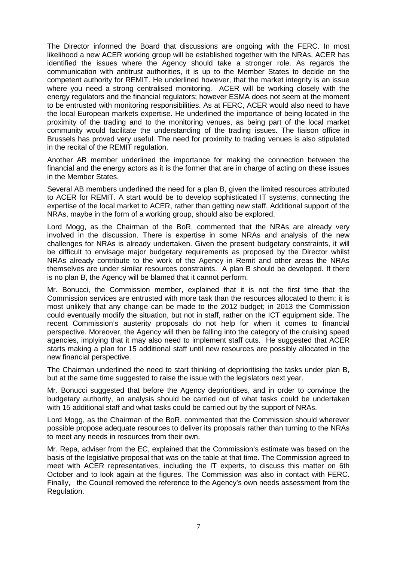The Director informed the Board that discussions are ongoing with the FERC. In most likelihood a new ACER working group will be established together with the NRAs. ACER has identified the issues where the Agency should take a stronger role. As regards the communication with antitrust authorities, it is up to the Member States to decide on the competent authority for REMIT. He underlined however, that the market integrity is an issue where you need a strong centralised monitoring. ACER will be working closely with the energy regulators and the financial regulators; however ESMA does not seem at the moment to be entrusted with monitoring responsibilities. As at FERC, ACER would also need to have the local European markets expertise. He underlined the importance of being located in the proximity of the trading and to the monitoring venues, as being part of the local market community would facilitate the understanding of the trading issues. The liaison office in Brussels has proved very useful. The need for proximity to trading venues is also stipulated in the recital of the REMIT regulation.

Another AB member underlined the importance for making the connection between the financial and the energy actors as it is the former that are in charge of acting on these issues in the Member States.

Several AB members underlined the need for a plan B, given the limited resources attributed to ACER for REMIT. A start would be to develop sophisticated IT systems, connecting the expertise of the local market to ACER, rather than getting new staff. Additional support of the NRAs, maybe in the form of a working group, should also be explored.

Lord Mogg, as the Chairman of the BoR, commented that the NRAs are already very involved in the discussion. There is expertise in some NRAs and analysis of the new challenges for NRAs is already undertaken. Given the present budgetary constraints, it will be difficult to envisage major budgetary requirements as proposed by the Director whilst NRAs already contribute to the work of the Agency in Remit and other areas the NRAs themselves are under similar resources constraints. A plan B should be developed. If there is no plan B, the Agency will be blamed that it cannot perform.

Mr. Bonucci, the Commission member, explained that it is not the first time that the Commission services are entrusted with more task than the resources allocated to them; it is most unlikely that any change can be made to the 2012 budget; in 2013 the Commission could eventually modify the situation, but not in staff, rather on the ICT equipment side. The recent Commission's austerity proposals do not help for when it comes to financial perspective. Moreover, the Agency will then be falling into the category of the cruising speed agencies, implying that it may also need to implement staff cuts. He suggested that ACER starts making a plan for 15 additional staff until new resources are possibly allocated in the new financial perspective.

The Chairman underlined the need to start thinking of deprioritising the tasks under plan B, but at the same time suggested to raise the issue with the legislators next year.

Mr. Bonucci suggested that before the Agency deprioritises, and in order to convince the budgetary authority, an analysis should be carried out of what tasks could be undertaken with 15 additional staff and what tasks could be carried out by the support of NRAs.

Lord Mogg, as the Chairman of the BoR, commented that the Commission should wherever possible propose adequate resources to deliver its proposals rather than turning to the NRAs to meet any needs in resources from their own.

Mr. Repa, adviser from the EC, explained that the Commission's estimate was based on the basis of the legislative proposal that was on the table at that time. The Commission agreed to meet with ACER representatives, including the IT experts, to discuss this matter on 6th October and to look again at the figures. The Commission was also in contact with FERC. Finally, the Council removed the reference to the Agency's own needs assessment from the Regulation.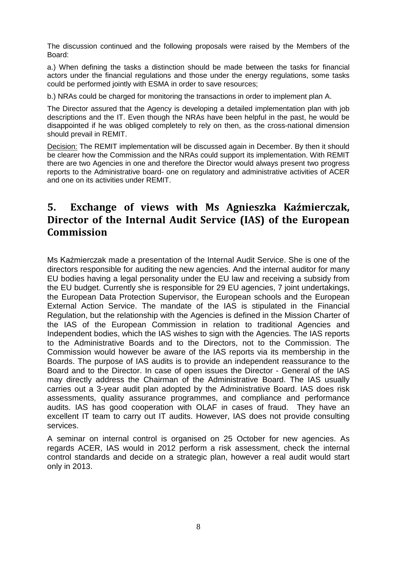The discussion continued and the following proposals were raised by the Members of the Board:

a.) When defining the tasks a distinction should be made between the tasks for financial actors under the financial regulations and those under the energy regulations, some tasks could be performed jointly with ESMA in order to save resources;

b.) NRAs could be charged for monitoring the transactions in order to implement plan A.

The Director assured that the Agency is developing a detailed implementation plan with job descriptions and the IT. Even though the NRAs have been helpful in the past, he would be disappointed if he was obliged completely to rely on then, as the cross-national dimension should prevail in REMIT.

Decision: The REMIT implementation will be discussed again in December. By then it should be clearer how the Commission and the NRAs could support its implementation. With REMIT there are two Agencies in one and therefore the Director would always present two progress reports to the Administrative board- one on regulatory and administrative activities of ACER and one on its activities under REMIT.

## **5. Exchange of views with Ms Agnieszka Kaźmierczak, Director of the Internal Audit Service (IAS) of the European Commission**

Ms Kaźmierczak made a presentation of the Internal Audit Service. She is one of the directors responsible for auditing the new agencies. And the internal auditor for many EU bodies having a legal personality under the EU law and receiving a subsidy from the EU budget. Currently she is responsible for 29 EU agencies, 7 joint undertakings, the European Data Protection Supervisor, the European schools and the European External Action Service. The mandate of the IAS is stipulated in the Financial Regulation, but the relationship with the Agencies is defined in the Mission Charter of the IAS of the European Commission in relation to traditional Agencies and Independent bodies, which the IAS wishes to sign with the Agencies. The IAS reports to the Administrative Boards and to the Directors, not to the Commission. The Commission would however be aware of the IAS reports via its membership in the Boards. The purpose of IAS audits is to provide an independent reassurance to the Board and to the Director. In case of open issues the Director - General of the IAS may directly address the Chairman of the Administrative Board. The IAS usually carries out a 3-year audit plan adopted by the Administrative Board. IAS does risk assessments, quality assurance programmes, and compliance and performance audits. IAS has good cooperation with OLAF in cases of fraud. They have an excellent IT team to carry out IT audits. However, IAS does not provide consulting services.

A seminar on internal control is organised on 25 October for new agencies. As regards ACER, IAS would in 2012 perform a risk assessment, check the internal control standards and decide on a strategic plan, however a real audit would start only in 2013.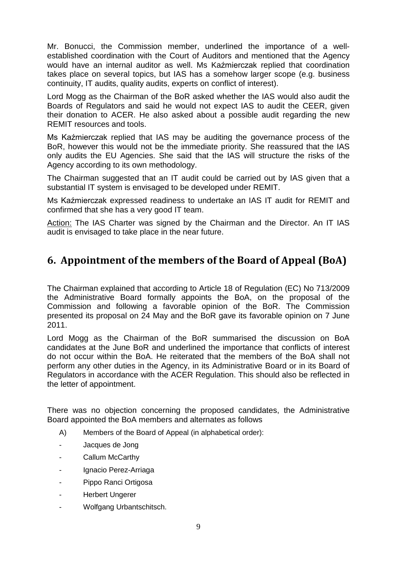Mr. Bonucci, the Commission member, underlined the importance of a wellestablished coordination with the Court of Auditors and mentioned that the Agency would have an internal auditor as well. Ms Kaźmierczak replied that coordination takes place on several topics, but IAS has a somehow larger scope (e.g. business continuity, IT audits, quality audits, experts on conflict of interest).

Lord Mogg as the Chairman of the BoR asked whether the IAS would also audit the Boards of Regulators and said he would not expect IAS to audit the CEER, given their donation to ACER. He also asked about a possible audit regarding the new REMIT resources and tools.

Ms Kaźmierczak replied that IAS may be auditing the governance process of the BoR, however this would not be the immediate priority. She reassured that the IAS only audits the EU Agencies. She said that the IAS will structure the risks of the Agency according to its own methodology.

The Chairman suggested that an IT audit could be carried out by IAS given that a substantial IT system is envisaged to be developed under REMIT.

Ms Kaźmierczak expressed readiness to undertake an IAS IT audit for REMIT and confirmed that she has a very good IT team.

Action: The IAS Charter was signed by the Chairman and the Director. An IT IAS audit is envisaged to take place in the near future.

# **6. Appointment of the members of the Board of Appeal (BoA)**

The Chairman explained that according to Article 18 of Regulation (EC) No 713/2009 the Administrative Board formally appoints the BoA, on the proposal of the Commission and following a favorable opinion of the BoR. The Commission presented its proposal on 24 May and the BoR gave its favorable opinion on 7 June 2011.

Lord Mogg as the Chairman of the BoR summarised the discussion on BoA candidates at the June BoR and underlined the importance that conflicts of interest do not occur within the BoA. He reiterated that the members of the BoA shall not perform any other duties in the Agency, in its Administrative Board or in its Board of Regulators in accordance with the ACER Regulation. This should also be reflected in the letter of appointment.

There was no objection concerning the proposed candidates, the Administrative Board appointed the BoA members and alternates as follows

- A) Members of the Board of Appeal (in alphabetical order):
- Jacques de Jong
- Callum McCarthy
- Ignacio Perez-Arriaga
- Pippo Ranci Ortigosa
- Herbert Ungerer
- Wolfgang Urbantschitsch.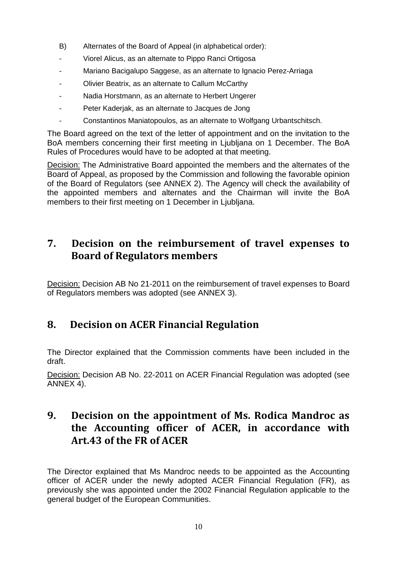- B) Alternates of the Board of Appeal (in alphabetical order):
- Viorel Alicus, as an alternate to Pippo Ranci Ortigosa
- Mariano Bacigalupo Saggese, as an alternate to Ignacio Perez-Arriaga
- Olivier Beatrix, as an alternate to Callum McCarthy
- Nadia Horstmann, as an alternate to Herbert Ungerer
- Peter Kaderjak, as an alternate to Jacques de Jong
- Constantinos Maniatopoulos, as an alternate to Wolfgang Urbantschitsch.

The Board agreed on the text of the letter of appointment and on the invitation to the BoA members concerning their first meeting in Ljubljana on 1 December. The BoA Rules of Procedures would have to be adopted at that meeting.

Decision: The Administrative Board appointed the members and the alternates of the Board of Appeal, as proposed by the Commission and following the favorable opinion of the Board of Regulators (see ANNEX 2). The Agency will check the availability of the appointed members and alternates and the Chairman will invite the BoA members to their first meeting on 1 December in Ljubljana.

## **7. Decision on the reimbursement of travel expenses to Board of Regulators members**

Decision: Decision AB No 21-2011 on the reimbursement of travel expenses to Board of Regulators members was adopted (see ANNEX 3).

## **8. Decision on ACER Financial Regulation**

The Director explained that the Commission comments have been included in the draft.

Decision: Decision AB No. 22-2011 on ACER Financial Regulation was adopted (see ANNEX 4).

## **9. Decision on the appointment of Ms. Rodica Mandroc as the Accounting officer of ACER, in accordance with Art.43 of the FR of ACER**

The Director explained that Ms Mandroc needs to be appointed as the Accounting officer of ACER under the newly adopted ACER Financial Regulation (FR), as previously she was appointed under the 2002 Financial Regulation applicable to the general budget of the European Communities.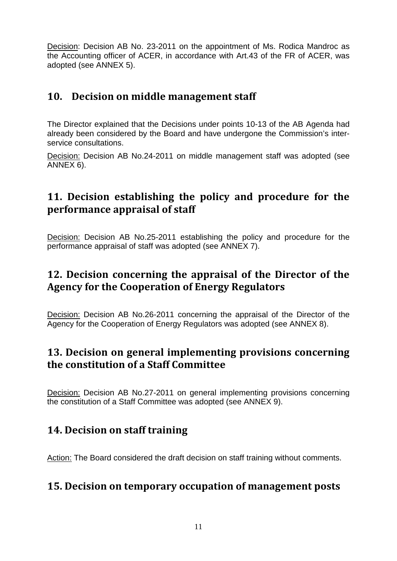Decision: Decision AB No. 23-2011 on the appointment of Ms. Rodica Mandroc as the Accounting officer of ACER, in accordance with Art.43 of the FR of ACER, was adopted (see ANNEX 5).

## **10. Decision on middle management staff**

The Director explained that the Decisions under points 10-13 of the AB Agenda had already been considered by the Board and have undergone the Commission's interservice consultations.

Decision: Decision AB No.24-2011 on middle management staff was adopted (see ANNEX 6).

# **11. Decision establishing the policy and procedure for the performance appraisal of staff**

Decision: Decision AB No.25-2011 establishing the policy and procedure for the performance appraisal of staff was adopted (see ANNEX 7).

# **12. Decision concerning the appraisal of the Director of the Agency for the Cooperation of Energy Regulators**

Decision: Decision AB No.26-2011 concerning the appraisal of the Director of the Agency for the Cooperation of Energy Regulators was adopted (see ANNEX 8).

## **13. Decision on general implementing provisions concerning the constitution of a Staff Committee**

Decision: Decision AB No.27-2011 on general implementing provisions concerning the constitution of a Staff Committee was adopted (see ANNEX 9).

## **14. Decision on staff training**

Action: The Board considered the draft decision on staff training without comments.

## **15. Decision on temporary occupation of management posts**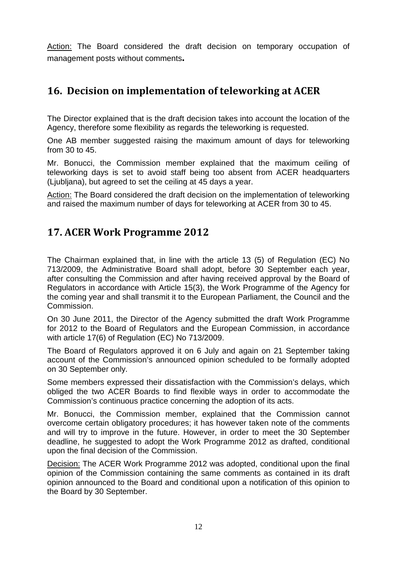Action: The Board considered the draft decision on temporary occupation of management posts without comments**.**

# **16. Decision on implementation of teleworking at ACER**

The Director explained that is the draft decision takes into account the location of the Agency, therefore some flexibility as regards the teleworking is requested.

One AB member suggested raising the maximum amount of days for teleworking from 30 to 45.

Mr. Bonucci, the Commission member explained that the maximum ceiling of teleworking days is set to avoid staff being too absent from ACER headquarters (Ljubljana), but agreed to set the ceiling at 45 days a year.

Action: The Board considered the draft decision on the implementation of teleworking and raised the maximum number of days for teleworking at ACER from 30 to 45.

## **17. ACER Work Programme 2012**

The Chairman explained that, in line with the article 13 (5) of Regulation (EC) No 713/2009, the Administrative Board shall adopt, before 30 September each year, after consulting the Commission and after having received approval by the Board of Regulators in accordance with Article 15(3), the Work Programme of the Agency for the coming year and shall transmit it to the European Parliament, the Council and the Commission.

On 30 June 2011, the Director of the Agency submitted the draft Work Programme for 2012 to the Board of Regulators and the European Commission, in accordance with article 17(6) of Regulation (EC) No 713/2009.

The Board of Regulators approved it on 6 July and again on 21 September taking account of the Commission's announced opinion scheduled to be formally adopted on 30 September only.

Some members expressed their dissatisfaction with the Commission's delays, which obliged the two ACER Boards to find flexible ways in order to accommodate the Commission's continuous practice concerning the adoption of its acts.

Mr. Bonucci, the Commission member, explained that the Commission cannot overcome certain obligatory procedures; it has however taken note of the comments and will try to improve in the future. However, in order to meet the 30 September deadline, he suggested to adopt the Work Programme 2012 as drafted, conditional upon the final decision of the Commission.

Decision: The ACER Work Programme 2012 was adopted, conditional upon the final opinion of the Commission containing the same comments as contained in its draft opinion announced to the Board and conditional upon a notification of this opinion to the Board by 30 September.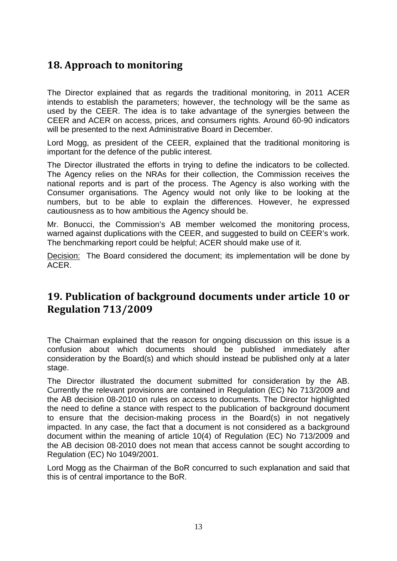# **18. Approach to monitoring**

The Director explained that as regards the traditional monitoring, in 2011 ACER intends to establish the parameters; however, the technology will be the same as used by the CEER. The idea is to take advantage of the synergies between the CEER and ACER on access, prices, and consumers rights. Around 60-90 indicators will be presented to the next Administrative Board in December.

Lord Mogg, as president of the CEER, explained that the traditional monitoring is important for the defence of the public interest.

The Director illustrated the efforts in trying to define the indicators to be collected. The Agency relies on the NRAs for their collection, the Commission receives the national reports and is part of the process. The Agency is also working with the Consumer organisations. The Agency would not only like to be looking at the numbers, but to be able to explain the differences. However, he expressed cautiousness as to how ambitious the Agency should be.

Mr. Bonucci, the Commission's AB member welcomed the monitoring process, warned against duplications with the CEER, and suggested to build on CEER's work. The benchmarking report could be helpful; ACER should make use of it.

Decision: The Board considered the document; its implementation will be done by ACER.

### **19. Publication of background documents under article 10 or Regulation 713/2009**

The Chairman explained that the reason for ongoing discussion on this issue is a confusion about which documents should be published immediately after consideration by the Board(s) and which should instead be published only at a later stage.

The Director illustrated the document submitted for consideration by the AB. Currently the relevant provisions are contained in Regulation (EC) No 713/2009 and the AB decision 08-2010 on rules on access to documents. The Director highlighted the need to define a stance with respect to the publication of background document to ensure that the decision-making process in the Board(s) in not negatively impacted. In any case, the fact that a document is not considered as a background document within the meaning of article 10(4) of Regulation (EC) No 713/2009 and the AB decision 08-2010 does not mean that access cannot be sought according to Regulation (EC) No 1049/2001.

Lord Mogg as the Chairman of the BoR concurred to such explanation and said that this is of central importance to the BoR.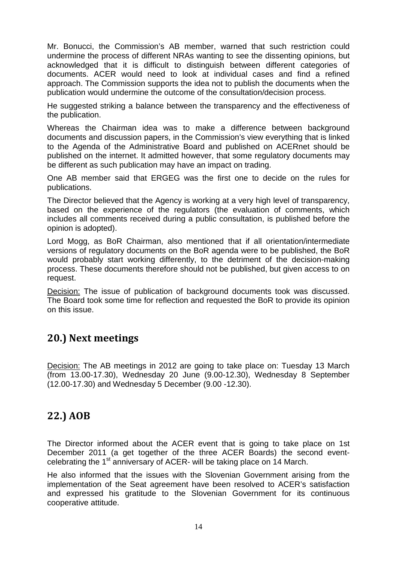Mr. Bonucci, the Commission's AB member, warned that such restriction could undermine the process of different NRAs wanting to see the dissenting opinions, but acknowledged that it is difficult to distinguish between different categories of documents. ACER would need to look at individual cases and find a refined approach. The Commission supports the idea not to publish the documents when the publication would undermine the outcome of the consultation/decision process.

He suggested striking a balance between the transparency and the effectiveness of the publication.

Whereas the Chairman idea was to make a difference between background documents and discussion papers, in the Commission's view everything that is linked to the Agenda of the Administrative Board and published on ACERnet should be published on the internet. It admitted however, that some regulatory documents may be different as such publication may have an impact on trading.

One AB member said that ERGEG was the first one to decide on the rules for publications.

The Director believed that the Agency is working at a very high level of transparency, based on the experience of the regulators (the evaluation of comments, which includes all comments received during a public consultation, is published before the opinion is adopted).

Lord Mogg, as BoR Chairman, also mentioned that if all orientation/intermediate versions of regulatory documents on the BoR agenda were to be published, the BoR would probably start working differently, to the detriment of the decision-making process. These documents therefore should not be published, but given access to on request.

Decision: The issue of publication of background documents took was discussed. The Board took some time for reflection and requested the BoR to provide its opinion on this issue.

## **20.) Next meetings**

Decision: The AB meetings in 2012 are going to take place on: Tuesday 13 March (from 13.00-17.30), Wednesday 20 June (9.00-12.30), Wednesday 8 September (12.00-17.30) and Wednesday 5 December (9.00 -12.30).

## **22.) AOB**

The Director informed about the ACER event that is going to take place on 1st December 2011 (a get together of the three ACER Boards) the second eventcelebrating the 1<sup>st</sup> anniversary of ACER- will be taking place on 14 March.

He also informed that the issues with the Slovenian Government arising from the implementation of the Seat agreement have been resolved to ACER's satisfaction and expressed his gratitude to the Slovenian Government for its continuous cooperative attitude.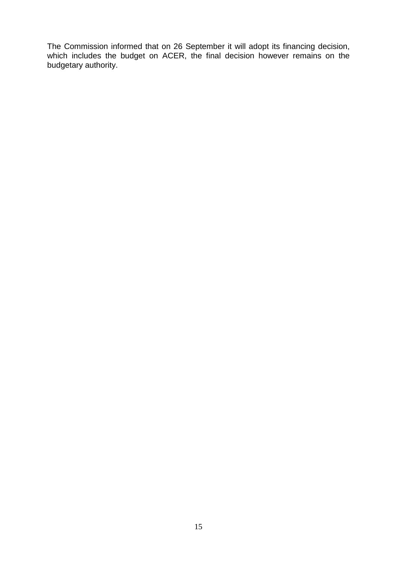The Commission informed that on 26 September it will adopt its financing decision, which includes the budget on ACER, the final decision however remains on the budgetary authority.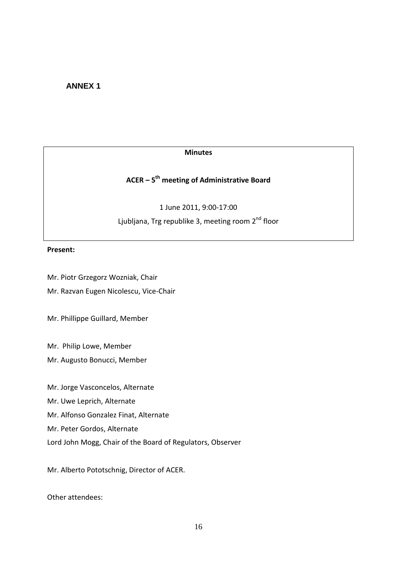#### **ANNEX 1**

#### **Minutes**

### **ACER – 5th meeting of Administrative Board**

1 June 2011, 9:00-17:00

Ljubljana, Trg republike 3, meeting room 2<sup>nd</sup> floor

#### **Present:**

Mr. Piotr Grzegorz Wozniak, Chair

Mr. Razvan Eugen Nicolescu, Vice-Chair

Mr. Phillippe Guillard, Member

Mr. Philip Lowe, Member

Mr. Augusto Bonucci, Member

Mr. Jorge Vasconcelos, Alternate

Mr. Uwe Leprich, Alternate

Mr. Alfonso Gonzalez Finat, Alternate

Mr. Peter Gordos, Alternate

Lord John Mogg, Chair of the Board of Regulators, Observer

Mr. Alberto Pototschnig, Director of ACER.

Other attendees: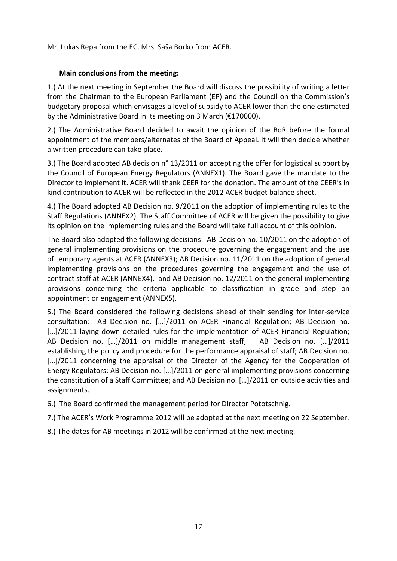Mr. Lukas Repa from the EC, Mrs. Saša Borko from ACER.

#### **Main conclusions from the meeting:**

1.) At the next meeting in September the Board will discuss the possibility of writing a letter from the Chairman to the European Parliament (EP) and the Council on the Commission's budgetary proposal which envisages a level of subsidy to ACER lower than the one estimated by the Administrative Board in its meeting on 3 March (€170000).

2.) The Administrative Board decided to await the opinion of the BoR before the formal appointment of the members/alternates of the Board of Appeal. It will then decide whether a written procedure can take place.

3.) The Board adopted AB decision n° 13/2011 on accepting the offer for logistical support by the Council of European Energy Regulators (ANNEX1). The Board gave the mandate to the Director to implement it. ACER will thank CEER for the donation. The amount of the CEER's in kind contribution to ACER will be reflected in the 2012 ACER budget balance sheet.

4.) The Board adopted AB Decision no. 9/2011 on the adoption of implementing rules to the Staff Regulations (ANNEX2). The Staff Committee of ACER will be given the possibility to give its opinion on the implementing rules and the Board will take full account of this opinion.

The Board also adopted the following decisions: AB Decision no. 10/2011 on the adoption of general implementing provisions on the procedure governing the engagement and the use of temporary agents at ACER (ANNEX3); AB Decision no. 11/2011 on the adoption of general implementing provisions on the procedures governing the engagement and the use of contract staff at ACER (ANNEX4), and AB Decision no. 12/2011 on the general implementing provisions concerning the criteria applicable to classification in grade and step on appointment or engagement (ANNEX5).

5.) The Board considered the following decisions ahead of their sending for inter-service consultation: AB Decision no. […]/2011 on ACER Financial Regulation; AB Decision no. [...]/2011 laying down detailed rules for the implementation of ACER Financial Regulation; AB Decision no. […]/2011 on middle management staff, AB Decision no. […]/2011 establishing the policy and procedure for the performance appraisal of staff; AB Decision no. [...]/2011 concerning the appraisal of the Director of the Agency for the Cooperation of Energy Regulators; AB Decision no. […]/2011 on general implementing provisions concerning the constitution of a Staff Committee; and AB Decision no. […]/2011 on outside activities and assignments.

6.) The Board confirmed the management period for Director Pototschnig.

7.) The ACER's Work Programme 2012 will be adopted at the next meeting on 22 September.

8.) The dates for AB meetings in 2012 will be confirmed at the next meeting.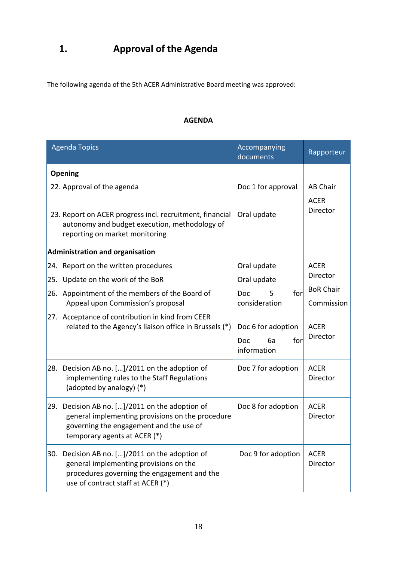# **1. Approval of the Agenda**

The following agenda of the 5th ACER Administrative Board meeting was approved:

#### **AGENDA**

|            | <b>Agenda Topics</b>                                                                                                                                                                                                                                                                                             | Accompanying<br>documents                                                                                                             | Rapporteur                                                                           |
|------------|------------------------------------------------------------------------------------------------------------------------------------------------------------------------------------------------------------------------------------------------------------------------------------------------------------------|---------------------------------------------------------------------------------------------------------------------------------------|--------------------------------------------------------------------------------------|
|            | Opening<br>22. Approval of the agenda<br>23. Report on ACER progress incl. recruitment, financial<br>autonomy and budget execution, methodology of<br>reporting on market monitoring                                                                                                                             | Doc 1 for approval<br>Oral update                                                                                                     | <b>AB Chair</b><br><b>ACER</b><br>Director                                           |
| 25.<br>26. | <b>Administration and organisation</b><br>24. Report on the written procedures<br>Update on the work of the BoR<br>Appointment of the members of the Board of<br>Appeal upon Commission's proposal<br>27. Acceptance of contribution in kind from CEER<br>related to the Agency's liaison office in Brussels (*) | Oral update<br>Oral update<br>for<br>5<br><b>Doc</b><br>consideration<br>Doc 6 for adoption<br><b>Doc</b><br>6a<br>for<br>information | <b>ACER</b><br>Director<br><b>BoR Chair</b><br>Commission<br><b>ACER</b><br>Director |
| 28.        | Decision AB no. []/2011 on the adoption of<br>implementing rules to the Staff Regulations<br>(adopted by analogy) (*)                                                                                                                                                                                            | Doc 7 for adoption                                                                                                                    | <b>ACER</b><br>Director                                                              |
| 29.        | Decision AB no. []/2011 on the adoption of<br>general implementing provisions on the procedure<br>governing the engagement and the use of<br>temporary agents at ACER (*)                                                                                                                                        | Doc 8 for adoption                                                                                                                    | <b>ACER</b><br>Director                                                              |
| 30.        | Decision AB no. []/2011 on the adoption of<br>general implementing provisions on the<br>procedures governing the engagement and the<br>use of contract staff at ACER (*)                                                                                                                                         | Doc 9 for adoption                                                                                                                    | <b>ACER</b><br>Director                                                              |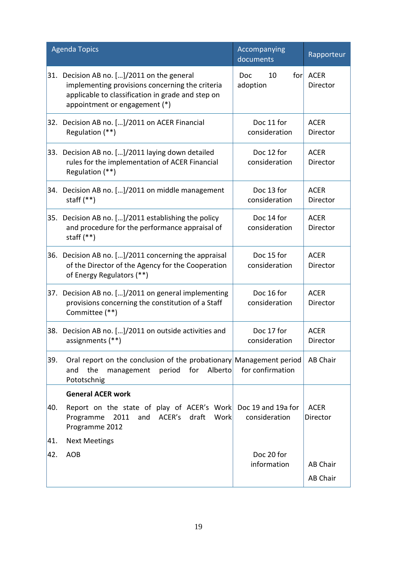|     | <b>Agenda Topics</b>                                                                                                                                                            | Accompanying<br>documents    | Rapporteur                  |
|-----|---------------------------------------------------------------------------------------------------------------------------------------------------------------------------------|------------------------------|-----------------------------|
| 31. | Decision AB no. []/2011 on the general<br>implementing provisions concerning the criteria<br>applicable to classification in grade and step on<br>appointment or engagement (*) | 10<br>for<br>Doc<br>adoption | <b>ACER</b><br>Director     |
|     | 32. Decision AB no. []/2011 on ACER Financial<br>Regulation (**)                                                                                                                | Doc 11 for<br>consideration  | <b>ACER</b><br>Director     |
|     | 33. Decision AB no. []/2011 laying down detailed<br>rules for the implementation of ACER Financial<br>Regulation (**)                                                           | Doc 12 for<br>consideration  | <b>ACER</b><br>Director     |
|     | 34. Decision AB no. []/2011 on middle management<br>staff $(**)$                                                                                                                | Doc 13 for<br>consideration  | <b>ACER</b><br>Director     |
|     | 35. Decision AB no. []/2011 establishing the policy<br>and procedure for the performance appraisal of<br>staff $(**)$                                                           | Doc 14 for<br>consideration  | <b>ACER</b><br>Director     |
| 36. | Decision AB no. []/2011 concerning the appraisal<br>of the Director of the Agency for the Cooperation<br>of Energy Regulators (**)                                              | Doc 15 for<br>consideration  | <b>ACER</b><br>Director     |
| 37. | Decision AB no. []/2011 on general implementing<br>provisions concerning the constitution of a Staff<br>Committee (**)                                                          | Doc 16 for<br>consideration  | <b>ACER</b><br>Director     |
|     | 38. Decision AB no. []/2011 on outside activities and<br>assignments (**)                                                                                                       | Doc 17 for<br>consideration  | <b>ACER</b><br>Director     |
| 39. | Oral report on the conclusion of the probationary Management period<br>the<br>Alberto<br>management<br>period for<br>and<br>Pototschnig                                         | for confirmation             | AB Chair                    |
|     | <b>General ACER work</b>                                                                                                                                                        |                              |                             |
| 40. | Report on the state of play of ACER's Work Doc 19 and 19a for<br>ACER's draft<br>Work<br>Programme<br>2011<br>and<br>Programme 2012                                             | consideration                | <b>ACER</b><br>Director     |
| 41. | <b>Next Meetings</b>                                                                                                                                                            |                              |                             |
| 42. | <b>AOB</b>                                                                                                                                                                      | Doc 20 for<br>information    | <b>AB Chair</b><br>AB Chair |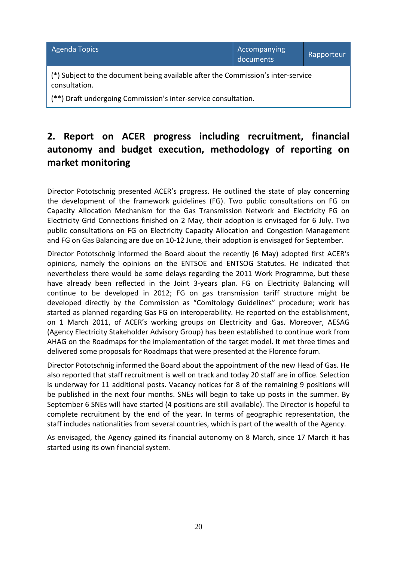| <b>Agenda Topics</b>                                                                              | Accompanying<br>documents | Rapporteur |
|---------------------------------------------------------------------------------------------------|---------------------------|------------|
| (*) Subject to the document being available after the Commission's inter-service<br>consultation. |                           |            |
| (**) Draft undergoing Commission's inter-service consultation.                                    |                           |            |

# **2. Report on ACER progress including recruitment, financial autonomy and budget execution, methodology of reporting on market monitoring**

Director Pototschnig presented ACER's progress. He outlined the state of play concerning the development of the framework guidelines (FG). Two public consultations on FG on Capacity Allocation Mechanism for the Gas Transmission Network and Electricity FG on Electricity Grid Connections finished on 2 May, their adoption is envisaged for 6 July. Two public consultations on FG on Electricity Capacity Allocation and Congestion Management and FG on Gas Balancing are due on 10-12 June, their adoption is envisaged for September.

Director Pototschnig informed the Board about the recently (6 May) adopted first ACER's opinions, namely the opinions on the ENTSOE and ENTSOG Statutes. He indicated that nevertheless there would be some delays regarding the 2011 Work Programme, but these have already been reflected in the Joint 3-years plan. FG on Electricity Balancing will continue to be developed in 2012; FG on gas transmission tariff structure might be developed directly by the Commission as "Comitology Guidelines" procedure; work has started as planned regarding Gas FG on interoperability. He reported on the establishment, on 1 March 2011, of ACER's working groups on Electricity and Gas. Moreover, AESAG (Agency Electricity Stakeholder Advisory Group) has been established to continue work from AHAG on the Roadmaps for the implementation of the target model. It met three times and delivered some proposals for Roadmaps that were presented at the Florence forum.

Director Pototschnig informed the Board about the appointment of the new Head of Gas. He also reported that staff recruitment is well on track and today 20 staff are in office. Selection is underway for 11 additional posts. Vacancy notices for 8 of the remaining 9 positions will be published in the next four months. SNEs will begin to take up posts in the summer. By September 6 SNEs will have started (4 positions are still available). The Director is hopeful to complete recruitment by the end of the year. In terms of geographic representation, the staff includes nationalities from several countries, which is part of the wealth of the Agency.

As envisaged, the Agency gained its financial autonomy on 8 March, since 17 March it has started using its own financial system.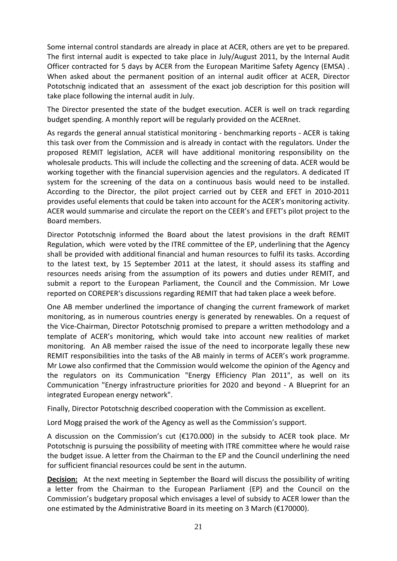Some internal control standards are already in place at ACER, others are yet to be prepared. The first internal audit is expected to take place in July/August 2011, by the Internal Audit Officer contracted for 5 days by ACER from the European Maritime Safety Agency (EMSA) . When asked about the permanent position of an internal audit officer at ACER, Director Pototschnig indicated that an assessment of the exact job description for this position will take place following the internal audit in July.

The Director presented the state of the budget execution. ACER is well on track regarding budget spending. A monthly report will be regularly provided on the ACERnet.

As regards the general annual statistical monitoring - benchmarking reports - ACER is taking this task over from the Commission and is already in contact with the regulators. Under the proposed REMIT legislation, ACER will have additional monitoring responsibility on the wholesale products. This will include the collecting and the screening of data. ACER would be working together with the financial supervision agencies and the regulators. A dedicated IT system for the screening of the data on a continuous basis would need to be installed. According to the Director, the pilot project carried out by CEER and EFET in 2010-2011 provides useful elements that could be taken into account for the ACER's monitoring activity. ACER would summarise and circulate the report on the CEER's and EFET's pilot project to the Board members.

Director Pototschnig informed the Board about the latest provisions in the draft REMIT Regulation, which were voted by the ITRE committee of the EP, underlining that the Agency shall be provided with additional financial and human resources to fulfil its tasks. According to the latest text, by 15 September 2011 at the latest, it should assess its staffing and resources needs arising from the assumption of its powers and duties under REMIT, and submit a report to the European Parliament, the Council and the Commission. Mr Lowe reported on COREPER's discussions regarding REMIT that had taken place a week before.

One AB member underlined the importance of changing the current framework of market monitoring, as in numerous countries energy is generated by renewables. On a request of the Vice-Chairman, Director Pototschnig promised to prepare a written methodology and a template of ACER's monitoring, which would take into account new realities of market monitoring. An AB member raised the issue of the need to incorporate legally these new REMIT responsibilities into the tasks of the AB mainly in terms of ACER's work programme. Mr Lowe also confirmed that the Commission would welcome the opinion of the Agency and the regulators on its Communication "Energy Efficiency Plan 2011", as well on its Communication "Energy infrastructure priorities for 2020 and beyond - A Blueprint for an integrated European energy network".

Finally, Director Pototschnig described cooperation with the Commission as excellent.

Lord Mogg praised the work of the Agency as well as the Commission's support.

A discussion on the Commission's cut (€170.000) in the subsidy to ACER took place. Mr Pototschnig is pursuing the possibility of meeting with ITRE committee where he would raise the budget issue. A letter from the Chairman to the EP and the Council underlining the need for sufficient financial resources could be sent in the autumn.

**Decision:** At the next meeting in September the Board will discuss the possibility of writing a letter from the Chairman to the European Parliament (EP) and the Council on the Commission's budgetary proposal which envisages a level of subsidy to ACER lower than the one estimated by the Administrative Board in its meeting on 3 March (€170000).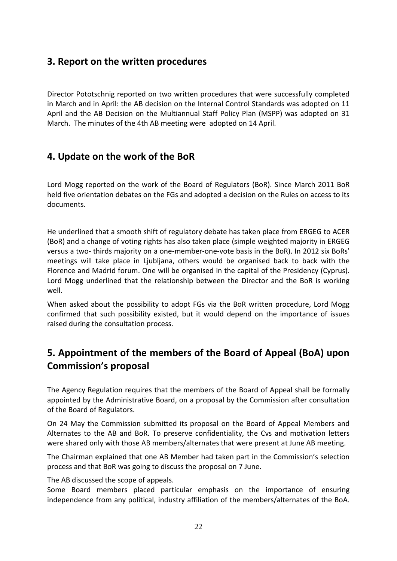### **3. Report on the written procedures**

Director Pototschnig reported on two written procedures that were successfully completed in March and in April: the AB decision on the Internal Control Standards was adopted on 11 April and the AB Decision on the Multiannual Staff Policy Plan (MSPP) was adopted on 31 March. The minutes of the 4th AB meeting were adopted on 14 April.

### **4. Update on the work of the BoR**

Lord Mogg reported on the work of the Board of Regulators (BoR). Since March 2011 BoR held five orientation debates on the FGs and adopted a decision on the Rules on access to its documents.

He underlined that a smooth shift of regulatory debate has taken place from ERGEG to ACER (BoR) and a change of voting rights has also taken place (simple weighted majority in ERGEG versus a two- thirds majority on a one-member-one-vote basis in the BoR). In 2012 six BoRs' meetings will take place in Ljubljana, others would be organised back to back with the Florence and Madrid forum. One will be organised in the capital of the Presidency (Cyprus). Lord Mogg underlined that the relationship between the Director and the BoR is working well.

When asked about the possibility to adopt FGs via the BoR written procedure, Lord Mogg confirmed that such possibility existed, but it would depend on the importance of issues raised during the consultation process.

## **5. Appointment of the members of the Board of Appeal (BoA) upon Commission's proposal**

The Agency Regulation requires that the members of the Board of Appeal shall be formally appointed by the Administrative Board, on a proposal by the Commission after consultation of the Board of Regulators.

On 24 May the Commission submitted its proposal on the Board of Appeal Members and Alternates to the AB and BoR. To preserve confidentiality, the Cvs and motivation letters were shared only with those AB members/alternates that were present at June AB meeting.

The Chairman explained that one AB Member had taken part in the Commission's selection process and that BoR was going to discuss the proposal on 7 June.

The AB discussed the scope of appeals.

Some Board members placed particular emphasis on the importance of ensuring independence from any political, industry affiliation of the members/alternates of the BoA.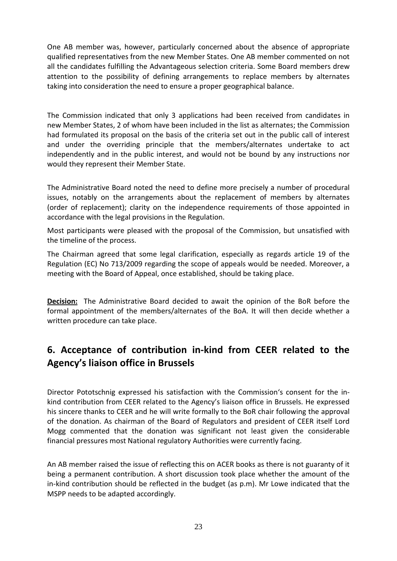One AB member was, however, particularly concerned about the absence of appropriate qualified representatives from the new Member States. One AB member commented on not all the candidates fulfilling the Advantageous selection criteria. Some Board members drew attention to the possibility of defining arrangements to replace members by alternates taking into consideration the need to ensure a proper geographical balance.

The Commission indicated that only 3 applications had been received from candidates in new Member States, 2 of whom have been included in the list as alternates; the Commission had formulated its proposal on the basis of the criteria set out in the public call of interest and under the overriding principle that the members/alternates undertake to act independently and in the public interest, and would not be bound by any instructions nor would they represent their Member State.

The Administrative Board noted the need to define more precisely a number of procedural issues, notably on the arrangements about the replacement of members by alternates (order of replacement); clarity on the independence requirements of those appointed in accordance with the legal provisions in the Regulation.

Most participants were pleased with the proposal of the Commission, but unsatisfied with the timeline of the process.

The Chairman agreed that some legal clarification, especially as regards article 19 of the Regulation (EC) No 713/2009 regarding the scope of appeals would be needed. Moreover, a meeting with the Board of Appeal, once established, should be taking place.

**Decision:** The Administrative Board decided to await the opinion of the BoR before the formal appointment of the members/alternates of the BoA. It will then decide whether a written procedure can take place.

## **6. Acceptance of contribution in-kind from CEER related to the Agency's liaison office in Brussels**

Director Pototschnig expressed his satisfaction with the Commission's consent for the inkind contribution from CEER related to the Agency's liaison office in Brussels. He expressed his sincere thanks to CEER and he will write formally to the BoR chair following the approval of the donation. As chairman of the Board of Regulators and president of CEER itself Lord Mogg commented that the donation was significant not least given the considerable financial pressures most National regulatory Authorities were currently facing.

An AB member raised the issue of reflecting this on ACER books as there is not guaranty of it being a permanent contribution. A short discussion took place whether the amount of the in-kind contribution should be reflected in the budget (as p.m). Mr Lowe indicated that the MSPP needs to be adapted accordingly.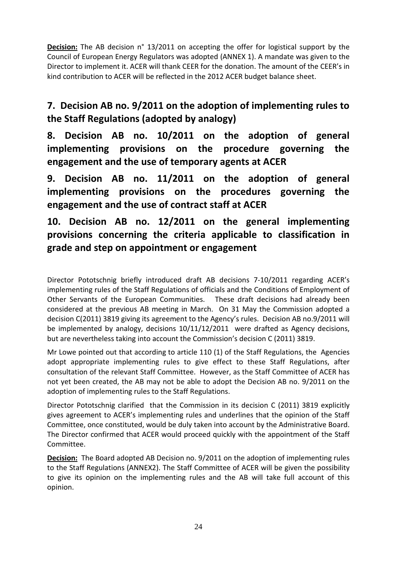**Decision:** The AB decision n° 13/2011 on accepting the offer for logistical support by the Council of European Energy Regulators was adopted (ANNEX 1). A mandate was given to the Director to implement it. ACER will thank CEER for the donation. The amount of the CEER's in kind contribution to ACER will be reflected in the 2012 ACER budget balance sheet.

**7. Decision AB no. 9/2011 on the adoption of implementing rules to the Staff Regulations (adopted by analogy)** 

**8. Decision AB no. 10/2011 on the adoption of general implementing provisions on the procedure governing the engagement and the use of temporary agents at ACER**

**9. Decision AB no. 11/2011 on the adoption of general implementing provisions on the procedures governing the engagement and the use of contract staff at ACER** 

# **10. Decision AB no. 12/2011 on the general implementing provisions concerning the criteria applicable to classification in grade and step on appointment or engagement**

Director Pototschnig briefly introduced draft AB decisions 7-10/2011 regarding ACER's implementing rules of the Staff Regulations of officials and the Conditions of Employment of Other Servants of the European Communities. These draft decisions had already been considered at the previous AB meeting in March. On 31 May the Commission adopted a decision C(2011) 3819 giving its agreement to the Agency's rules. Decision AB no.9/2011 will be implemented by analogy, decisions 10/11/12/2011 were drafted as Agency decisions, but are nevertheless taking into account the Commission's decision C (2011) 3819.

Mr Lowe pointed out that according to article 110 (1) of the Staff Regulations, the Agencies adopt appropriate implementing rules to give effect to these Staff Regulations, after consultation of the relevant Staff Committee. However, as the Staff Committee of ACER has not yet been created, the AB may not be able to adopt the Decision AB no. 9/2011 on the adoption of implementing rules to the Staff Regulations.

Director Pototschnig clarified that the Commission in its decision C (2011) 3819 explicitly gives agreement to ACER's implementing rules and underlines that the opinion of the Staff Committee, once constituted, would be duly taken into account by the Administrative Board. The Director confirmed that ACER would proceed quickly with the appointment of the Staff Committee.

**Decision:** The Board adopted AB Decision no. 9/2011 on the adoption of implementing rules to the Staff Regulations (ANNEX2). The Staff Committee of ACER will be given the possibility to give its opinion on the implementing rules and the AB will take full account of this opinion.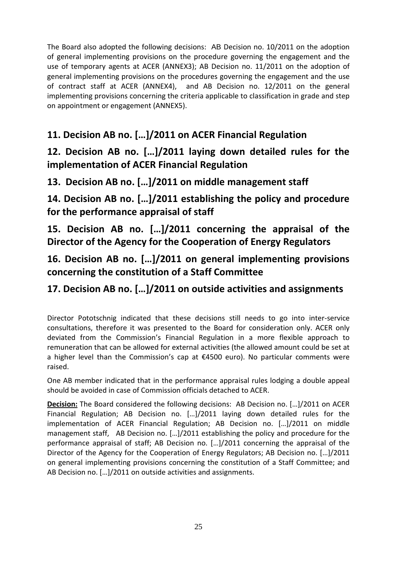The Board also adopted the following decisions: AB Decision no. 10/2011 on the adoption of general implementing provisions on the procedure governing the engagement and the use of temporary agents at ACER (ANNEX3); AB Decision no. 11/2011 on the adoption of general implementing provisions on the procedures governing the engagement and the use of contract staff at ACER (ANNEX4), and AB Decision no. 12/2011 on the general implementing provisions concerning the criteria applicable to classification in grade and step on appointment or engagement (ANNEX5).

# **11. Decision AB no. […]/2011 on ACER Financial Regulation**

# **12. Decision AB no. […]/2011 laying down detailed rules for the implementation of ACER Financial Regulation**

## **13. Decision AB no. […]/2011 on middle management staff**

**14. Decision AB no. […]/2011 establishing the policy and procedure for the performance appraisal of staff** 

**15. Decision AB no. […]/2011 concerning the appraisal of the Director of the Agency for the Cooperation of Energy Regulators** 

# **16. Decision AB no. […]/2011 on general implementing provisions concerning the constitution of a Staff Committee**

## **17. Decision AB no. […]/2011 on outside activities and assignments**

Director Pototschnig indicated that these decisions still needs to go into inter-service consultations, therefore it was presented to the Board for consideration only. ACER only deviated from the Commission's Financial Regulation in a more flexible approach to remuneration that can be allowed for external activities (the allowed amount could be set at a higher level than the Commission's cap at €4500 euro). No particular comments were raised.

One AB member indicated that in the performance appraisal rules lodging a double appeal should be avoided in case of Commission officials detached to ACER.

**Decision:** The Board considered the following decisions: AB Decision no. […]/2011 on ACER Financial Regulation; AB Decision no. […]/2011 laying down detailed rules for the implementation of ACER Financial Regulation; AB Decision no. […]/2011 on middle management staff, AB Decision no. […]/2011 establishing the policy and procedure for the performance appraisal of staff; AB Decision no. […]/2011 concerning the appraisal of the Director of the Agency for the Cooperation of Energy Regulators; AB Decision no. […]/2011 on general implementing provisions concerning the constitution of a Staff Committee; and AB Decision no. […]/2011 on outside activities and assignments.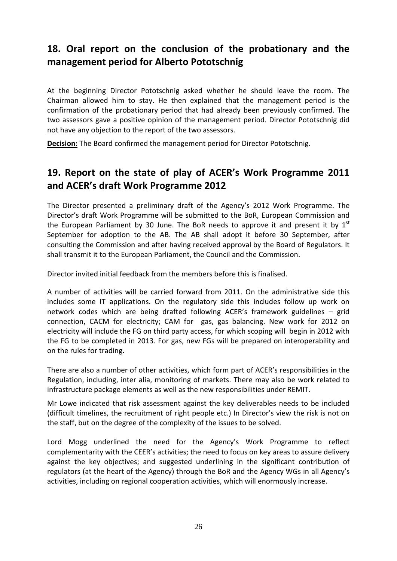## **18. Oral report on the conclusion of the probationary and the management period for Alberto Pototschnig**

At the beginning Director Pototschnig asked whether he should leave the room. The Chairman allowed him to stay. He then explained that the management period is the confirmation of the probationary period that had already been previously confirmed. The two assessors gave a positive opinion of the management period. Director Pototschnig did not have any objection to the report of the two assessors.

**Decision:** The Board confirmed the management period for Director Pototschnig.

### **19. Report on the state of play of ACER's Work Programme 2011 and ACER's draft Work Programme 2012**

The Director presented a preliminary draft of the Agency's 2012 Work Programme. The Director's draft Work Programme will be submitted to the BoR, European Commission and the European Parliament by 30 June. The BoR needs to approve it and present it by  $1<sup>st</sup>$ September for adoption to the AB. The AB shall adopt it before 30 September, after consulting the Commission and after having received approval by the Board of Regulators. It shall transmit it to the European Parliament, the Council and the Commission.

Director invited initial feedback from the members before this is finalised.

A number of activities will be carried forward from 2011. On the administrative side this includes some IT applications. On the regulatory side this includes follow up work on network codes which are being drafted following ACER's framework guidelines – grid connection, CACM for electricity; CAM for gas, gas balancing. New work for 2012 on electricity will include the FG on third party access, for which scoping will begin in 2012 with the FG to be completed in 2013. For gas, new FGs will be prepared on interoperability and on the rules for trading.

There are also a number of other activities, which form part of ACER's responsibilities in the Regulation, including, inter alia, monitoring of markets. There may also be work related to infrastructure package elements as well as the new responsibilities under REMIT.

Mr Lowe indicated that risk assessment against the key deliverables needs to be included (difficult timelines, the recruitment of right people etc.) In Director's view the risk is not on the staff, but on the degree of the complexity of the issues to be solved.

Lord Mogg underlined the need for the Agency's Work Programme to reflect complementarity with the CEER's activities; the need to focus on key areas to assure delivery against the key objectives; and suggested underlining in the significant contribution of regulators (at the heart of the Agency) through the BoR and the Agency WGs in all Agency's activities, including on regional cooperation activities, which will enormously increase.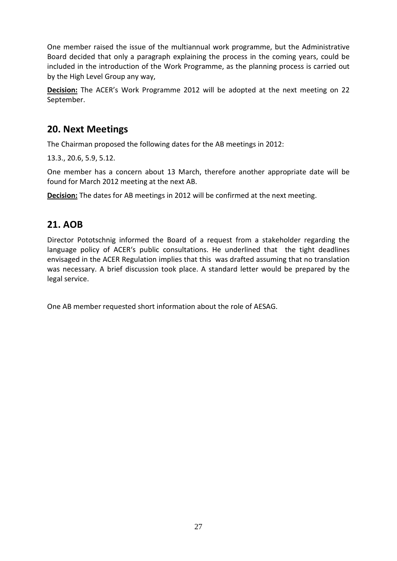One member raised the issue of the multiannual work programme, but the Administrative Board decided that only a paragraph explaining the process in the coming years, could be included in the introduction of the Work Programme, as the planning process is carried out by the High Level Group any way,

**Decision:** The ACER's Work Programme 2012 will be adopted at the next meeting on 22 September.

### **20. Next Meetings**

The Chairman proposed the following dates for the AB meetings in 2012:

13.3., 20.6, 5.9, 5.12.

One member has a concern about 13 March, therefore another appropriate date will be found for March 2012 meeting at the next AB.

**Decision:** The dates for AB meetings in 2012 will be confirmed at the next meeting.

### **21. AOB**

Director Pototschnig informed the Board of a request from a stakeholder regarding the language policy of ACER's public consultations. He underlined that the tight deadlines envisaged in the ACER Regulation implies that this was drafted assuming that no translation was necessary. A brief discussion took place. A standard letter would be prepared by the legal service.

One AB member requested short information about the role of AESAG.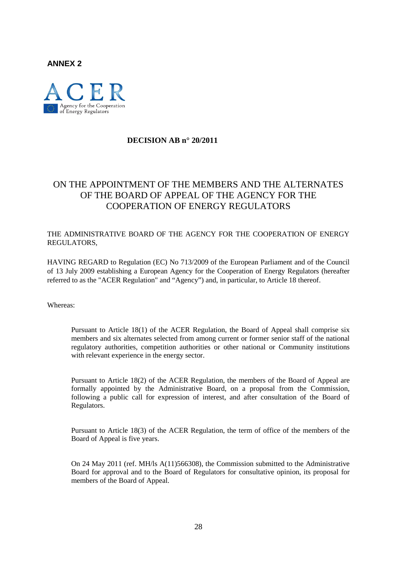**ANNEX 2**



#### **DECISION AB n° 20/2011**

### ON THE APPOINTMENT OF THE MEMBERS AND THE ALTERNATES OF THE BOARD OF APPEAL OF THE AGENCY FOR THE COOPERATION OF ENERGY REGULATORS

THE ADMINISTRATIVE BOARD OF THE AGENCY FOR THE COOPERATION OF ENERGY REGULATORS,

HAVING REGARD to Regulation (EC) No 713/2009 of the European Parliament and of the Council of 13 July 2009 establishing a European Agency for the Cooperation of Energy Regulators (hereafter referred to as the "ACER Regulation" and "Agency") and, in particular, to Article 18 thereof.

Whereas:

Pursuant to Article 18(1) of the ACER Regulation, the Board of Appeal shall comprise six members and six alternates selected from among current or former senior staff of the national regulatory authorities, competition authorities or other national or Community institutions with relevant experience in the energy sector.

Pursuant to Article 18(2) of the ACER Regulation, the members of the Board of Appeal are formally appointed by the Administrative Board, on a proposal from the Commission, following a public call for expression of interest, and after consultation of the Board of Regulators.

Pursuant to Article 18(3) of the ACER Regulation, the term of office of the members of the Board of Appeal is five years.

On 24 May 2011 (ref. MH/ls A(11)566308), the Commission submitted to the Administrative Board for approval and to the Board of Regulators for consultative opinion, its proposal for members of the Board of Appeal.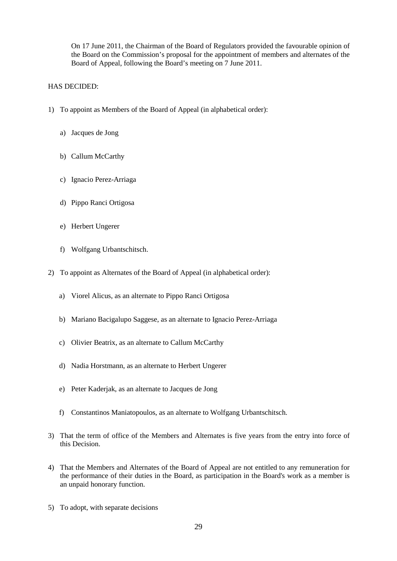On 17 June 2011, the Chairman of the Board of Regulators provided the favourable opinion of the Board on the Commission's proposal for the appointment of members and alternates of the Board of Appeal, following the Board's meeting on 7 June 2011.

#### HAS DECIDED:

- 1) To appoint as Members of the Board of Appeal (in alphabetical order):
	- a) Jacques de Jong
	- b) Callum McCarthy
	- c) Ignacio Perez-Arriaga
	- d) Pippo Ranci Ortigosa
	- e) Herbert Ungerer
	- f) Wolfgang Urbantschitsch.
- 2) To appoint as Alternates of the Board of Appeal (in alphabetical order):
	- a) Viorel Alicus, as an alternate to Pippo Ranci Ortigosa
	- b) Mariano Bacigalupo Saggese, as an alternate to Ignacio Perez-Arriaga
	- c) Olivier Beatrix, as an alternate to Callum McCarthy
	- d) Nadia Horstmann, as an alternate to Herbert Ungerer
	- e) Peter Kaderjak, as an alternate to Jacques de Jong
	- f) Constantinos Maniatopoulos, as an alternate to Wolfgang Urbantschitsch.
- 3) That the term of office of the Members and Alternates is five years from the entry into force of this Decision.
- 4) That the Members and Alternates of the Board of Appeal are not entitled to any remuneration for the performance of their duties in the Board, as participation in the Board's work as a member is an unpaid honorary function.
- 5) To adopt, with separate decisions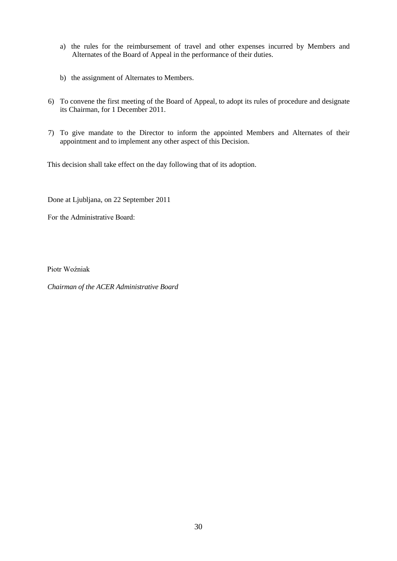- a) the rules for the reimbursement of travel and other expenses incurred by Members and Alternates of the Board of Appeal in the performance of their duties.
- b) the assignment of Alternates to Members.
- 6) To convene the first meeting of the Board of Appeal, to adopt its rules of procedure and designate its Chairman, for 1 December 2011.
- 7) To give mandate to the Director to inform the appointed Members and Alternates of their appointment and to implement any other aspect of this Decision.

This decision shall take effect on the day following that of its adoption.

Done at Ljubljana, on 22 September 2011

Fог the Administrative Board:

Piotr Woźniak

*Chairman of the ACER Administrative Board*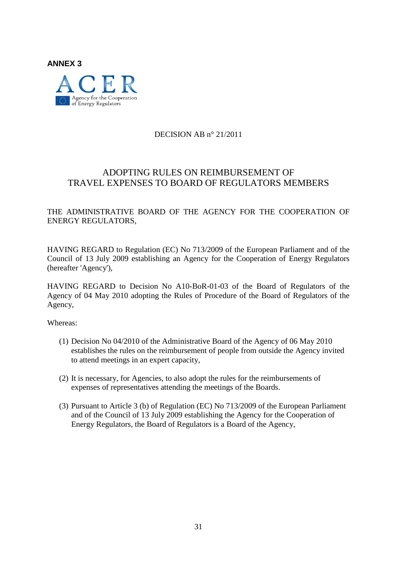

#### DECISION AB n° 21/2011

### ADOPTING RULES ON REIMBURSEMENT OF TRAVEL EXPENSES TO BOARD OF REGULATORS MEMBERS

THE ADMINISTRATIVE BOARD OF THE AGENCY FOR THE COOPERATION OF ENERGY REGULATORS,

HAVING REGARD to Regulation (EC) No 713/2009 of the European Parliament and of the Council of 13 July 2009 establishing an Agency for the Cooperation of Energy Regulators (hereafter 'Agency'),

HAVING REGARD to Decision No A10-BoR-01-03 of the Board of Regulators of the Agency of 04 May 2010 adopting the Rules of Procedure of the Board of Regulators of the Agency,

Whereas:

- (1) Decision No 04/2010 of the Administrative Board of the Agency of 06 May 2010 establishes the rules on the reimbursement of people from outside the Agency invited to attend meetings in an expert capacity,
- (2) It is necessary, for Agencies, to also adopt the rules for the reimbursements of expenses of representatives attending the meetings of the Boards.
- (3) Pursuant to Article 3 (b) of Regulation (EC) No 713/2009 of the European Parliament and of the Council of 13 July 2009 establishing the Agency for the Cooperation of Energy Regulators, the Board of Regulators is a Board of the Agency,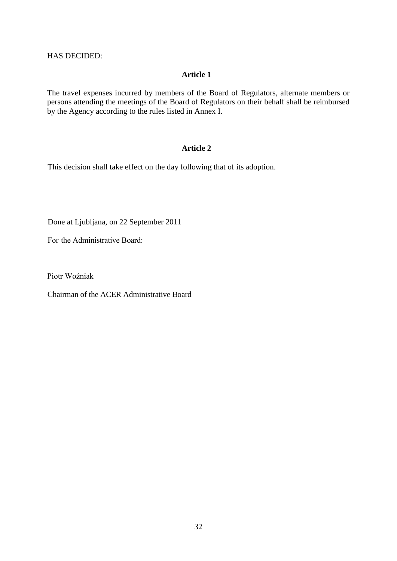HAS DECIDED:

#### **Article 1**

The travel expenses incurred by members of the Board of Regulators, alternate members or persons attending the meetings of the Board of Regulators on their behalf shall be reimbursed by the Agency according to the rules listed in Annex I.

#### **Article 2**

This decision shall take effect on the day following that of its adoption.

Done at Ljubljana, on 22 September 2011

Fог the Administrative Board:

Piotr Woźniak

Chairman of the ACER Administrative Board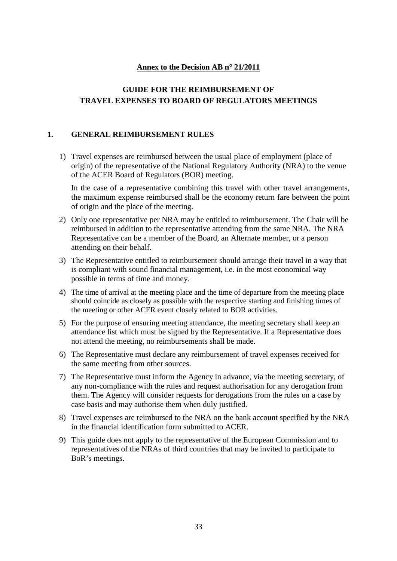#### **Annex to the Decision AB n° 21/2011**

### **GUIDE FOR THE REIMBURSEMENT OF TRAVEL EXPENSES TO BOARD OF REGULATORS MEETINGS**

#### **1. GENERAL REIMBURSEMENT RULES**

1) Travel expenses are reimbursed between the usual place of employment (place of origin) of the representative of the National Regulatory Authority (NRA) to the venue of the ACER Board of Regulators (BOR) meeting.

In the case of a representative combining this travel with other travel arrangements, the maximum expense reimbursed shall be the economy return fare between the point of origin and the place of the meeting.

- 2) Only one representative per NRA may be entitled to reimbursement. The Chair will be reimbursed in addition to the representative attending from the same NRA. The NRA Representative can be a member of the Board, an Alternate member, or a person attending on their behalf.
- 3) The Representative entitled to reimbursement should arrange their travel in a way that is compliant with sound financial management, i.e. in the most economical way possible in terms of time and money.
- 4) The time of arrival at the meeting place and the time of departure from the meeting place should coincide as closely as possible with the respective starting and finishing times of the meeting or other ACER event closely related to BOR activities.
- 5) For the purpose of ensuring meeting attendance, the meeting secretary shall keep an attendance list which must be signed by the Representative. If a Representative does not attend the meeting, no reimbursements shall be made.
- 6) The Representative must declare any reimbursement of travel expenses received for the same meeting from other sources.
- 7) The Representative must inform the Agency in advance, via the meeting secretary, of any non-compliance with the rules and request authorisation for any derogation from them. The Agency will consider requests for derogations from the rules on a case by case basis and may authorise them when duly justified.
- 8) Travel expenses are reimbursed to the NRA on the bank account specified by the NRA in the financial identification form submitted to ACER.
- 9) This guide does not apply to the representative of the European Commission and to representatives of the NRAs of third countries that may be invited to participate to BoR's meetings.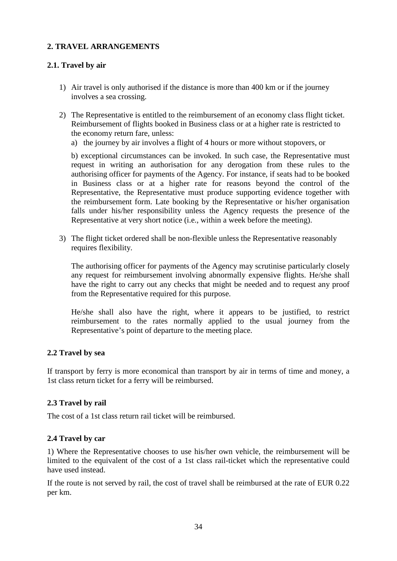#### **2. TRAVEL ARRANGEMENTS**

#### **2.1. Travel by air**

- 1) Air travel is only authorised if the distance is more than 400 km or if the journey involves a sea crossing.
- 2) The Representative is entitled to the reimbursement of an economy class flight ticket. Reimbursement of flights booked in Business class or at a higher rate is restricted to the economy return fare, unless:
	- a) the journey by air involves a flight of 4 hours or more without stopovers, or

b) exceptional circumstances can be invoked. In such case, the Representative must request in writing an authorisation for any derogation from these rules to the authorising officer for payments of the Agency. For instance, if seats had to be booked in Business class or at a higher rate for reasons beyond the control of the Representative, the Representative must produce supporting evidence together with the reimbursement form. Late booking by the Representative or his/her organisation falls under his/her responsibility unless the Agency requests the presence of the Representative at very short notice (i.e., within a week before the meeting).

3) The flight ticket ordered shall be non-flexible unless the Representative reasonably requires flexibility.

The authorising officer for payments of the Agency may scrutinise particularly closely any request for reimbursement involving abnormally expensive flights. He/she shall have the right to carry out any checks that might be needed and to request any proof from the Representative required for this purpose.

He/she shall also have the right, where it appears to be justified, to restrict reimbursement to the rates normally applied to the usual journey from the Representative's point of departure to the meeting place.

#### **2.2 Travel by sea**

If transport by ferry is more economical than transport by air in terms of time and money, a 1st class return ticket for a ferry will be reimbursed.

#### **2.3 Travel by rail**

The cost of a 1st class return rail ticket will be reimbursed.

#### **2.4 Travel by car**

1) Where the Representative chooses to use his/her own vehicle, the reimbursement will be limited to the equivalent of the cost of a 1st class rail-ticket which the representative could have used instead.

If the route is not served by rail, the cost of travel shall be reimbursed at the rate of EUR 0.22 per km.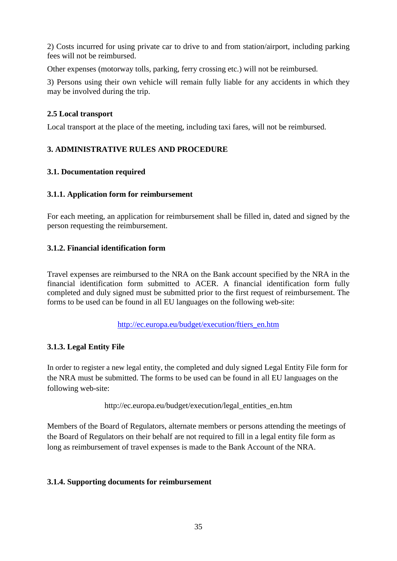2) Costs incurred for using private car to drive to and from station/airport, including parking fees will not be reimbursed.

Other expenses (motorway tolls, parking, ferry crossing etc.) will not be reimbursed.

3) Persons using their own vehicle will remain fully liable for any accidents in which they may be involved during the trip.

#### **2.5 Local transport**

Local transport at the place of the meeting, including taxi fares, will not be reimbursed.

#### **3. ADMINISTRATIVE RULES AND PROCEDURE**

#### **3.1. Documentation required**

#### **3.1.1. Application form for reimbursement**

For each meeting, an application for reimbursement shall be filled in, dated and signed by the person requesting the reimbursement.

#### **3.1.2. Financial identification form**

Travel expenses are reimbursed to the NRA on the Bank account specified by the NRA in the financial identification form submitted to ACER. A financial identification form fully completed and duly signed must be submitted prior to the first request of reimbursement. The forms to be used can be found in all EU languages on the following web-site:

#### [http://ec.europa.eu/budget/execution/ftiers\\_en.htm](http://ec.europa.eu/budget/execution/ftiers_en.htm)

#### **3.1.3. Legal Entity File**

In order to register a new legal entity, the completed and duly signed Legal Entity File form for the NRA must be submitted. The forms to be used can be found in all EU languages on the following web-site:

[http://ec.europa.eu/budget/execution/legal\\_entities\\_en.htm](http://ec.europa.eu/budget/execution/legal_entities_en.htm)

Members of the Board of Regulators, alternate members or persons attending the meetings of the Board of Regulators on their behalf are not required to fill in a legal entity file form as long as reimbursement of travel expenses is made to the Bank Account of the NRA.

#### **3.1.4. Supporting documents for reimbursement**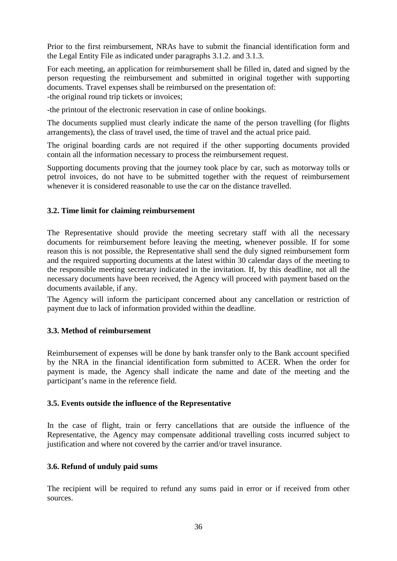Prior to the first reimbursement, NRAs have to submit the financial identification form and the Legal Entity File as indicated under paragraphs 3.1.2. and 3.1.3.

For each meeting, an application for reimbursement shall be filled in, dated and signed by the person requesting the reimbursement and submitted in original together with supporting documents. Travel expenses shall be reimbursed on the presentation of: -the original round trip tickets or invoices;

-the printout of the electronic reservation in case of online bookings.

The documents supplied must clearly indicate the name of the person travelling (for flights arrangements), the class of travel used, the time of travel and the actual price paid.

The original boarding cards are not required if the other supporting documents provided contain all the information necessary to process the reimbursement request.

Supporting documents proving that the journey took place by car, such as motorway tolls or petrol invoices, do not have to be submitted together with the request of reimbursement whenever it is considered reasonable to use the car on the distance travelled.

#### **3.2. Time limit for claiming reimbursement**

The Representative should provide the meeting secretary staff with all the necessary documents for reimbursement before leaving the meeting, whenever possible. If for some reason this is not possible, the Representative shall send the duly signed reimbursement form and the required supporting documents at the latest within 30 calendar days of the meeting to the responsible meeting secretary indicated in the invitation. If, by this deadline, not all the necessary documents have been received, the Agency will proceed with payment based on the documents available, if any.

The Agency will inform the participant concerned about any cancellation or restriction of payment due to lack of information provided within the deadline.

#### **3.3. Method of reimbursement**

Reimbursement of expenses will be done by bank transfer only to the Bank account specified by the NRA in the financial identification form submitted to ACER. When the order for payment is made, the Agency shall indicate the name and date of the meeting and the participant's name in the reference field.

#### **3.5. Events outside the influence of the Representative**

In the case of flight, train or ferry cancellations that are outside the influence of the Representative, the Agency may compensate additional travelling costs incurred subject to justification and where not covered by the carrier and/or travel insurance.

#### **3.6. Refund of unduly paid sums**

The recipient will be required to refund any sums paid in error or if received from other sources.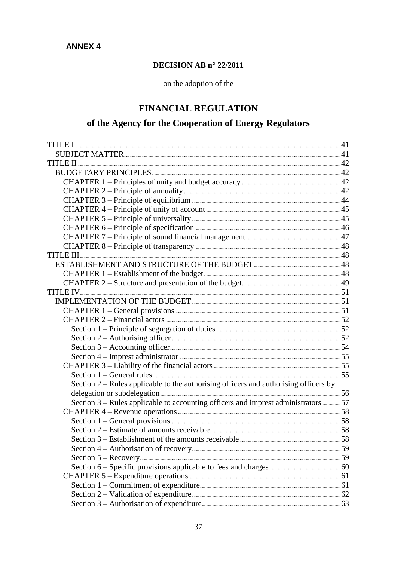## **DECISION AB n° 22/2011**

on the adoption of the

# **FINANCIAL REGULATION**

# **of the Agency for the Cooperation of Energy Regulators**

| Section 2 – Rules applicable to the authorising officers and authorising officers by |  |
|--------------------------------------------------------------------------------------|--|
|                                                                                      |  |
| Section 3 – Rules applicable to accounting officers and imprest administrators 57    |  |
|                                                                                      |  |
|                                                                                      |  |
|                                                                                      |  |
|                                                                                      |  |
|                                                                                      |  |
|                                                                                      |  |
|                                                                                      |  |
|                                                                                      |  |
|                                                                                      |  |
|                                                                                      |  |
|                                                                                      |  |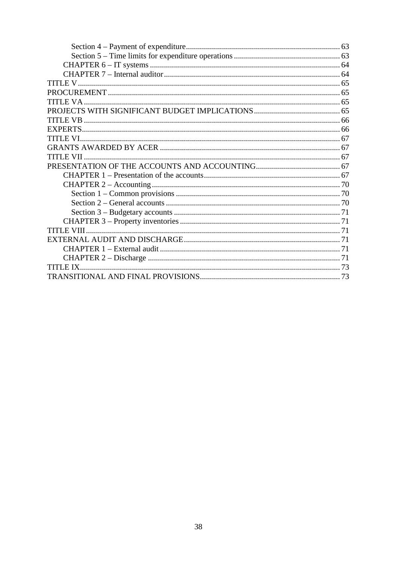| TITI E VIII |
|-------------|
|             |
|             |
|             |
|             |
|             |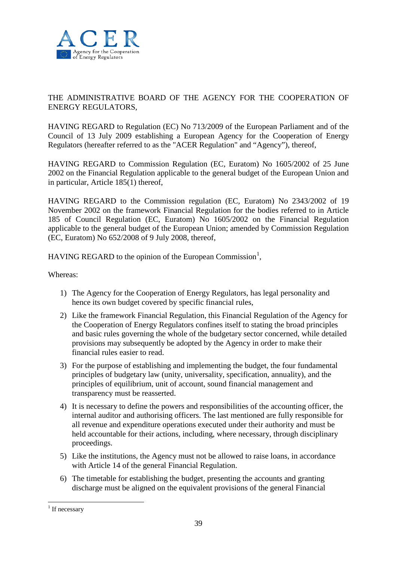

## THE ADMINISTRATIVE BOARD OF THE AGENCY FOR THE COOPERATION OF ENERGY REGULATORS,

HAVING REGARD to Regulation (EC) No 713/2009 of the European Parliament and of the Council of 13 July 2009 establishing a European Agency for the Cooperation of Energy Regulators (hereafter referred to as the "ACER Regulation" and "Agency"), thereof,

HAVING REGARD to Commission Regulation (EC, Euratom) No 1605/2002 of 25 June 2002 on the Financial Regulation applicable to the general budget of the European Union and in particular, Article 185(1) thereof,

HAVING REGARD to the Commission regulation (EC, Euratom) No 2343/2002 of 19 November 2002 on the framework Financial Regulation for the bodies referred to in Article 185 of Council Regulation (EC, Euratom) No 1605/2002 on the Financial Regulation applicable to the general budget of the European Union; amended by Commission Regulation (EC, Euratom) No 652/2008 of 9 July 2008, thereof,

HAVING REGARD to the opinion of the European Commission<sup>[1](#page-0-0)</sup>,

Whereas:

- 1) The Agency for the Cooperation of Energy Regulators, has legal personality and hence its own budget covered by specific financial rules,
- 2) Like the framework Financial Regulation, this Financial Regulation of the Agency for the Cooperation of Energy Regulators confines itself to stating the broad principles and basic rules governing the whole of the budgetary sector concerned, while detailed provisions may subsequently be adopted by the Agency in order to make their financial rules easier to read.
- 3) For the purpose of establishing and implementing the budget, the four fundamental principles of budgetary law (unity, universality, specification, annuality), and the principles of equilibrium, unit of account, sound financial management and transparency must be reasserted.
- 4) It is necessary to define the powers and responsibilities of the accounting officer, the internal auditor and authorising officers. The last mentioned are fully responsible for all revenue and expenditure operations executed under their authority and must be held accountable for their actions, including, where necessary, through disciplinary proceedings.
- 5) Like the institutions, the Agency must not be allowed to raise loans, in accordance with Article 14 of the general Financial Regulation.
- 6) The timetable for establishing the budget, presenting the accounts and granting discharge must be aligned on the equivalent provisions of the general Financial

<span id="page-38-0"></span> $1$  If necessary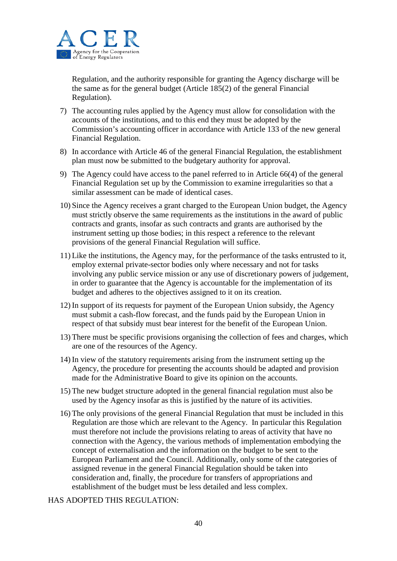

Regulation, and the authority responsible for granting the Agency discharge will be the same as for the general budget (Article 185(2) of the general Financial Regulation).

- 7) The accounting rules applied by the Agency must allow for consolidation with the accounts of the institutions, and to this end they must be adopted by the Commission's accounting officer in accordance with Article 133 of the new general Financial Regulation.
- 8) In accordance with Article 46 of the general Financial Regulation, the establishment plan must now be submitted to the budgetary authority for approval.
- 9) The Agency could have access to the panel referred to in Article 66(4) of the general Financial Regulation set up by the Commission to examine irregularities so that a similar assessment can be made of identical cases.
- 10) Since the Agency receives a grant charged to the European Union budget, the Agency must strictly observe the same requirements as the institutions in the award of public contracts and grants, insofar as such contracts and grants are authorised by the instrument setting up those bodies; in this respect a reference to the relevant provisions of the general Financial Regulation will suffice.
- 11) Like the institutions, the Agency may, for the performance of the tasks entrusted to it, employ external private-sector bodies only where necessary and not for tasks involving any public service mission or any use of discretionary powers of judgement, in order to guarantee that the Agency is accountable for the implementation of its budget and adheres to the objectives assigned to it on its creation.
- 12) In support of its requests for payment of the European Union subsidy, the Agency must submit a cash-flow forecast, and the funds paid by the European Union in respect of that subsidy must bear interest for the benefit of the European Union.
- 13) There must be specific provisions organising the collection of fees and charges, which are one of the resources of the Agency.
- 14) In view of the statutory requirements arising from the instrument setting up the Agency, the procedure for presenting the accounts should be adapted and provision made for the Administrative Board to give its opinion on the accounts.
- 15) The new budget structure adopted in the general financial regulation must also be used by the Agency insofar as this is justified by the nature of its activities.
- 16) The only provisions of the general Financial Regulation that must be included in this Regulation are those which are relevant to the Agency. In particular this Regulation must therefore not include the provisions relating to areas of activity that have no connection with the Agency, the various methods of implementation embodying the concept of externalisation and the information on the budget to be sent to the European Parliament and the Council. Additionally, only some of the categories of assigned revenue in the general Financial Regulation should be taken into consideration and, finally, the procedure for transfers of appropriations and establishment of the budget must be less detailed and less complex.

#### HAS ADOPTED THIS REGULATION: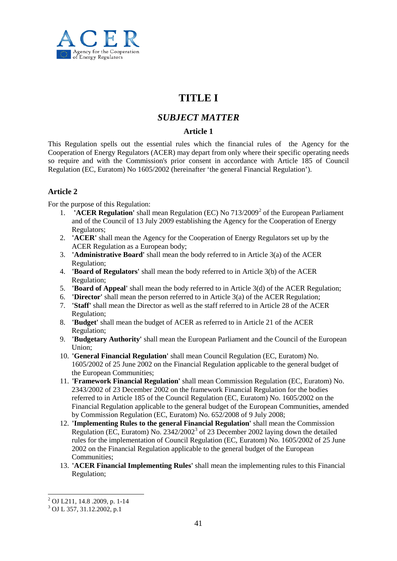

# **TITLE I**

## *SUBJECT MATTER*

## **Article 1**

This Regulation spells out the essential rules which the financial rules of the Agency for the Cooperation of Energy Regulators (ACER) may depart from only where their specific operating needs so require and with the Commission's prior consent in accordance with Article 185 of Council Regulation (EC, Euratom) No 1605/2002 (hereinafter 'the general Financial Regulation').

## **Article 2**

For the purpose of this Regulation:

- 1. **'ACER Regulation'** shall mean Regulation (EC) No 713/2009[2](#page-38-0) of the European Parliament and of the Council of 13 July 2009 establishing the Agency for the Cooperation of Energy Regulators;
- 2. **'ACER'** shall mean the Agency for the Cooperation of Energy Regulators set up by the ACER Regulation as a European body;
- 3. **'Administrative Board'** shall mean the body referred to in Article 3(a) of the ACER Regulation;
- 4. **'Board of Regulators'** shall mean the body referred to in Article 3(b) of the ACER Regulation;
- 5. **'Board of Appeal'** shall mean the body referred to in Article 3(d) of the ACER Regulation;
- 6. **'Director'** shall mean the person referred to in Article 3(a) of the ACER Regulation;
- 7. **'Staff'** shall mean the Director as well as the staff referred to in Article 28 of the ACER Regulation;
- 8. **'Budget'** shall mean the budget of ACER as referred to in Article 21 of the ACER Regulation;
- 9. **'Budgetary Authority'** shall mean the European Parliament and the Council of the European Union;
- 10. **'General Financial Regulation'** shall mean Council Regulation (EC, Euratom) No. 1605/2002 of 25 June 2002 on the Financial Regulation applicable to the general budget of the European Communities;
- 11. **'Framework Financial Regulation'** shall mean Commission Regulation (EC, Euratom) No. 2343/2002 of 23 December 2002 on the framework Financial Regulation for the bodies referred to in Article 185 of the Council Regulation (EC, Euratom) No. 1605/2002 on the Financial Regulation applicable to the general budget of the European Communities, amended by Commission Regulation (EC, Euratom) No. 652/2008 of 9 July 2008;
- 12. **'Implementing Rules to the general Financial Regulation'** shall mean the Commission Regulation (EC, Euratom) No. 2342/2002[3](#page-40-0) of 23 December 2002 laying down the detailed rules for the implementation of Council Regulation (EC, Euratom) No. 1605/2002 of 25 June 2002 on the Financial Regulation applicable to the general budget of the European Communities;
- 13. **'ACER Financial Implementing Rules'** shall mean the implementing rules to this Financial Regulation;

<span id="page-40-0"></span><sup>2</sup> OJ L211, 14.8 .2009, p. 1-14 <sup>3</sup> OJ L 357, 31.12.2002, p.1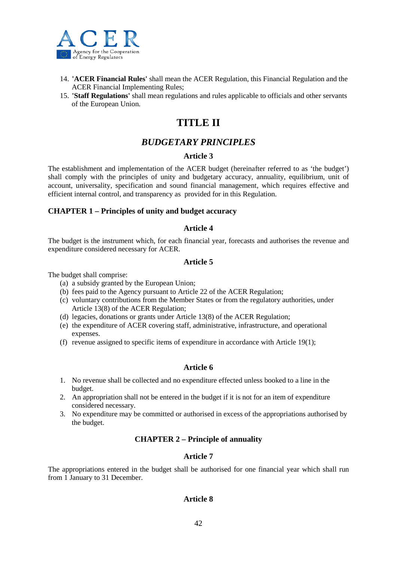

- 14. **'ACER Financial Rules'** shall mean the ACER Regulation, this Financial Regulation and the ACER Financial Implementing Rules;
- 15. **'Staff Regulations'** shall mean regulations and rules applicable to officials and other servants of the European Union.

# **TITLE II**

## *BUDGETARY PRINCIPLES*

#### **Article 3**

The establishment and implementation of the ACER budget (hereinafter referred to as 'the budget') shall comply with the principles of unity and budgetary accuracy, annuality, equilibrium, unit of account, universality, specification and sound financial management, which requires effective and efficient internal control, and transparency as provided for in this Regulation.

#### **CHAPTER 1 – Principles of unity and budget accuracy**

#### **Article 4**

The budget is the instrument which, for each financial year, forecasts and authorises the revenue and expenditure considered necessary for ACER.

#### **Article 5**

The budget shall comprise:

- (a) a subsidy granted by the European Union;
- (b) fees paid to the Agency pursuant to Article 22 of the ACER Regulation;
- (c) voluntary contributions from the Member States or from the regulatory authorities, under Article 13(8) of the ACER Regulation;
- (d) legacies, donations or grants under Article 13(8) of the ACER Regulation;
- (e) the expenditure of ACER covering staff, administrative, infrastructure, and operational expenses.
- (f) revenue assigned to specific items of expenditure in accordance with Article 19(1);

#### **Article 6**

- 1. No revenue shall be collected and no expenditure effected unless booked to a line in the budget.
- 2. An appropriation shall not be entered in the budget if it is not for an item of expenditure considered necessary.
- 3. No expenditure may be committed or authorised in excess of the appropriations authorised by the budget.

#### **CHAPTER 2 – Principle of annuality**

#### **Article 7**

The appropriations entered in the budget shall be authorised for one financial year which shall run from 1 January to 31 December.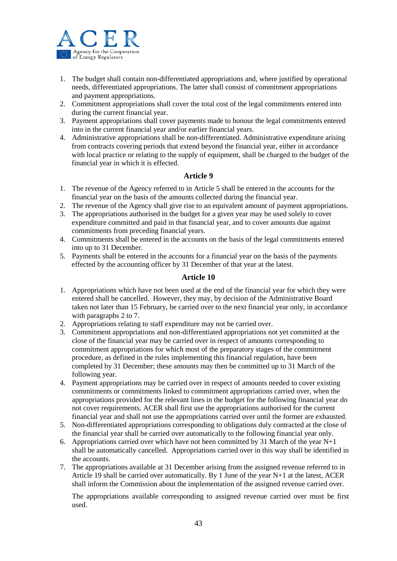

- 1. The budget shall contain non-differentiated appropriations and, where justified by operational needs, differentiated appropriations. The latter shall consist of commitment appropriations and payment appropriations.
- 2. Commitment appropriations shall cover the total cost of the legal commitments entered into during the current financial year.
- 3. Payment appropriations shall cover payments made to honour the legal commitments entered into in the current financial year and/or earlier financial years.
- 4. Administrative appropriations shall be non-differentiated. Administrative expenditure arising from contracts covering periods that extend beyond the financial year, either in accordance with local practice or relating to the supply of equipment, shall be charged to the budget of the financial year in which it is effected.

#### **Article 9**

- 1. The revenue of the Agency referred to in Article 5 shall be entered in the accounts for the financial year on the basis of the amounts collected during the financial year.
- 2. The revenue of the Agency shall give rise to an equivalent amount of payment appropriations.
- 3. The appropriations authorised in the budget for a given year may be used solely to cover expenditure committed and paid in that financial year, and to cover amounts due against commitments from preceding financial years.
- 4. Commitments shall be entered in the accounts on the basis of the legal commitments entered into up to 31 December.
- 5. Payments shall be entered in the accounts for a financial year on the basis of the payments effected by the accounting officer by 31 December of that year at the latest.

#### **Article 10**

- 1. Appropriations which have not been used at the end of the financial year for which they were entered shall be cancelled. However, they may, by decision of the Administrative Board taken not later than 15 February, be carried over to the next financial year only, in accordance with paragraphs 2 to 7.
- 2. Appropriations relating to staff expenditure may not be carried over.
- 3. Commitment appropriations and non-differentiated appropriations not yet committed at the close of the financial year may be carried over in respect of amounts corresponding to commitment appropriations for which most of the preparatory stages of the commitment procedure, as defined in the rules implementing this financial regulation, have been completed by 31 December; these amounts may then be committed up to 31 March of the following year.
- 4. Payment appropriations may be carried over in respect of amounts needed to cover existing commitments or commitments linked to commitment appropriations carried over, when the appropriations provided for the relevant lines in the budget for the following financial year do not cover requirements. ACER shall first use the appropriations authorised for the current financial year and shall not use the appropriations carried over until the former are exhausted.
- 5. Non-differentiated appropriations corresponding to obligations duly contracted at the close of the financial year shall be carried over automatically to the following financial year only.
- 6. Appropriations carried over which have not been committed by 31 March of the year  $N+1$ shall be automatically cancelled. Appropriations carried over in this way shall be identified in the accounts.
- 7. The appropriations available at 31 December arising from the assigned revenue referred to in Article 19 shall be carried over automatically. By 1 June of the year N+1 at the latest, ACER shall inform the Commission about the implementation of the assigned revenue carried over.

The appropriations available corresponding to assigned revenue carried over must be first used.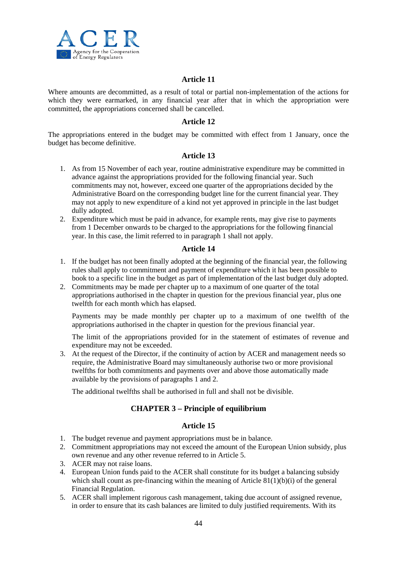

#### **Article 11**

Where amounts are decommitted, as a result of total or partial non-implementation of the actions for which they were earmarked, in any financial year after that in which the appropriation were committed, the appropriations concerned shall be cancelled.

#### **Article 12**

The appropriations entered in the budget may be committed with effect from 1 January, once the budget has become definitive.

#### **Article 13**

- 1. As from 15 November of each year, routine administrative expenditure may be committed in advance against the appropriations provided for the following financial year. Such commitments may not, however, exceed one quarter of the appropriations decided by the Administrative Board on the corresponding budget line for the current financial year. They may not apply to new expenditure of a kind not yet approved in principle in the last budget dully adopted.
- 2. Expenditure which must be paid in advance, for example rents, may give rise to payments from 1 December onwards to be charged to the appropriations for the following financial year. In this case, the limit referred to in paragraph 1 shall not apply.

#### **Article 14**

- 1. If the budget has not been finally adopted at the beginning of the financial year, the following rules shall apply to commitment and payment of expenditure which it has been possible to book to a specific line in the budget as part of implementation of the last budget duly adopted.
- 2. Commitments may be made per chapter up to a maximum of one quarter of the total appropriations authorised in the chapter in question for the previous financial year, plus one twelfth for each month which has elapsed.

Payments may be made monthly per chapter up to a maximum of one twelfth of the appropriations authorised in the chapter in question for the previous financial year.

The limit of the appropriations provided for in the statement of estimates of revenue and expenditure may not be exceeded.

3. At the request of the Director, if the continuity of action by ACER and management needs so require, the Administrative Board may simultaneously authorise two or more provisional twelfths for both commitments and payments over and above those automatically made available by the provisions of paragraphs 1 and 2.

The additional twelfths shall be authorised in full and shall not be divisible.

## **CHAPTER 3 – Principle of equilibrium**

- 1. The budget revenue and payment appropriations must be in balance.
- 2. Commitment appropriations may not exceed the amount of the European Union subsidy, plus own revenue and any other revenue referred to in Article 5.
- 3. ACER may not raise loans.
- 4. European Union funds paid to the ACER shall constitute for its budget a balancing subsidy which shall count as pre-financing within the meaning of Article  $81(1)(b)(i)$  of the general Financial Regulation.
- 5. ACER shall implement rigorous cash management, taking due account of assigned revenue, in order to ensure that its cash balances are limited to duly justified requirements. With its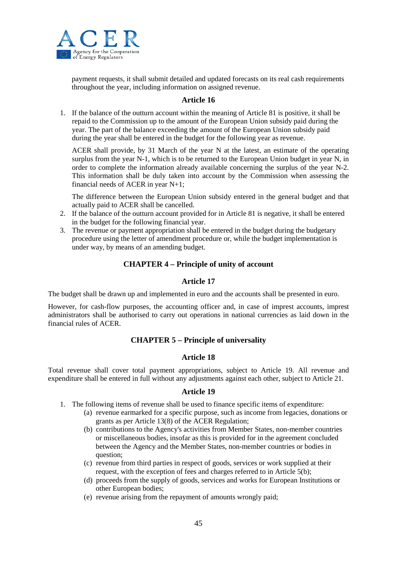

payment requests, it shall submit detailed and updated forecasts on its real cash requirements throughout the year, including information on assigned revenue.

#### **Article 16**

1. If the balance of the outturn account within the meaning of Article 81 is positive, it shall be repaid to the Commission up to the amount of the European Union subsidy paid during the year. The part of the balance exceeding the amount of the European Union subsidy paid during the year shall be entered in the budget for the following year as revenue.

ACER shall provide, by 31 March of the year N at the latest, an estimate of the operating surplus from the year N-1, which is to be returned to the European Union budget in year N, in order to complete the information already available concerning the surplus of the year N-2. This information shall be duly taken into account by the Commission when assessing the financial needs of ACER in year N+1;

The difference between the European Union subsidy entered in the general budget and that actually paid to ACER shall be cancelled.

- 2. If the balance of the outturn account provided for in Article 81 is negative, it shall be entered in the budget for the following financial year.
- 3. The revenue or payment appropriation shall be entered in the budget during the budgetary procedure using the letter of amendment procedure or, while the budget implementation is under way, by means of an amending budget.

#### **CHAPTER 4 – Principle of unity of account**

#### **Article 17**

The budget shall be drawn up and implemented in euro and the accounts shall be presented in euro.

However, for cash-flow purposes, the accounting officer and, in case of imprest accounts, imprest administrators shall be authorised to carry out operations in national currencies as laid down in the financial rules of ACER.

## **CHAPTER 5 – Principle of universality**

#### **Article 18**

Total revenue shall cover total payment appropriations, subject to Article 19. All revenue and expenditure shall be entered in full without any adjustments against each other, subject to Article 21.

- 1. The following items of revenue shall be used to finance specific items of expenditure:
	- (a) revenue earmarked for a specific purpose, such as income from legacies, donations or grants as per Article 13(8) of the ACER Regulation;
	- (b) contributions to the Agency's activities from Member States, non-member countries or miscellaneous bodies, insofar as this is provided for in the agreement concluded between the Agency and the Member States, non-member countries or bodies in question;
	- (c) revenue from third parties in respect of goods, services or work supplied at their request, with the exception of fees and charges referred to in Article 5(b);
	- (d) proceeds from the supply of goods, services and works for European Institutions or other European bodies;
	- (e) revenue arising from the repayment of amounts wrongly paid;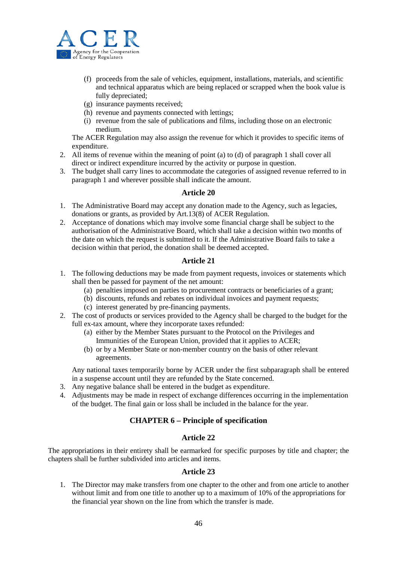

- (f) proceeds from the sale of vehicles, equipment, installations, materials, and scientific and technical apparatus which are being replaced or scrapped when the book value is fully depreciated;
- (g) insurance payments received;
- (h) revenue and payments connected with lettings;
- (i) revenue from the sale of publications and films, including those on an electronic medium.

The ACER Regulation may also assign the revenue for which it provides to specific items of expenditure.

- 2. All items of revenue within the meaning of point (a) to (d) of paragraph 1 shall cover all direct or indirect expenditure incurred by the activity or purpose in question.
- 3. The budget shall carry lines to accommodate the categories of assigned revenue referred to in paragraph 1 and wherever possible shall indicate the amount.

#### **Article 20**

- 1. The Administrative Board may accept any donation made to the Agency, such as legacies, donations or grants, as provided by Art.13(8) of ACER Regulation.
- 2. Acceptance of donations which may involve some financial charge shall be subject to the authorisation of the Administrative Board, which shall take a decision within two months of the date on which the request is submitted to it. If the Administrative Board fails to take a decision within that period, the donation shall be deemed accepted.

#### **Article 21**

- 1. The following deductions may be made from payment requests, invoices or statements which shall then be passed for payment of the net amount:
	- (a) penalties imposed on parties to procurement contracts or beneficiaries of a grant;
	- (b) discounts, refunds and rebates on individual invoices and payment requests;
	- (c) interest generated by pre-financing payments.
- 2. The cost of products or services provided to the Agency shall be charged to the budget for the full ex-tax amount, where they incorporate taxes refunded:
	- (a) either by the Member States pursuant to the Protocol on the Privileges and Immunities of the European Union, provided that it applies to ACER;
	- (b) or by a Member State or non-member country on the basis of other relevant agreements.

Any national taxes temporarily borne by ACER under the first subparagraph shall be entered in a suspense account until they are refunded by the State concerned.

- 3. Any negative balance shall be entered in the budget as expenditure.
- 4. Adjustments may be made in respect of exchange differences occurring in the implementation of the budget. The final gain or loss shall be included in the balance for the year.

#### **CHAPTER 6 – Principle of specification**

#### **Article 22**

The appropriations in their entirety shall be earmarked for specific purposes by title and chapter; the chapters shall be further subdivided into articles and items.

#### **Article 23**

1. The Director may make transfers from one chapter to the other and from one article to another without limit and from one title to another up to a maximum of 10% of the appropriations for the financial year shown on the line from which the transfer is made.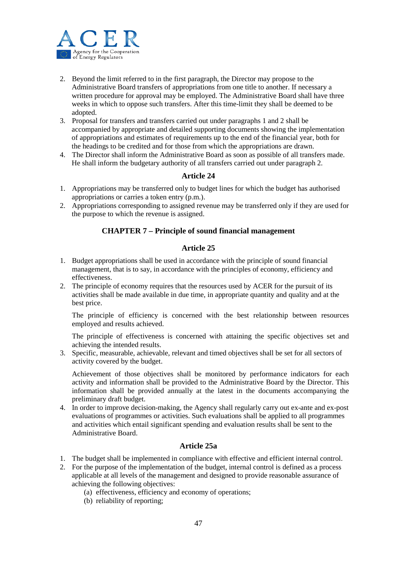

- 2. Beyond the limit referred to in the first paragraph, the Director may propose to the Administrative Board transfers of appropriations from one title to another. If necessary a written procedure for approval may be employed. The Administrative Board shall have three weeks in which to oppose such transfers. After this time-limit they shall be deemed to be adopted.
- 3. Proposal for transfers and transfers carried out under paragraphs 1 and 2 shall be accompanied by appropriate and detailed supporting documents showing the implementation of appropriations and estimates of requirements up to the end of the financial year, both for the headings to be credited and for those from which the appropriations are drawn.
- 4. The Director shall inform the Administrative Board as soon as possible of all transfers made. He shall inform the budgetary authority of all transfers carried out under paragraph 2.

#### **Article 24**

- 1. Appropriations may be transferred only to budget lines for which the budget has authorised appropriations or carries a token entry (p.m.).
- 2. Appropriations corresponding to assigned revenue may be transferred only if they are used for the purpose to which the revenue is assigned.

#### **CHAPTER 7 – Principle of sound financial management**

#### **Article 25**

- 1. Budget appropriations shall be used in accordance with the principle of sound financial management, that is to say, in accordance with the principles of economy, efficiency and effectiveness.
- 2. The principle of economy requires that the resources used by ACER for the pursuit of its activities shall be made available in due time, in appropriate quantity and quality and at the best price.

The principle of efficiency is concerned with the best relationship between resources employed and results achieved.

The principle of effectiveness is concerned with attaining the specific objectives set and achieving the intended results.

3. Specific, measurable, achievable, relevant and timed objectives shall be set for all sectors of activity covered by the budget.

Achievement of those objectives shall be monitored by performance indicators for each activity and information shall be provided to the Administrative Board by the Director. This information shall be provided annually at the latest in the documents accompanying the preliminary draft budget.

4. In order to improve decision-making, the Agency shall regularly carry out ex-ante and ex-post evaluations of programmes or activities. Such evaluations shall be applied to all programmes and activities which entail significant spending and evaluation results shall be sent to the Administrative Board.

#### **Article 25a**

- 1. The budget shall be implemented in compliance with effective and efficient internal control.
- 2. For the purpose of the implementation of the budget, internal control is defined as a process applicable at all levels of the management and designed to provide reasonable assurance of achieving the following objectives:
	- (a) effectiveness, efficiency and economy of operations;
	- (b) reliability of reporting;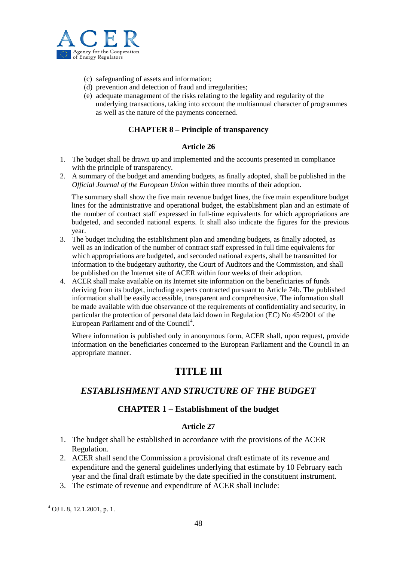

- (c) safeguarding of assets and information;
- (d) prevention and detection of fraud and irregularities;
- (e) adequate management of the risks relating to the legality and regularity of the underlying transactions, taking into account the multiannual character of programmes as well as the nature of the payments concerned.

## **CHAPTER 8 – Principle of transparency**

#### **Article 26**

- 1. The budget shall be drawn up and implemented and the accounts presented in compliance with the principle of transparency.
- 2. A summary of the budget and amending budgets, as finally adopted, shall be published in the *Official Journal of the European Union* within three months of their adoption.

The summary shall show the five main revenue budget lines, the five main expenditure budget lines for the administrative and operational budget, the establishment plan and an estimate of the number of contract staff expressed in full-time equivalents for which appropriations are budgeted, and seconded national experts. It shall also indicate the figures for the previous year.

- 3. The budget including the establishment plan and amending budgets, as finally adopted, as well as an indication of the number of contract staff expressed in full time equivalents for which appropriations are budgeted, and seconded national experts, shall be transmitted for information to the budgetary authority, the Court of Auditors and the Commission, and shall be published on the Internet site of ACER within four weeks of their adoption.
- 4. ACER shall make available on its Internet site information on the beneficiaries of funds deriving from its budget, including experts contracted pursuant to Article 74b. The published information shall be easily accessible, transparent and comprehensive. The information shall be made available with due observance of the requirements of confidentiality and security, in particular the protection of personal data laid down in Regulation (EC) No 45/2001 of the European Parliament and of the Council<sup>[4](#page-40-0)</sup>.

Where information is published only in anonymous form, ACER shall, upon request, provide information on the beneficiaries concerned to the European Parliament and the Council in an appropriate manner.

# **TITLE III**

## *ESTABLISHMENT AND STRUCTURE OF THE BUDGET*

## **CHAPTER 1 – Establishment of the budget**

- 1. The budget shall be established in accordance with the provisions of the ACER Regulation.
- 2. ACER shall send the Commission a provisional draft estimate of its revenue and expenditure and the general guidelines underlying that estimate by 10 February each year and the final draft estimate by the date specified in the constituent instrument.
- 3. The estimate of revenue and expenditure of ACER shall include:

<span id="page-47-0"></span><sup>4</sup> OJ L 8, 12.1.2001, p. 1.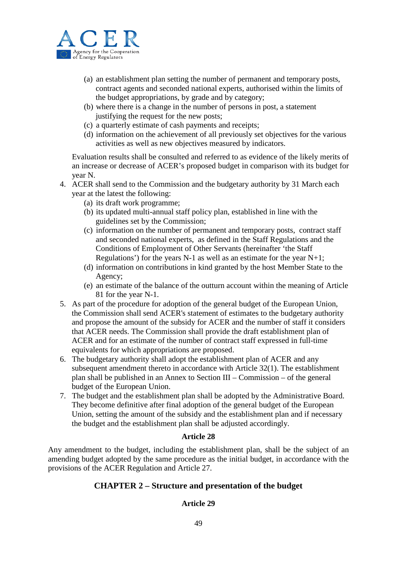

- (a) an establishment plan setting the number of permanent and temporary posts, contract agents and seconded national experts, authorised within the limits of the budget appropriations, by grade and by category;
- (b) where there is a change in the number of persons in post, a statement justifying the request for the new posts;
- (c) a quarterly estimate of cash payments and receipts;
- (d) information on the achievement of all previously set objectives for the various activities as well as new objectives measured by indicators.

Evaluation results shall be consulted and referred to as evidence of the likely merits of an increase or decrease of ACER's proposed budget in comparison with its budget for year N.

- 4. ACER shall send to the Commission and the budgetary authority by 31 March each year at the latest the following:
	- (a) its draft work programme;
	- (b) its updated multi-annual staff policy plan, established in line with the guidelines set by the Commission;
	- (c) information on the number of permanent and temporary posts, contract staff and seconded national experts, as defined in the Staff Regulations and the Conditions of Employment of Other Servants (hereinafter 'the Staff Regulations') for the years N-1 as well as an estimate for the year  $N+1$ ;
	- (d) information on contributions in kind granted by the host Member State to the Agency;
	- (e) an estimate of the balance of the outturn account within the meaning of Article 81 for the year N-1.
- 5. As part of the procedure for adoption of the general budget of the European Union, the Commission shall send ACER's statement of estimates to the budgetary authority and propose the amount of the subsidy for ACER and the number of staff it considers that ACER needs. The Commission shall provide the draft establishment plan of ACER and for an estimate of the number of contract staff expressed in full-time equivalents for which appropriations are proposed.
- 6. The budgetary authority shall adopt the establishment plan of ACER and any subsequent amendment thereto in accordance with Article 32(1). The establishment plan shall be published in an Annex to Section III – Commission – of the general budget of the European Union.
- 7. The budget and the establishment plan shall be adopted by the Administrative Board. They become definitive after final adoption of the general budget of the European Union, setting the amount of the subsidy and the establishment plan and if necessary the budget and the establishment plan shall be adjusted accordingly.

## **Article 28**

Any amendment to the budget, including the establishment plan, shall be the subject of an amending budget adopted by the same procedure as the initial budget, in accordance with the provisions of the ACER Regulation and Article 27.

## **CHAPTER 2 – Structure and presentation of the budget**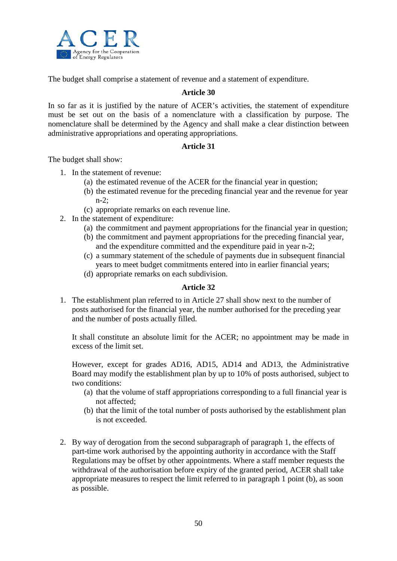

The budget shall comprise a statement of revenue and a statement of expenditure.

#### **Article 30**

In so far as it is justified by the nature of ACER's activities, the statement of expenditure must be set out on the basis of a nomenclature with a classification by purpose. The nomenclature shall be determined by the Agency and shall make a clear distinction between administrative appropriations and operating appropriations.

#### **Article 31**

The budget shall show:

- 1. In the statement of revenue:
	- (a) the estimated revenue of the ACER for the financial year in question;
	- (b) the estimated revenue for the preceding financial year and the revenue for year n-2;
	- (c) appropriate remarks on each revenue line.
- 2. In the statement of expenditure:
	- (a) the commitment and payment appropriations for the financial year in question;
	- (b) the commitment and payment appropriations for the preceding financial year, and the expenditure committed and the expenditure paid in year n-2;
	- (c) a summary statement of the schedule of payments due in subsequent financial years to meet budget commitments entered into in earlier financial years;
	- (d) appropriate remarks on each subdivision.

## **Article 32**

1. The establishment plan referred to in Article 27 shall show next to the number of posts authorised for the financial year, the number authorised for the preceding year and the number of posts actually filled.

It shall constitute an absolute limit for the ACER; no appointment may be made in excess of the limit set.

However, except for grades AD16, AD15, AD14 and AD13, the Administrative Board may modify the establishment plan by up to 10% of posts authorised, subject to two conditions:

- (a) that the volume of staff appropriations corresponding to a full financial year is not affected;
- (b) that the limit of the total number of posts authorised by the establishment plan is not exceeded.
- 2. By way of derogation from the second subparagraph of paragraph 1, the effects of part-time work authorised by the appointing authority in accordance with the Staff Regulations may be offset by other appointments. Where a staff member requests the withdrawal of the authorisation before expiry of the granted period, ACER shall take appropriate measures to respect the limit referred to in paragraph 1 point (b), as soon as possible.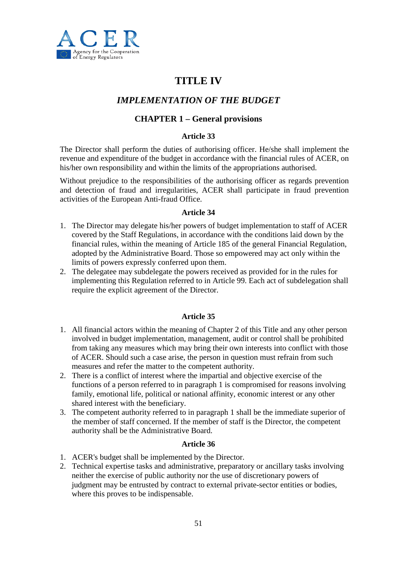

# **TITLE IV**

## *IMPLEMENTATION OF THE BUDGET*

## **CHAPTER 1 – General provisions**

## **Article 33**

The Director shall perform the duties of authorising officer. He/she shall implement the revenue and expenditure of the budget in accordance with the financial rules of ACER, on his/her own responsibility and within the limits of the appropriations authorised.

Without prejudice to the responsibilities of the authorising officer as regards prevention and detection of fraud and irregularities, ACER shall participate in fraud prevention activities of the European Anti-fraud Office.

#### **Article 34**

- 1. The Director may delegate his/her powers of budget implementation to staff of ACER covered by the Staff Regulations, in accordance with the conditions laid down by the financial rules, within the meaning of Article 185 of the general Financial Regulation, adopted by the Administrative Board. Those so empowered may act only within the limits of powers expressly conferred upon them.
- 2. The delegatee may subdelegate the powers received as provided for in the rules for implementing this Regulation referred to in Article 99. Each act of subdelegation shall require the explicit agreement of the Director.

## **Article 35**

- 1. All financial actors within the meaning of Chapter 2 of this Title and any other person involved in budget implementation, management, audit or control shall be prohibited from taking any measures which may bring their own interests into conflict with those of ACER. Should such a case arise, the person in question must refrain from such measures and refer the matter to the competent authority.
- 2. There is a conflict of interest where the impartial and objective exercise of the functions of a person referred to in paragraph 1 is compromised for reasons involving family, emotional life, political or national affinity, economic interest or any other shared interest with the beneficiary.
- 3. The competent authority referred to in paragraph 1 shall be the immediate superior of the member of staff concerned. If the member of staff is the Director, the competent authority shall be the Administrative Board.

- 1. ACER's budget shall be implemented by the Director.
- 2. Technical expertise tasks and administrative, preparatory or ancillary tasks involving neither the exercise of public authority nor the use of discretionary powers of judgment may be entrusted by contract to external private-sector entities or bodies, where this proves to be indispensable.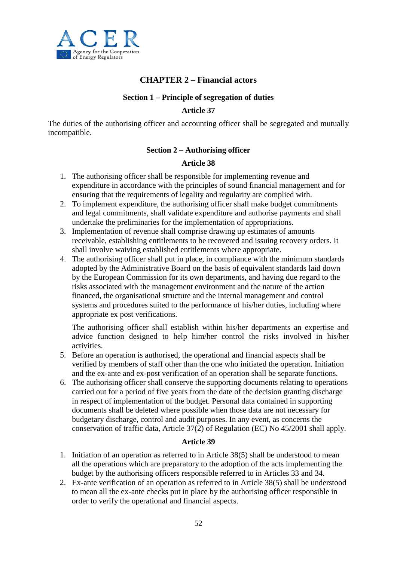

## **CHAPTER 2 – Financial actors**

## **Section 1 – Principle of segregation of duties**

### **Article 37**

The duties of the authorising officer and accounting officer shall be segregated and mutually incompatible.

#### **Section 2 – Authorising officer**

#### **Article 38**

- 1. The authorising officer shall be responsible for implementing revenue and expenditure in accordance with the principles of sound financial management and for ensuring that the requirements of legality and regularity are complied with.
- 2. To implement expenditure, the authorising officer shall make budget commitments and legal commitments, shall validate expenditure and authorise payments and shall undertake the preliminaries for the implementation of appropriations.
- 3. Implementation of revenue shall comprise drawing up estimates of amounts receivable, establishing entitlements to be recovered and issuing recovery orders. It shall involve waiving established entitlements where appropriate.
- 4. The authorising officer shall put in place, in compliance with the minimum standards adopted by the Administrative Board on the basis of equivalent standards laid down by the European Commission for its own departments, and having due regard to the risks associated with the management environment and the nature of the action financed, the organisational structure and the internal management and control systems and procedures suited to the performance of his/her duties, including where appropriate ex post verifications.

The authorising officer shall establish within his/her departments an expertise and advice function designed to help him/her control the risks involved in his/her activities.

- 5. Before an operation is authorised, the operational and financial aspects shall be verified by members of staff other than the one who initiated the operation. Initiation and the ex-ante and ex-post verification of an operation shall be separate functions.
- 6. The authorising officer shall conserve the supporting documents relating to operations carried out for a period of five years from the date of the decision granting discharge in respect of implementation of the budget. Personal data contained in supporting documents shall be deleted where possible when those data are not necessary for budgetary discharge, control and audit purposes. In any event, as concerns the conservation of traffic data, Article 37(2) of Regulation (EC) No 45/2001 shall apply.

- 1. Initiation of an operation as referred to in Article 38(5) shall be understood to mean all the operations which are preparatory to the adoption of the acts implementing the budget by the authorising officers responsible referred to in Articles 33 and 34.
- 2. Ex-ante verification of an operation as referred to in Article 38(5) shall be understood to mean all the ex-ante checks put in place by the authorising officer responsible in order to verify the operational and financial aspects.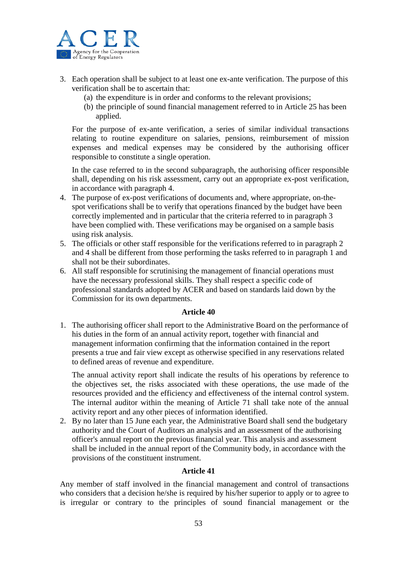

- 3. Each operation shall be subject to at least one ex-ante verification. The purpose of this verification shall be to ascertain that:
	- (a) the expenditure is in order and conforms to the relevant provisions;
	- (b) the principle of sound financial management referred to in Article 25 has been applied.

For the purpose of ex-ante verification, a series of similar individual transactions relating to routine expenditure on salaries, pensions, reimbursement of mission expenses and medical expenses may be considered by the authorising officer responsible to constitute a single operation.

In the case referred to in the second subparagraph, the authorising officer responsible shall, depending on his risk assessment, carry out an appropriate ex-post verification, in accordance with paragraph 4.

- 4. The purpose of ex-post verifications of documents and, where appropriate, on-thespot verifications shall be to verify that operations financed by the budget have been correctly implemented and in particular that the criteria referred to in paragraph 3 have been complied with. These verifications may be organised on a sample basis using risk analysis.
- 5. The officials or other staff responsible for the verifications referred to in paragraph 2 and 4 shall be different from those performing the tasks referred to in paragraph 1 and shall not be their subordinates.
- 6. All staff responsible for scrutinising the management of financial operations must have the necessary professional skills. They shall respect a specific code of professional standards adopted by ACER and based on standards laid down by the Commission for its own departments.

## **Article 40**

1. The authorising officer shall report to the Administrative Board on the performance of his duties in the form of an annual activity report, together with financial and management information confirming that the information contained in the report presents a true and fair view except as otherwise specified in any reservations related to defined areas of revenue and expenditure.

The annual activity report shall indicate the results of his operations by reference to the objectives set, the risks associated with these operations, the use made of the resources provided and the efficiency and effectiveness of the internal control system. The internal auditor within the meaning of Article 71 shall take note of the annual activity report and any other pieces of information identified.

2. By no later than 15 June each year, the Administrative Board shall send the budgetary authority and the Court of Auditors an analysis and an assessment of the authorising officer's annual report on the previous financial year. This analysis and assessment shall be included in the annual report of the Community body, in accordance with the provisions of the constituent instrument.

## **Article 41**

Any member of staff involved in the financial management and control of transactions who considers that a decision he/she is required by his/her superior to apply or to agree to is irregular or contrary to the principles of sound financial management or the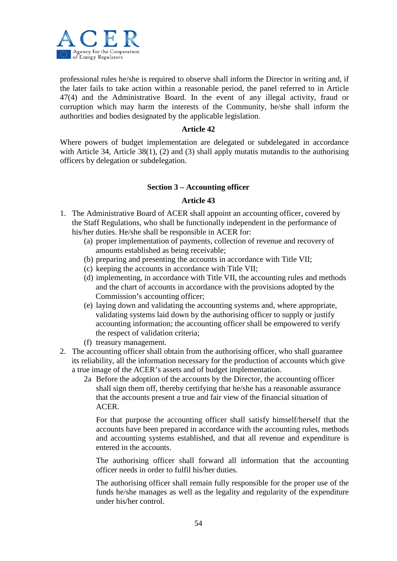

professional rules he/she is required to observe shall inform the Director in writing and, if the later fails to take action within a reasonable period, the panel referred to in Article 47(4) and the Administrative Board. In the event of any illegal activity, fraud or corruption which may harm the interests of the Community, he/she shall inform the authorities and bodies designated by the applicable legislation.

#### **Article 42**

Where powers of budget implementation are delegated or subdelegated in accordance with Article 34, Article 38(1), (2) and (3) shall apply mutatis mutandis to the authorising officers by delegation or subdelegation.

#### **Section 3 – Accounting officer**

#### **Article 43**

- 1. The Administrative Board of ACER shall appoint an accounting officer, covered by the Staff Regulations, who shall be functionally independent in the performance of his/her duties. He/she shall be responsible in ACER for:
	- (a) proper implementation of payments, collection of revenue and recovery of amounts established as being receivable;
	- (b) preparing and presenting the accounts in accordance with Title VII;
	- (c) keeping the accounts in accordance with Title VII;
	- (d) implementing, in accordance with Title VII, the accounting rules and methods and the chart of accounts in accordance with the provisions adopted by the Commission's accounting officer;
	- (e) laying down and validating the accounting systems and, where appropriate, validating systems laid down by the authorising officer to supply or justify accounting information; the accounting officer shall be empowered to verify the respect of validation criteria;
	- (f) treasury management.
- 2. The accounting officer shall obtain from the authorising officer, who shall guarantee its reliability, all the information necessary for the production of accounts which give a true image of the ACER's assets and of budget implementation.
	- 2a Before the adoption of the accounts by the Director, the accounting officer shall sign them off, thereby certifying that he/she has a reasonable assurance that the accounts present a true and fair view of the financial situation of ACER.

For that purpose the accounting officer shall satisfy himself/herself that the accounts have been prepared in accordance with the accounting rules, methods and accounting systems established, and that all revenue and expenditure is entered in the accounts.

The authorising officer shall forward all information that the accounting officer needs in order to fulfil his/her duties.

The authorising officer shall remain fully responsible for the proper use of the funds he/she manages as well as the legality and regularity of the expenditure under his/her control.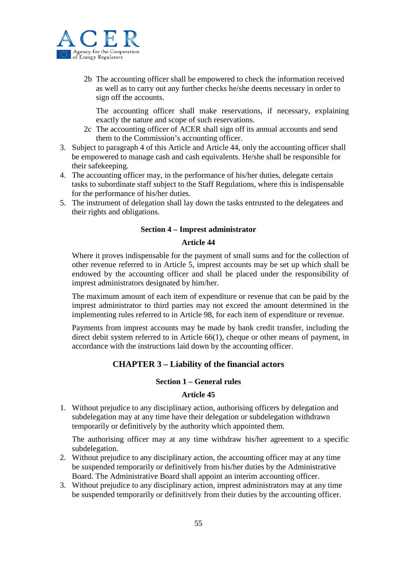

2b The accounting officer shall be empowered to check the information received as well as to carry out any further checks he/she deems necessary in order to sign off the accounts.

The accounting officer shall make reservations, if necessary, explaining exactly the nature and scope of such reservations.

- 2c The accounting officer of ACER shall sign off its annual accounts and send them to the Commission's accounting officer.
- 3. Subject to paragraph 4 of this Article and Article 44, only the accounting officer shall be empowered to manage cash and cash equivalents. He/she shall be responsible for their safekeeping.
- 4. The accounting officer may, in the performance of his/her duties, delegate certain tasks to subordinate staff subject to the Staff Regulations, where this is indispensable for the performance of his/her duties.
- 5. The instrument of delegation shall lay down the tasks entrusted to the delegatees and their rights and obligations.

#### **Section 4 – Imprest administrator**

#### **Article 44**

Where it proves indispensable for the payment of small sums and for the collection of other revenue referred to in Article 5, imprest accounts may be set up which shall be endowed by the accounting officer and shall be placed under the responsibility of imprest administrators designated by him/her.

The maximum amount of each item of expenditure or revenue that can be paid by the imprest administrator to third parties may not exceed the amount determined in the implementing rules referred to in Article 98, for each item of expenditure or revenue.

Payments from imprest accounts may be made by bank credit transfer, including the direct debit system referred to in Article 66(1), cheque or other means of payment, in accordance with the instructions laid down by the accounting officer.

## **CHAPTER 3 – Liability of the financial actors**

#### **Section 1 – General rules**

#### **Article 45**

1. Without prejudice to any disciplinary action, authorising officers by delegation and subdelegation may at any time have their delegation or subdelegation withdrawn temporarily or definitively by the authority which appointed them.

The authorising officer may at any time withdraw his/her agreement to a specific subdelegation.

- 2. Without prejudice to any disciplinary action, the accounting officer may at any time be suspended temporarily or definitively from his/her duties by the Administrative Board. The Administrative Board shall appoint an interim accounting officer.
- 3. Without prejudice to any disciplinary action, imprest administrators may at any time be suspended temporarily or definitively from their duties by the accounting officer.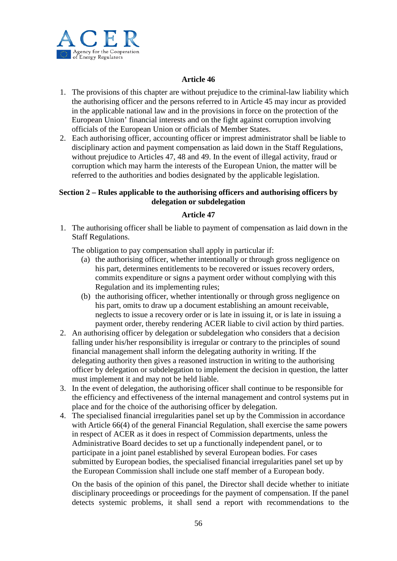

## **Article 46**

- 1. The provisions of this chapter are without prejudice to the criminal-law liability which the authorising officer and the persons referred to in Article 45 may incur as provided in the applicable national law and in the provisions in force on the protection of the European Union' financial interests and on the fight against corruption involving officials of the European Union or officials of Member States.
- 2. Each authorising officer, accounting officer or imprest administrator shall be liable to disciplinary action and payment compensation as laid down in the Staff Regulations, without prejudice to Articles 47, 48 and 49. In the event of illegal activity, fraud or corruption which may harm the interests of the European Union, the matter will be referred to the authorities and bodies designated by the applicable legislation.

#### **Section 2 – Rules applicable to the authorising officers and authorising officers by delegation or subdelegation**

## **Article 47**

1. The authorising officer shall be liable to payment of compensation as laid down in the Staff Regulations.

The obligation to pay compensation shall apply in particular if:

- (a) the authorising officer, whether intentionally or through gross negligence on his part, determines entitlements to be recovered or issues recovery orders, commits expenditure or signs a payment order without complying with this Regulation and its implementing rules;
- (b) the authorising officer, whether intentionally or through gross negligence on his part, omits to draw up a document establishing an amount receivable, neglects to issue a recovery order or is late in issuing it, or is late in issuing a payment order, thereby rendering ACER liable to civil action by third parties.
- 2. An authorising officer by delegation or subdelegation who considers that a decision falling under his/her responsibility is irregular or contrary to the principles of sound financial management shall inform the delegating authority in writing. If the delegating authority then gives a reasoned instruction in writing to the authorising officer by delegation or subdelegation to implement the decision in question, the latter must implement it and may not be held liable.
- 3. In the event of delegation, the authorising officer shall continue to be responsible for the efficiency and effectiveness of the internal management and control systems put in place and for the choice of the authorising officer by delegation.
- 4. The specialised financial irregularities panel set up by the Commission in accordance with Article 66(4) of the general Financial Regulation, shall exercise the same powers in respect of ACER as it does in respect of Commission departments, unless the Administrative Board decides to set up a functionally independent panel, or to participate in a joint panel established by several European bodies. For cases submitted by European bodies, the specialised financial irregularities panel set up by the European Commission shall include one staff member of a European body.

On the basis of the opinion of this panel, the Director shall decide whether to initiate disciplinary proceedings or proceedings for the payment of compensation. If the panel detects systemic problems, it shall send a report with recommendations to the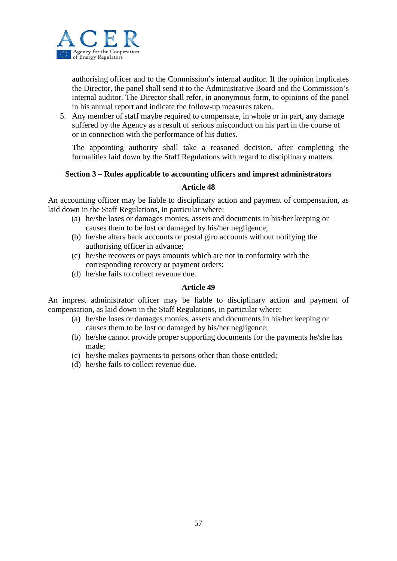

authorising officer and to the Commission's internal auditor. If the opinion implicates the Director, the panel shall send it to the Administrative Board and the Commission's internal auditor. The Director shall refer, in anonymous form, to opinions of the panel in his annual report and indicate the follow-up measures taken.

5. Any member of staff maybe required to compensate, in whole or in part, any damage suffered by the Agency as a result of serious misconduct on his part in the course of or in connection with the performance of his duties.

The appointing authority shall take a reasoned decision, after completing the formalities laid down by the Staff Regulations with regard to disciplinary matters.

#### **Section 3 – Rules applicable to accounting officers and imprest administrators**

#### **Article 48**

An accounting officer may be liable to disciplinary action and payment of compensation, as laid down in the Staff Regulations, in particular where:

- (a) he/she loses or damages monies, assets and documents in his/her keeping or causes them to be lost or damaged by his/her negligence;
- (b) he/she alters bank accounts or postal giro accounts without notifying the authorising officer in advance;
- (c) he/she recovers or pays amounts which are not in conformity with the corresponding recovery or payment orders;
- (d) he/she fails to collect revenue due.

## **Article 49**

An imprest administrator officer may be liable to disciplinary action and payment of compensation, as laid down in the Staff Regulations, in particular where:

- (a) he/she loses or damages monies, assets and documents in his/her keeping or causes them to be lost or damaged by his/her negligence;
- (b) he/she cannot provide proper supporting documents for the payments he/she has made;
- (c) he/she makes payments to persons other than those entitled;
- (d) he/she fails to collect revenue due.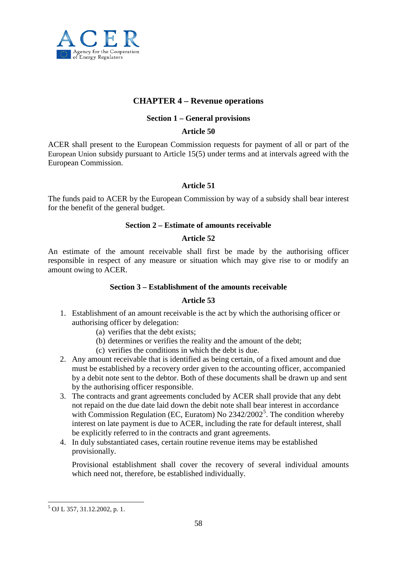

## **CHAPTER 4 – Revenue operations**

#### **Section 1 – General provisions**

#### **Article 50**

ACER shall present to the European Commission requests for payment of all or part of the European Union subsidy pursuant to Article 15(5) under terms and at intervals agreed with the European Commission.

#### **Article 51**

The funds paid to ACER by the European Commission by way of a subsidy shall bear interest for the benefit of the general budget.

#### **Section 2 – Estimate of amounts receivable**

#### **Article 52**

An estimate of the amount receivable shall first be made by the authorising officer responsible in respect of any measure or situation which may give rise to or modify an amount owing to ACER.

## **Section 3 – Establishment of the amounts receivable**

#### **Article 53**

- 1. Establishment of an amount receivable is the act by which the authorising officer or authorising officer by delegation:
	- (a) verifies that the debt exists;
	- (b) determines or verifies the reality and the amount of the debt;
	- (c) verifies the conditions in which the debt is due.
- 2. Any amount receivable that is identified as being certain, of a fixed amount and due must be established by a recovery order given to the accounting officer, accompanied by a debit note sent to the debtor. Both of these documents shall be drawn up and sent by the authorising officer responsible.
- 3. The contracts and grant agreements concluded by ACER shall provide that any debt not repaid on the due date laid down the debit note shall bear interest in accordance with Commission Regulation (EC, Euratom) No  $2342/2002^5$  $2342/2002^5$ . The condition whereby interest on late payment is due to ACER, including the rate for default interest, shall be explicitly referred to in the contracts and grant agreements.
- 4. In duly substantiated cases, certain routine revenue items may be established provisionally.

Provisional establishment shall cover the recovery of several individual amounts which need not, therefore, be established individually.

<span id="page-57-0"></span> $<sup>5</sup>$  OJ L 357, 31.12.2002, p. 1.</sup>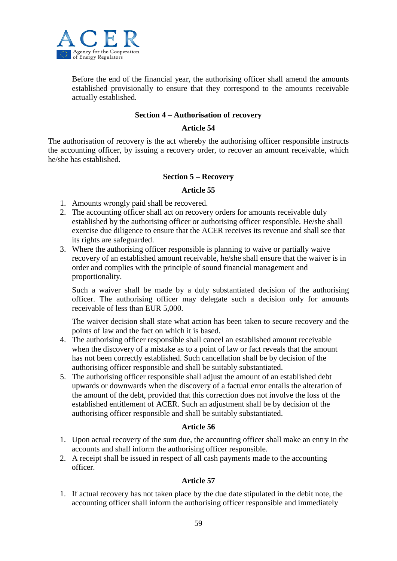

Before the end of the financial year, the authorising officer shall amend the amounts established provisionally to ensure that they correspond to the amounts receivable actually established.

#### **Section 4 – Authorisation of recovery**

#### **Article 54**

The authorisation of recovery is the act whereby the authorising officer responsible instructs the accounting officer, by issuing a recovery order, to recover an amount receivable, which he/she has established.

#### **Section 5 – Recovery**

#### **Article 55**

- 1. Amounts wrongly paid shall be recovered.
- 2. The accounting officer shall act on recovery orders for amounts receivable duly established by the authorising officer or authorising officer responsible. He/she shall exercise due diligence to ensure that the ACER receives its revenue and shall see that its rights are safeguarded.
- 3. Where the authorising officer responsible is planning to waive or partially waive recovery of an established amount receivable, he/she shall ensure that the waiver is in order and complies with the principle of sound financial management and proportionality.

Such a waiver shall be made by a duly substantiated decision of the authorising officer. The authorising officer may delegate such a decision only for amounts receivable of less than EUR 5,000.

The waiver decision shall state what action has been taken to secure recovery and the points of law and the fact on which it is based.

- 4. The authorising officer responsible shall cancel an established amount receivable when the discovery of a mistake as to a point of law or fact reveals that the amount has not been correctly established. Such cancellation shall be by decision of the authorising officer responsible and shall be suitably substantiated.
- 5. The authorising officer responsible shall adjust the amount of an established debt upwards or downwards when the discovery of a factual error entails the alteration of the amount of the debt, provided that this correction does not involve the loss of the established entitlement of ACER. Such an adjustment shall be by decision of the authorising officer responsible and shall be suitably substantiated.

#### **Article 56**

- 1. Upon actual recovery of the sum due, the accounting officer shall make an entry in the accounts and shall inform the authorising officer responsible.
- 2. A receipt shall be issued in respect of all cash payments made to the accounting officer.

## **Article 57**

1. If actual recovery has not taken place by the due date stipulated in the debit note, the accounting officer shall inform the authorising officer responsible and immediately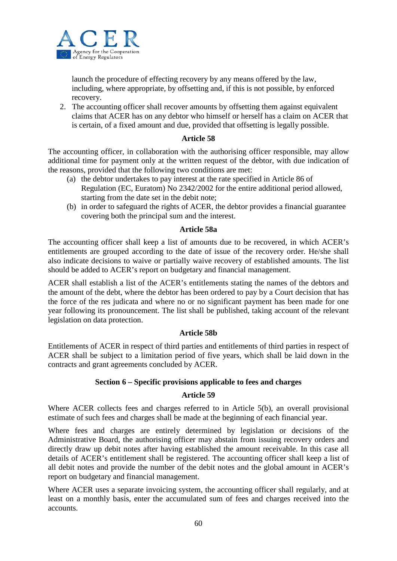

launch the procedure of effecting recovery by any means offered by the law, including, where appropriate, by offsetting and, if this is not possible, by enforced recovery.

2. The accounting officer shall recover amounts by offsetting them against equivalent claims that ACER has on any debtor who himself or herself has a claim on ACER that is certain, of a fixed amount and due, provided that offsetting is legally possible.

#### **Article 58**

The accounting officer, in collaboration with the authorising officer responsible, may allow additional time for payment only at the written request of the debtor, with due indication of the reasons, provided that the following two conditions are met:

- (a) the debtor undertakes to pay interest at the rate specified in Article 86 of Regulation (EC, Euratom) No 2342/2002 for the entire additional period allowed, starting from the date set in the debit note;
- (b) in order to safeguard the rights of ACER, the debtor provides a financial guarantee covering both the principal sum and the interest.

#### **Article 58a**

The accounting officer shall keep a list of amounts due to be recovered, in which ACER's entitlements are grouped according to the date of issue of the recovery order. He/she shall also indicate decisions to waive or partially waive recovery of established amounts. The list should be added to ACER's report on budgetary and financial management.

ACER shall establish a list of the ACER's entitlements stating the names of the debtors and the amount of the debt, where the debtor has been ordered to pay by a Court decision that has the force of the res judicata and where no or no significant payment has been made for one year following its pronouncement. The list shall be published, taking account of the relevant legislation on data protection.

#### **Article 58b**

Entitlements of ACER in respect of third parties and entitlements of third parties in respect of ACER shall be subject to a limitation period of five years, which shall be laid down in the contracts and grant agreements concluded by ACER.

## **Section 6 – Specific provisions applicable to fees and charges**

#### **Article 59**

Where ACER collects fees and charges referred to in Article 5(b), an overall provisional estimate of such fees and charges shall be made at the beginning of each financial year.

Where fees and charges are entirely determined by legislation or decisions of the Administrative Board, the authorising officer may abstain from issuing recovery orders and directly draw up debit notes after having established the amount receivable. In this case all details of ACER's entitlement shall be registered. The accounting officer shall keep a list of all debit notes and provide the number of the debit notes and the global amount in ACER's report on budgetary and financial management.

Where ACER uses a separate invoicing system, the accounting officer shall regularly, and at least on a monthly basis, enter the accumulated sum of fees and charges received into the accounts.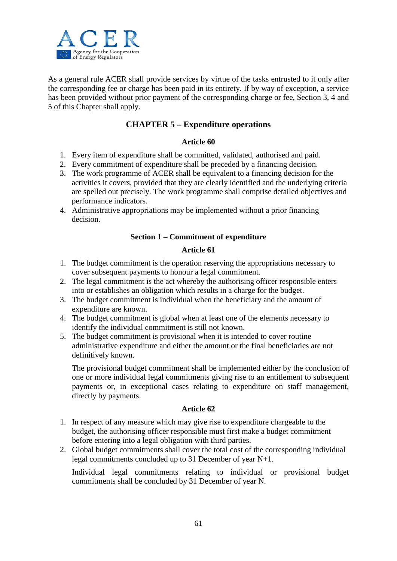

As a general rule ACER shall provide services by virtue of the tasks entrusted to it only after the corresponding fee or charge has been paid in its entirety. If by way of exception, a service has been provided without prior payment of the corresponding charge or fee, Section 3, 4 and 5 of this Chapter shall apply.

## **CHAPTER 5 – Expenditure operations**

## **Article 60**

- 1. Every item of expenditure shall be committed, validated, authorised and paid.
- 2. Every commitment of expenditure shall be preceded by a financing decision.
- 3. The work programme of ACER shall be equivalent to a financing decision for the activities it covers, provided that they are clearly identified and the underlying criteria are spelled out precisely. The work programme shall comprise detailed objectives and performance indicators.
- 4. Administrative appropriations may be implemented without a prior financing decision.

## **Section 1 – Commitment of expenditure**

#### **Article 61**

- 1. The budget commitment is the operation reserving the appropriations necessary to cover subsequent payments to honour a legal commitment.
- 2. The legal commitment is the act whereby the authorising officer responsible enters into or establishes an obligation which results in a charge for the budget.
- 3. The budget commitment is individual when the beneficiary and the amount of expenditure are known.
- 4. The budget commitment is global when at least one of the elements necessary to identify the individual commitment is still not known.
- 5. The budget commitment is provisional when it is intended to cover routine administrative expenditure and either the amount or the final beneficiaries are not definitively known.

The provisional budget commitment shall be implemented either by the conclusion of one or more individual legal commitments giving rise to an entitlement to subsequent payments or, in exceptional cases relating to expenditure on staff management, directly by payments.

#### **Article 62**

- 1. In respect of any measure which may give rise to expenditure chargeable to the budget, the authorising officer responsible must first make a budget commitment before entering into a legal obligation with third parties.
- 2. Global budget commitments shall cover the total cost of the corresponding individual legal commitments concluded up to 31 December of year N+1.

Individual legal commitments relating to individual or provisional budget commitments shall be concluded by 31 December of year N.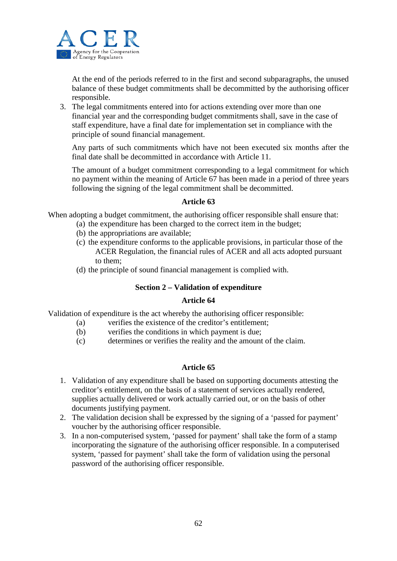

At the end of the periods referred to in the first and second subparagraphs, the unused balance of these budget commitments shall be decommitted by the authorising officer responsible.

3. The legal commitments entered into for actions extending over more than one financial year and the corresponding budget commitments shall, save in the case of staff expenditure, have a final date for implementation set in compliance with the principle of sound financial management.

Any parts of such commitments which have not been executed six months after the final date shall be decommitted in accordance with Article 11.

The amount of a budget commitment corresponding to a legal commitment for which no payment within the meaning of Article 67 has been made in a period of three years following the signing of the legal commitment shall be decommitted.

#### **Article 63**

When adopting a budget commitment, the authorising officer responsible shall ensure that:

- (a) the expenditure has been charged to the correct item in the budget;
- (b) the appropriations are available;
- (c) the expenditure conforms to the applicable provisions, in particular those of the ACER Regulation, the financial rules of ACER and all acts adopted pursuant to them;
- (d) the principle of sound financial management is complied with.

## **Section 2 – Validation of expenditure**

#### **Article 64**

Validation of expenditure is the act whereby the authorising officer responsible:

- (a) verifies the existence of the creditor's entitlement;
- (b) verifies the conditions in which payment is due;
- (c) determines or verifies the reality and the amount of the claim.

- 1. Validation of any expenditure shall be based on supporting documents attesting the creditor's entitlement, on the basis of a statement of services actually rendered, supplies actually delivered or work actually carried out, or on the basis of other documents justifying payment.
- 2. The validation decision shall be expressed by the signing of a 'passed for payment' voucher by the authorising officer responsible.
- 3. In a non-computerised system, 'passed for payment' shall take the form of a stamp incorporating the signature of the authorising officer responsible. In a computerised system, 'passed for payment' shall take the form of validation using the personal password of the authorising officer responsible.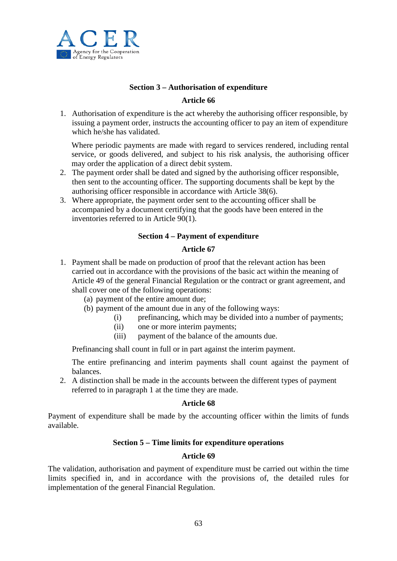

## **Section 3 – Authorisation of expenditure**

#### **Article 66**

1. Authorisation of expenditure is the act whereby the authorising officer responsible, by issuing a payment order, instructs the accounting officer to pay an item of expenditure which he/she has validated.

Where periodic payments are made with regard to services rendered, including rental service, or goods delivered, and subject to his risk analysis, the authorising officer may order the application of a direct debit system.

- 2. The payment order shall be dated and signed by the authorising officer responsible, then sent to the accounting officer. The supporting documents shall be kept by the authorising officer responsible in accordance with Article 38(6).
- 3. Where appropriate, the payment order sent to the accounting officer shall be accompanied by a document certifying that the goods have been entered in the inventories referred to in Article 90(1).

## **Section 4 – Payment of expenditure**

#### **Article 67**

- 1. Payment shall be made on production of proof that the relevant action has been carried out in accordance with the provisions of the basic act within the meaning of Article 49 of the general Financial Regulation or the contract or grant agreement, and shall cover one of the following operations:
	- (a) payment of the entire amount due;
	- (b) payment of the amount due in any of the following ways:
		- (i) prefinancing, which may be divided into a number of payments;
		- (ii) one or more interim payments;
		- (iii) payment of the balance of the amounts due.

Prefinancing shall count in full or in part against the interim payment.

The entire prefinancing and interim payments shall count against the payment of balances.

2. A distinction shall be made in the accounts between the different types of payment referred to in paragraph 1 at the time they are made.

#### **Article 68**

Payment of expenditure shall be made by the accounting officer within the limits of funds available.

#### **Section 5 – Time limits for expenditure operations**

#### **Article 69**

The validation, authorisation and payment of expenditure must be carried out within the time limits specified in, and in accordance with the provisions of, the detailed rules for implementation of the general Financial Regulation.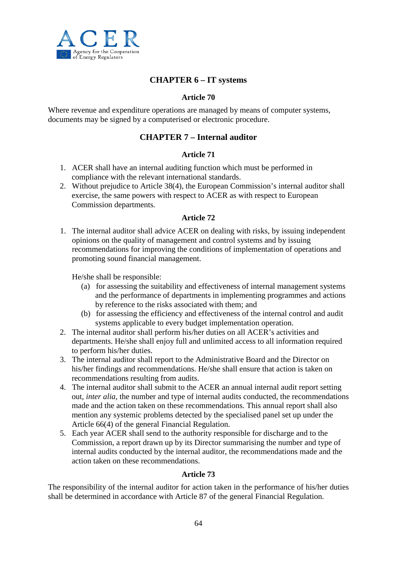

## **CHAPTER 6 – IT systems**

### **Article 70**

Where revenue and expenditure operations are managed by means of computer systems, documents may be signed by a computerised or electronic procedure.

## **CHAPTER 7 – Internal auditor**

#### **Article 71**

- 1. ACER shall have an internal auditing function which must be performed in compliance with the relevant international standards.
- 2. Without prejudice to Article 38(4), the European Commission's internal auditor shall exercise, the same powers with respect to ACER as with respect to European Commission departments.

#### **Article 72**

1. The internal auditor shall advice ACER on dealing with risks, by issuing independent opinions on the quality of management and control systems and by issuing recommendations for improving the conditions of implementation of operations and promoting sound financial management.

He/she shall be responsible:

- (a) for assessing the suitability and effectiveness of internal management systems and the performance of departments in implementing programmes and actions by reference to the risks associated with them; and
- (b) for assessing the efficiency and effectiveness of the internal control and audit systems applicable to every budget implementation operation.
- 2. The internal auditor shall perform his/her duties on all ACER's activities and departments. He/she shall enjoy full and unlimited access to all information required to perform his/her duties.
- 3. The internal auditor shall report to the Administrative Board and the Director on his/her findings and recommendations. He/she shall ensure that action is taken on recommendations resulting from audits.
- 4. The internal auditor shall submit to the ACER an annual internal audit report setting out, *inter alia*, the number and type of internal audits conducted, the recommendations made and the action taken on these recommendations. This annual report shall also mention any systemic problems detected by the specialised panel set up under the Article 66(4) of the general Financial Regulation.
- 5. Each year ACER shall send to the authority responsible for discharge and to the Commission, a report drawn up by its Director summarising the number and type of internal audits conducted by the internal auditor, the recommendations made and the action taken on these recommendations.

#### **Article 73**

The responsibility of the internal auditor for action taken in the performance of his/her duties shall be determined in accordance with Article 87 of the general Financial Regulation.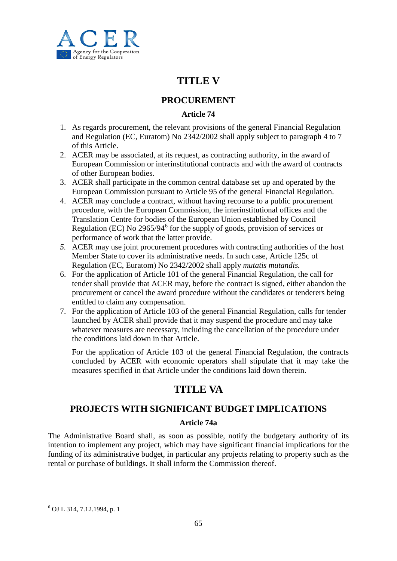

# **TITLE V**

## **PROCUREMENT**

## **Article 74**

- 1. As regards procurement, the relevant provisions of the general Financial Regulation and Regulation (EC, Euratom) No 2342/2002 shall apply subject to paragraph 4 to 7 of this Article.
- 2. ACER may be associated, at its request, as contracting authority, in the award of European Commission or interinstitutional contracts and with the award of contracts of other European bodies.
- 3. ACER shall participate in the common central database set up and operated by the European Commission pursuant to Article 95 of the general Financial Regulation.
- 4. ACER may conclude a contract, without having recourse to a public procurement procedure, with the European Commission, the interinstitutional offices and the Translation Centre for bodies of the European Union established by Council Regulation (EC) No  $2965/94^6$  $2965/94^6$  $2965/94^6$  for the supply of goods, provision of services or performance of work that the latter provide.
- *5.* ACER may use joint procurement procedures with contracting authorities of the host Member State to cover its administrative needs. In such case, Article 125c of Regulation (EC, Euratom) No 2342/2002 shall apply *mutatis mutandis.*
- 6. For the application of Article 101 of the general Financial Regulation, the call for tender shall provide that ACER may, before the contract is signed, either abandon the procurement or cancel the award procedure without the candidates or tenderers being entitled to claim any compensation.
- 7. For the application of Article 103 of the general Financial Regulation, calls for tender launched by ACER shall provide that it may suspend the procedure and may take whatever measures are necessary, including the cancellation of the procedure under the conditions laid down in that Article.

For the application of Article 103 of the general Financial Regulation, the contracts concluded by ACER with economic operators shall stipulate that it may take the measures specified in that Article under the conditions laid down therein.

# **TITLE VA**

## **PROJECTS WITH SIGNIFICANT BUDGET IMPLICATIONS**

## **Article 74a**

The Administrative Board shall, as soon as possible, notify the budgetary authority of its intention to implement any project, which may have significant financial implications for the funding of its administrative budget, in particular any projects relating to property such as the rental or purchase of buildings. It shall inform the Commission thereof.

<sup>6</sup> OJ L 314, 7.12.1994, p. 1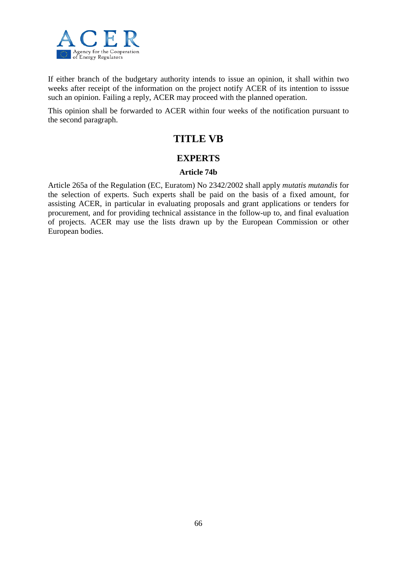

If either branch of the budgetary authority intends to issue an opinion, it shall within two weeks after receipt of the information on the project notify ACER of its intention to isssue such an opinion. Failing a reply, ACER may proceed with the planned operation.

This opinion shall be forwarded to ACER within four weeks of the notification pursuant to the second paragraph.

# **TITLE VB**

## **EXPERTS**

#### **Article 74b**

Article 265a of the Regulation (EC, Euratom) No 2342/2002 shall apply *mutatis mutandis* for the selection of experts. Such experts shall be paid on the basis of a fixed amount, for assisting ACER, in particular in evaluating proposals and grant applications or tenders for procurement, and for providing technical assistance in the follow-up to, and final evaluation of projects. ACER may use the lists drawn up by the European Commission or other European bodies.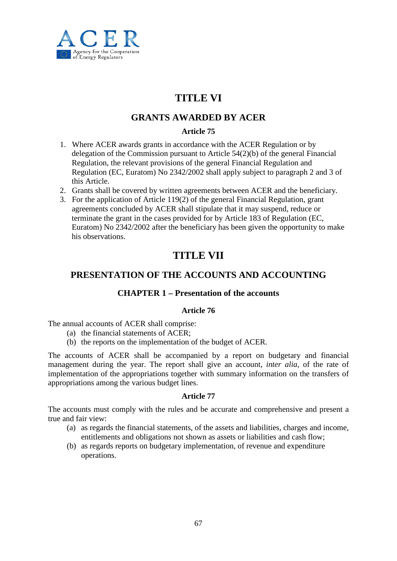

# **TITLE VI**

## **GRANTS AWARDED BY ACER**

## **Article 75**

- 1. Where ACER awards grants in accordance with the ACER Regulation or by delegation of the Commission pursuant to Article 54(2)(b) of the general Financial Regulation, the relevant provisions of the general Financial Regulation and Regulation (EC, Euratom) No 2342/2002 shall apply subject to paragraph 2 and 3 of this Article.
- 2. Grants shall be covered by written agreements between ACER and the beneficiary.
- 3. For the application of Article 119(2) of the general Financial Regulation, grant agreements concluded by ACER shall stipulate that it may suspend, reduce or terminate the grant in the cases provided for by Article 183 of Regulation (EC, Euratom) No 2342/2002 after the beneficiary has been given the opportunity to make his observations.

# **TITLE VII**

## **PRESENTATION OF THE ACCOUNTS AND ACCOUNTING**

## **CHAPTER 1 – Presentation of the accounts**

#### **Article 76**

The annual accounts of ACER shall comprise:

- (a) the financial statements of ACER;
- (b) the reports on the implementation of the budget of ACER.

The accounts of ACER shall be accompanied by a report on budgetary and financial management during the year. The report shall give an account, *inter alia*, of the rate of implementation of the appropriations together with summary information on the transfers of appropriations among the various budget lines.

#### **Article 77**

The accounts must comply with the rules and be accurate and comprehensive and present a true and fair view:

- (a) as regards the financial statements, of the assets and liabilities, charges and income, entitlements and obligations not shown as assets or liabilities and cash flow;
- (b) as regards reports on budgetary implementation, of revenue and expenditure operations.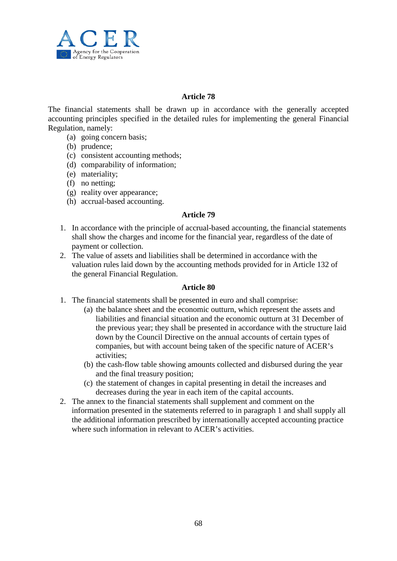

#### **Article 78**

The financial statements shall be drawn up in accordance with the generally accepted accounting principles specified in the detailed rules for implementing the general Financial Regulation, namely:

- (a) going concern basis;
- (b) prudence;
- (c) consistent accounting methods;
- (d) comparability of information;
- (e) materiality;
- (f) no netting;
- (g) reality over appearance;
- (h) accrual-based accounting.

#### **Article 79**

- 1. In accordance with the principle of accrual-based accounting, the financial statements shall show the charges and income for the financial year, regardless of the date of payment or collection.
- 2. The value of assets and liabilities shall be determined in accordance with the valuation rules laid down by the accounting methods provided for in Article 132 of the general Financial Regulation.

- 1. The financial statements shall be presented in euro and shall comprise:
	- (a) the balance sheet and the economic outturn, which represent the assets and liabilities and financial situation and the economic outturn at 31 December of the previous year; they shall be presented in accordance with the structure laid down by the Council Directive on the annual accounts of certain types of companies, but with account being taken of the specific nature of ACER's activities;
	- (b) the cash-flow table showing amounts collected and disbursed during the year and the final treasury position;
	- (c) the statement of changes in capital presenting in detail the increases and decreases during the year in each item of the capital accounts.
- 2. The annex to the financial statements shall supplement and comment on the information presented in the statements referred to in paragraph 1 and shall supply all the additional information prescribed by internationally accepted accounting practice where such information in relevant to ACER's activities.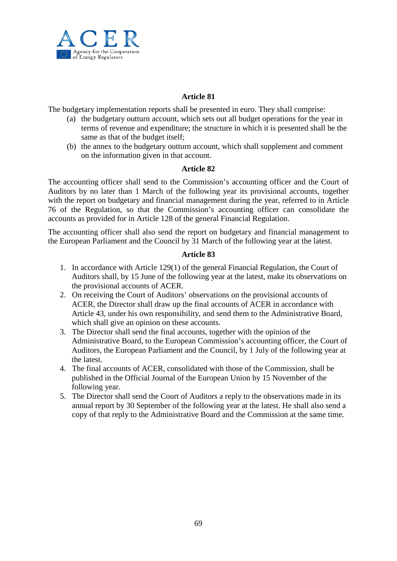

### **Article 81**

The budgetary implementation reports shall be presented in euro. They shall comprise:

- (a) the budgetary outturn account, which sets out all budget operations for the year in terms of revenue and expenditure; the structure in which it is presented shall be the same as that of the budget itself;
- (b) the annex to the budgetary outturn account, which shall supplement and comment on the information given in that account.

#### **Article 82**

The accounting officer shall send to the Commission's accounting officer and the Court of Auditors by no later than 1 March of the following year its provisional accounts, together with the report on budgetary and financial management during the year, referred to in Article 76 of the Regulation, so that the Commission's accounting officer can consolidate the accounts as provided for in Article 128 of the general Financial Regulation.

The accounting officer shall also send the report on budgetary and financial management to the European Parliament and the Council by 31 March of the following year at the latest.

- 1. In accordance with Article 129(1) of the general Financial Regulation, the Court of Auditors shall, by 15 June of the following year at the latest, make its observations on the provisional accounts of ACER.
- 2. On receiving the Court of Auditors' observations on the provisional accounts of ACER, the Director shall draw up the final accounts of ACER in accordance with Article 43, under his own responsibility, and send them to the Administrative Board, which shall give an opinion on these accounts.
- 3. The Director shall send the final accounts, together with the opinion of the Administrative Board, to the European Commission's accounting officer, the Court of Auditors, the European Parliament and the Council, by 1 July of the following year at the latest.
- 4. The final accounts of ACER, consolidated with those of the Commission, shall be published in the Official Journal of the European Union by 15 November of the following year.
- 5. The Director shall send the Court of Auditors a reply to the observations made in its annual report by 30 September of the following year at the latest. He shall also send a copy of that reply to the Administrative Board and the Commission at the same time.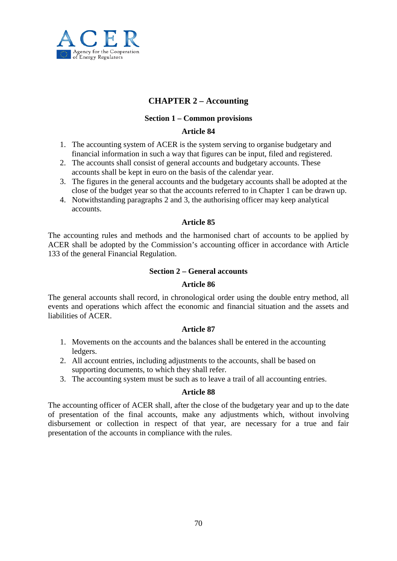

## **CHAPTER 2 – Accounting**

### **Section 1 – Common provisions**

#### **Article 84**

- 1. The accounting system of ACER is the system serving to organise budgetary and financial information in such a way that figures can be input, filed and registered.
- 2. The accounts shall consist of general accounts and budgetary accounts. These accounts shall be kept in euro on the basis of the calendar year.
- 3. The figures in the general accounts and the budgetary accounts shall be adopted at the close of the budget year so that the accounts referred to in Chapter 1 can be drawn up.
- 4. Notwithstanding paragraphs 2 and 3, the authorising officer may keep analytical accounts.

#### **Article 85**

The accounting rules and methods and the harmonised chart of accounts to be applied by ACER shall be adopted by the Commission's accounting officer in accordance with Article 133 of the general Financial Regulation.

#### **Section 2 – General accounts**

#### **Article 86**

The general accounts shall record, in chronological order using the double entry method, all events and operations which affect the economic and financial situation and the assets and liabilities of ACER.

#### **Article 87**

- 1. Movements on the accounts and the balances shall be entered in the accounting ledgers.
- 2. All account entries, including adjustments to the accounts, shall be based on supporting documents, to which they shall refer.
- 3. The accounting system must be such as to leave a trail of all accounting entries.

#### **Article 88**

The accounting officer of ACER shall, after the close of the budgetary year and up to the date of presentation of the final accounts, make any adjustments which, without involving disbursement or collection in respect of that year, are necessary for a true and fair presentation of the accounts in compliance with the rules.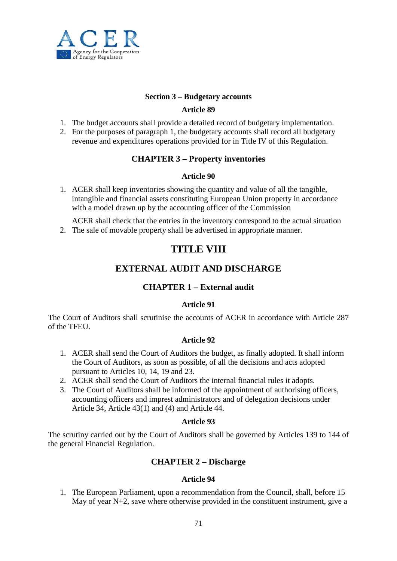

#### **Section 3 – Budgetary accounts**

### **Article 89**

- 1. The budget accounts shall provide a detailed record of budgetary implementation.
- 2. For the purposes of paragraph 1, the budgetary accounts shall record all budgetary revenue and expenditures operations provided for in Title IV of this Regulation.

## **CHAPTER 3 – Property inventories**

#### **Article 90**

1. ACER shall keep inventories showing the quantity and value of all the tangible, intangible and financial assets constituting European Union property in accordance with a model drawn up by the accounting officer of the Commission

ACER shall check that the entries in the inventory correspond to the actual situation 2. The sale of movable property shall be advertised in appropriate manner.

# **TITLE VIII**

## **EXTERNAL AUDIT AND DISCHARGE**

## **CHAPTER 1 – External audit**

## **Article 91**

The Court of Auditors shall scrutinise the accounts of ACER in accordance with Article 287 of the TFEU.

#### **Article 92**

- 1. ACER shall send the Court of Auditors the budget, as finally adopted. It shall inform the Court of Auditors, as soon as possible, of all the decisions and acts adopted pursuant to Articles 10, 14, 19 and 23.
- 2. ACER shall send the Court of Auditors the internal financial rules it adopts.
- 3. The Court of Auditors shall be informed of the appointment of authorising officers, accounting officers and imprest administrators and of delegation decisions under Article 34, Article 43(1) and (4) and Article 44.

### **Article 93**

The scrutiny carried out by the Court of Auditors shall be governed by Articles 139 to 144 of the general Financial Regulation.

## **CHAPTER 2 – Discharge**

#### **Article 94**

1. The European Parliament, upon a recommendation from the Council, shall, before 15 May of year N+2, save where otherwise provided in the constituent instrument, give a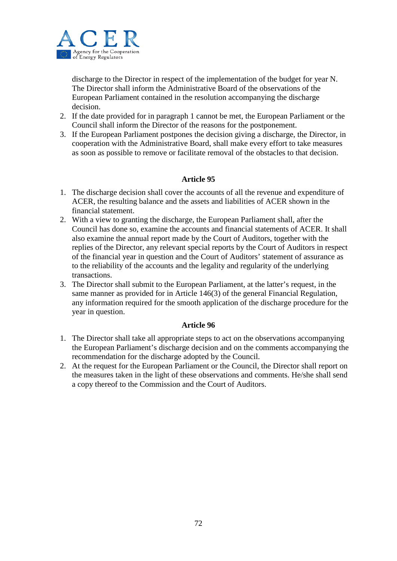

discharge to the Director in respect of the implementation of the budget for year N. The Director shall inform the Administrative Board of the observations of the European Parliament contained in the resolution accompanying the discharge decision.

- 2. If the date provided for in paragraph 1 cannot be met, the European Parliament or the Council shall inform the Director of the reasons for the postponement.
- 3. If the European Parliament postpones the decision giving a discharge, the Director, in cooperation with the Administrative Board, shall make every effort to take measures as soon as possible to remove or facilitate removal of the obstacles to that decision.

#### **Article 95**

- 1. The discharge decision shall cover the accounts of all the revenue and expenditure of ACER, the resulting balance and the assets and liabilities of ACER shown in the financial statement.
- 2. With a view to granting the discharge, the European Parliament shall, after the Council has done so, examine the accounts and financial statements of ACER. It shall also examine the annual report made by the Court of Auditors, together with the replies of the Director, any relevant special reports by the Court of Auditors in respect of the financial year in question and the Court of Auditors' statement of assurance as to the reliability of the accounts and the legality and regularity of the underlying transactions.
- 3. The Director shall submit to the European Parliament, at the latter's request, in the same manner as provided for in Article 146(3) of the general Financial Regulation, any information required for the smooth application of the discharge procedure for the year in question.

- 1. The Director shall take all appropriate steps to act on the observations accompanying the European Parliament's discharge decision and on the comments accompanying the recommendation for the discharge adopted by the Council.
- 2. At the request for the European Parliament or the Council, the Director shall report on the measures taken in the light of these observations and comments. He/she shall send a copy thereof to the Commission and the Court of Auditors.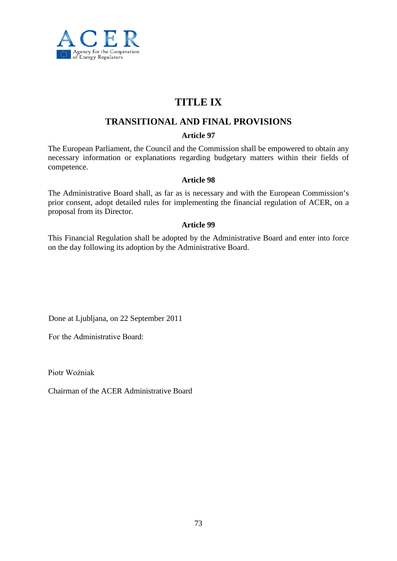

# **TITLE IX**

# **TRANSITIONAL AND FINAL PROVISIONS**

## **Article 97**

The European Parliament, the Council and the Commission shall be empowered to obtain any necessary information or explanations regarding budgetary matters within their fields of competence.

## **Article 98**

The Administrative Board shall, as far as is necessary and with the European Commission's prior consent, adopt detailed rules for implementing the financial regulation of ACER, on a proposal from its Director.

## **Article 99**

This Financial Regulation shall be adopted by the Administrative Board and enter into force on the day following its adoption by the Administrative Board.

Done at Ljubljana, on 22 September 2011

Fог the Administrative Board:

Piotr Woźniak

Chairman of the ACER Administrative Board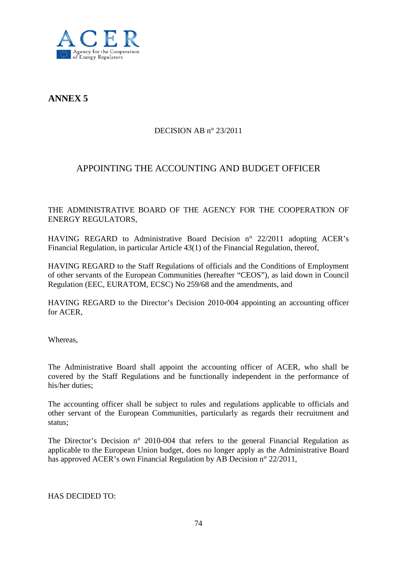

**ANNEX 5**

## DECISION AB n° 23/2011

# APPOINTING THE ACCOUNTING AND BUDGET OFFICER

THE ADMINISTRATIVE BOARD OF THE AGENCY FOR THE COOPERATION OF ENERGY REGULATORS,

HAVING REGARD to Administrative Board Decision n° 22/2011 adopting ACER's Financial Regulation, in particular Article 43(1) of the Financial Regulation, thereof,

HAVING REGARD to the Staff Regulations of officials and the Conditions of Employment of other servants of the European Communities (hereafter "CEOS"), as laid down in Council Regulation (EEC, EURATOM, ECSC) No 259/68 and the amendments, and

HAVING REGARD to the Director's Decision 2010-004 appointing an accounting officer for ACER,

Whereas,

The Administrative Board shall appoint the accounting officer of ACER, who shall be covered by the Staff Regulations and be functionally independent in the performance of his/her duties;

The accounting officer shall be subject to rules and regulations applicable to officials and other servant of the European Communities, particularly as regards their recruitment and status;

The Director's Decision n° 2010-004 that refers to the general Financial Regulation as applicable to the European Union budget, does no longer apply as the Administrative Board has approved ACER's own Financial Regulation by AB Decision n° 22/2011,

HAS DECIDED TO: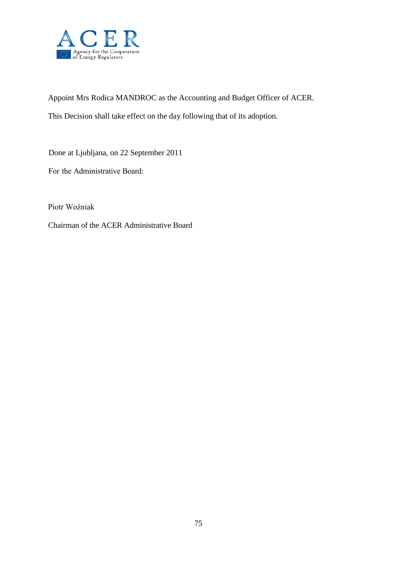

Appoint Mrs Rodica MANDROC as the Accounting and Budget Officer of ACER. This Decision shall take effect on the day following that of its adoption.

Done at Ljubljana, on 22 September 2011

Fог the Administrative Board:

Piotr Woźniak

Chairman of the ACER Administrative Board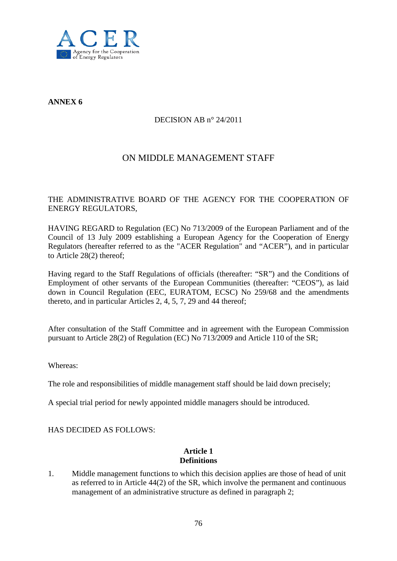

**ANNEX 6**

## DECISION AB n° 24/2011

# ON MIDDLE MANAGEMENT STAFF

## THE ADMINISTRATIVE BOARD OF THE AGENCY FOR THE COOPERATION OF ENERGY REGULATORS,

HAVING REGARD to Regulation (EC) No 713/2009 of the European Parliament and of the Council of 13 July 2009 establishing a European Agency for the Cooperation of Energy Regulators (hereafter referred to as the "ACER Regulation" and "ACER"), and in particular to Article 28(2) thereof;

Having regard to the Staff Regulations of officials (thereafter: "SR") and the Conditions of Employment of other servants of the European Communities (thereafter: "CEOS"), as laid down in Council Regulation (EEC, EURATOM, ECSC) No 259/68 and the amendments thereto, and in particular Articles 2, 4, 5, 7, 29 and 44 thereof;

After consultation of the Staff Committee and in agreement with the European Commission pursuant to Article 28(2) of Regulation (EC) No 713/2009 and Article 110 of the SR;

Whereas:

The role and responsibilities of middle management staff should be laid down precisely;

A special trial period for newly appointed middle managers should be introduced.

HAS DECIDED AS FOLLOWS:

## **Article 1 Definitions**

1. Middle management functions to which this decision applies are those of head of unit as referred to in Article 44(2) of the SR, which involve the permanent and continuous management of an administrative structure as defined in paragraph 2;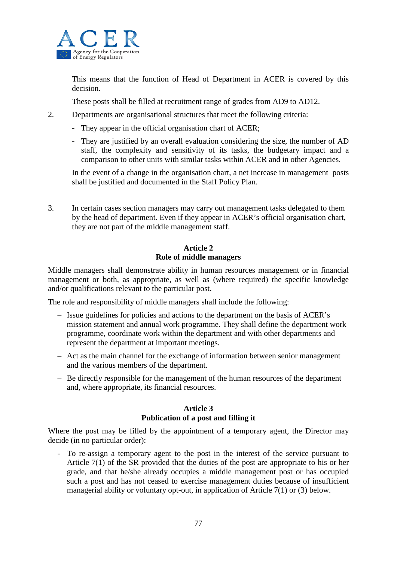

This means that the function of Head of Department in ACER is covered by this decision.

These posts shall be filled at recruitment range of grades from AD9 to AD12.

2. Departments are organisational structures that meet the following criteria:

- They appear in the official organisation chart of ACER;
- They are justified by an overall evaluation considering the size, the number of AD staff, the complexity and sensitivity of its tasks, the budgetary impact and a comparison to other units with similar tasks within ACER and in other Agencies.

In the event of a change in the organisation chart, a net increase in management posts shall be justified and documented in the Staff Policy Plan.

3. In certain cases section managers may carry out management tasks delegated to them by the head of department. Even if they appear in ACER's official organisation chart, they are not part of the middle management staff.

## **Article 2 Role of middle managers**

Middle managers shall demonstrate ability in human resources management or in financial management or both, as appropriate, as well as (where required) the specific knowledge and/or qualifications relevant to the particular post.

The role and responsibility of middle managers shall include the following:

- Issue guidelines for policies and actions to the department on the basis of ACER's mission statement and annual work programme. They shall define the department work programme, coordinate work within the department and with other departments and represent the department at important meetings.
- Act as the main channel for the exchange of information between senior management and the various members of the department.
- Be directly responsible for the management of the human resources of the department and, where appropriate, its financial resources.

## **Article 3 Publication of a post and filling it**

Where the post may be filled by the appointment of a temporary agent, the Director may decide (in no particular order):

- To re-assign a temporary agent to the post in the interest of the service pursuant to Article 7(1) of the SR provided that the duties of the post are appropriate to his or her grade, and that he/she already occupies a middle management post or has occupied such a post and has not ceased to exercise management duties because of insufficient managerial ability or voluntary opt-out, in application of Article 7(1) or (3) below.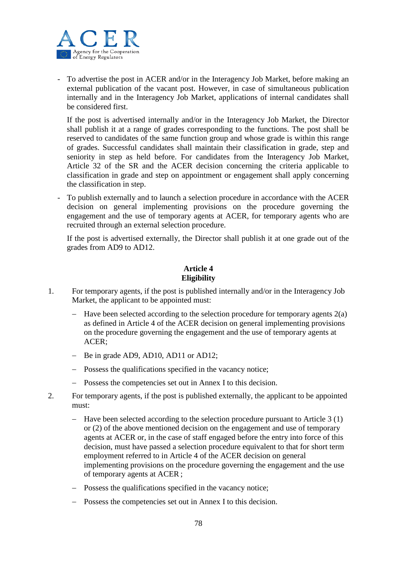

- To advertise the post in ACER and/or in the Interagency Job Market, before making an external publication of the vacant post. However, in case of simultaneous publication internally and in the Interagency Job Market, applications of internal candidates shall be considered first.

If the post is advertised internally and/or in the Interagency Job Market, the Director shall publish it at a range of grades corresponding to the functions. The post shall be reserved to candidates of the same function group and whose grade is within this range of grades. Successful candidates shall maintain their classification in grade, step and seniority in step as held before. For candidates from the Interagency Job Market, Article 32 of the SR and the ACER decision concerning the criteria applicable to classification in grade and step on appointment or engagement shall apply concerning the classification in step.

To publish externally and to launch a selection procedure in accordance with the ACER decision on general implementing provisions on the procedure governing the engagement and the use of temporary agents at ACER, for temporary agents who are recruited through an external selection procedure.

If the post is advertised externally, the Director shall publish it at one grade out of the grades from AD9 to AD12.

## **Article 4 Eligibility**

- 1. For temporary agents, if the post is published internally and/or in the Interagency Job Market, the applicant to be appointed must:
	- Have been selected according to the selection procedure for temporary agents  $2(a)$ as defined in Article 4 of the ACER decision on general implementing provisions on the procedure governing the engagement and the use of temporary agents at ACER;
	- − Be in grade AD9, AD10, AD11 or AD12;
	- − Possess the qualifications specified in the vacancy notice;
	- − Possess the competencies set out in Annex I to this decision.
- 2. For temporary agents, if the post is published externally, the applicant to be appointed must:
	- − Have been selected according to the selection procedure pursuant to Article 3 (1) or (2) of the above mentioned decision on the engagement and use of temporary agents at ACER or, in the case of staff engaged before the entry into force of this decision, must have passed a selection procedure equivalent to that for short term employment referred to in Article 4 of the ACER decision on general implementing provisions on the procedure governing the engagement and the use of temporary agents at ACER ;
	- − Possess the qualifications specified in the vacancy notice;
	- − Possess the competencies set out in Annex I to this decision.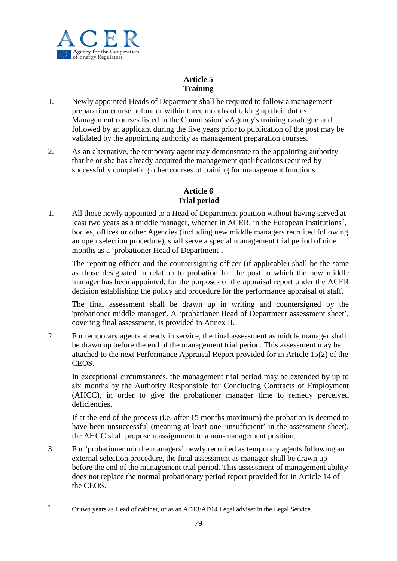

# **Article 5 Training**

- 1. Newly appointed Heads of Department shall be required to follow a management preparation course before or within three months of taking up their duties. Management courses listed in the Commission's/Agency's training catalogue and followed by an applicant during the five years prior to publication of the post may be validated by the appointing authority as management preparation courses.
- 2. As an alternative, the temporary agent may demonstrate to the appointing authority that he or she has already acquired the management qualifications required by successfully completing other courses of training for management functions.

# **Article 6 Trial period**

1. All those newly appointed to a Head of Department position without having served at least two years as a middle manager, whether in ACER, in the European Institutions<sup>[7](#page-64-0)</sup>, bodies, offices or other Agencies (including new middle managers recruited following an open selection procedure), shall serve a special management trial period of nine months as a 'probationer Head of Department'.

The reporting officer and the countersigning officer (if applicable) shall be the same as those designated in relation to probation for the post to which the new middle manager has been appointed, for the purposes of the appraisal report under the ACER decision establishing the policy and procedure for the performance appraisal of staff.

The final assessment shall be drawn up in writing and countersigned by the 'probationer middle manager'. A 'probationer Head of Department assessment sheet', covering final assessment, is provided in Annex II.

2. For temporary agents already in service, the final assessment as middle manager shall be drawn up before the end of the management trial period. This assessment may be attached to the next Performance Appraisal Report provided for in Article 15(2) of the CEOS.

In exceptional circumstances, the management trial period may be extended by up to six months by the Authority Responsible for Concluding Contracts of Employment (AHCC), in order to give the probationer manager time to remedy perceived deficiencies.

If at the end of the process (i.e. after 15 months maximum) the probation is deemed to have been unsuccessful (meaning at least one 'insufficient' in the assessment sheet), the AHCC shall propose reassignment to a non-management position.

3. For 'probationer middle managers' newly recruited as temporary agents following an external selection procedure, the final assessment as manager shall be drawn up before the end of the management trial period. This assessment of management ability does not replace the normal probationary period report provided for in Article 14 of the CEOS.

<span id="page-78-0"></span><sup>7</sup> Or two years as Head of cabinet, or as an AD13/AD14 Legal adviser in the Legal Service.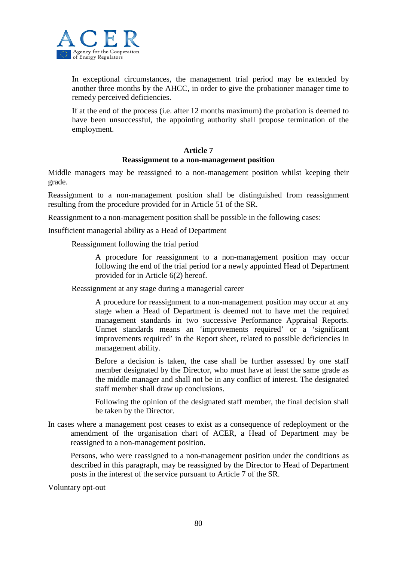

In exceptional circumstances, the management trial period may be extended by another three months by the AHCC, in order to give the probationer manager time to remedy perceived deficiencies.

If at the end of the process (i.e. after 12 months maximum) the probation is deemed to have been unsuccessful, the appointing authority shall propose termination of the employment.

#### **Article 7 Reassignment to a non-management position**

Middle managers may be reassigned to a non-management position whilst keeping their grade.

Reassignment to a non-management position shall be distinguished from reassignment resulting from the procedure provided for in Article 51 of the SR.

Reassignment to a non-management position shall be possible in the following cases:

Insufficient managerial ability as a Head of Department

Reassignment following the trial period

A procedure for reassignment to a non-management position may occur following the end of the trial period for a newly appointed Head of Department provided for in Article 6(2) hereof.

Reassignment at any stage during a managerial career

A procedure for reassignment to a non-management position may occur at any stage when a Head of Department is deemed not to have met the required management standards in two successive Performance Appraisal Reports. Unmet standards means an 'improvements required' or a 'significant improvements required' in the Report sheet, related to possible deficiencies in management ability.

Before a decision is taken, the case shall be further assessed by one staff member designated by the Director, who must have at least the same grade as the middle manager and shall not be in any conflict of interest. The designated staff member shall draw up conclusions.

Following the opinion of the designated staff member, the final decision shall be taken by the Director.

In cases where a management post ceases to exist as a consequence of redeployment or the amendment of the organisation chart of ACER, a Head of Department may be reassigned to a non-management position.

Persons, who were reassigned to a non-management position under the conditions as described in this paragraph, may be reassigned by the Director to Head of Department posts in the interest of the service pursuant to Article 7 of the SR.

Voluntary opt-out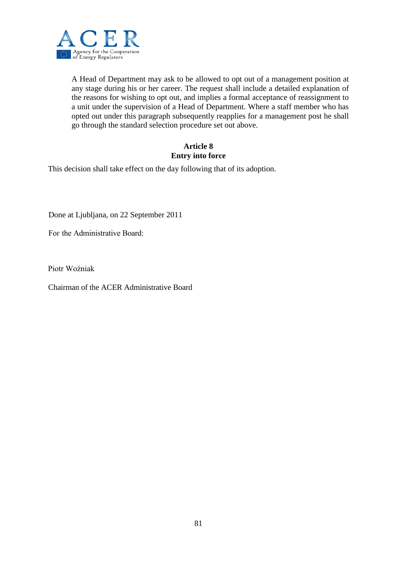

A Head of Department may ask to be allowed to opt out of a management position at any stage during his or her career. The request shall include a detailed explanation of the reasons for wishing to opt out, and implies a formal acceptance of reassignment to a unit under the supervision of a Head of Department. Where a staff member who has opted out under this paragraph subsequently reapplies for a management post he shall go through the standard selection procedure set out above.

## **Article 8 Entry into force**

This decision shall take effect on the day following that of its adoption.

Done at Ljubljana, on 22 September 2011

Fог the Administrative Board:

Piotr Woźniak

Chairman of the ACER Administrative Board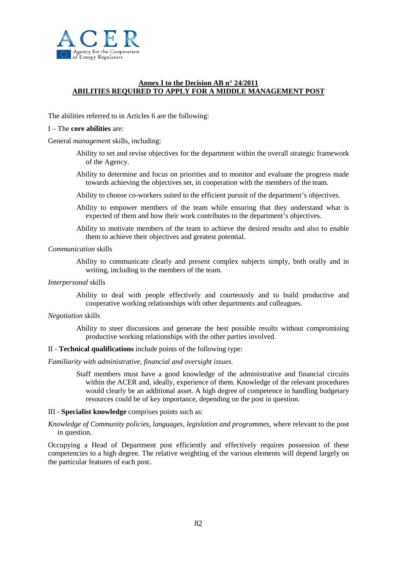

#### **Annex I to the Decision AB n° 24/2011 ABILITIES REQUIRED TO APPLY FOR A MIDDLE MANAGEMENT POST**

The abilities referred to in Articles 6 are the following:

#### I – The **core abilities** are:

General *management* skills, including:

- Ability to set and revise objectives for the department within the overall strategic framework of the Agency.
- Ability to determine and focus on priorities and to monitor and evaluate the progress made towards achieving the objectives set, in cooperation with the members of the team.
- Ability to choose co-workers suited to the efficient pursuit of the department's objectives.
- Ability to empower members of the team while ensuring that they understand what is expected of them and how their work contributes to the department's objectives.
- Ability to motivate members of the team to achieve the desired results and also to enable them to achieve their objectives and greatest potential.

*Communication* skills

Ability to communicate clearly and present complex subjects simply, both orally and in writing, including to the members of the team.

*Interpersonal* skills

Ability to deal with people effectively and courteously and to build productive and cooperative working relationships with other departments and colleagues.

#### *Negotiation* skills

Ability to steer discussions and generate the best possible results without compromising productive working relationships with the other parties involved.

#### II - **Technical qualifications** include points of the following type:

*Familiarity with administrative, financial and oversight issues.*

Staff members must have a good knowledge of the administrative and financial circuits within the ACER and, ideally, experience of them. Knowledge of the relevant procedures would clearly be an additional asset. A high degree of competence in handling budgetary resources could be of key importance, depending on the post in question.

#### III - **Specialist knowledge** comprises points such as:

*Knowledge of Community policies, languages, legislation and programmes,* where relevant to the post in question.

Occupying a Head of Department post efficiently and effectively requires possession of these competencies to a high degree. The relative weighting of the various elements will depend largely on the particular features of each post.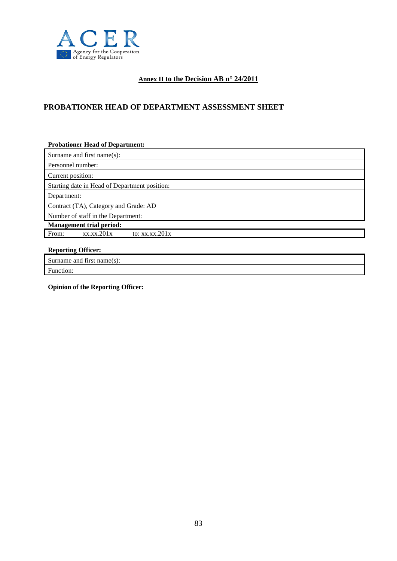

## **Annex II to the Decision AB n° 24/2011**

## **PROBATIONER HEAD OF DEPARTMENT ASSESSMENT SHEET**

| <b>Probationer Head of Department:</b>        |
|-----------------------------------------------|
| Surname and first name(s):                    |
| Personnel number:                             |
| Current position:                             |
| Starting date in Head of Department position: |
| Department:                                   |
| Contract (TA), Category and Grade: AD         |
| Number of staff in the Department:            |
| <b>Management trial period:</b>               |
| From:<br>xx.xx.201x<br>to: $xx.xx.201x$       |
|                                               |
| <b>Reporting Officer:</b>                     |

Surname and first name(s):

Function:

**Opinion of the Reporting Officer:**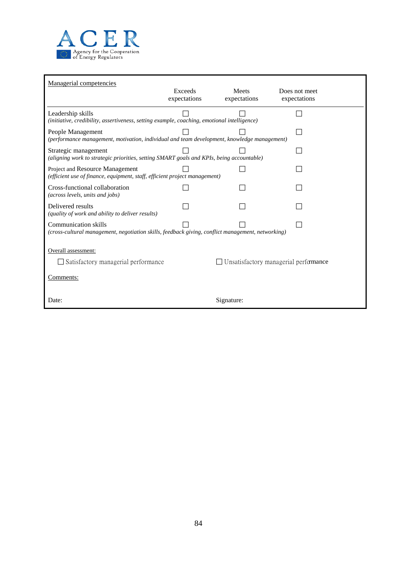

| Managerial competencies                                                                                                          |                         |                       |                                              |  |  |  |  |
|----------------------------------------------------------------------------------------------------------------------------------|-------------------------|-----------------------|----------------------------------------------|--|--|--|--|
|                                                                                                                                  | Exceeds<br>expectations | Meets<br>expectations | Does not meet<br>expectations                |  |  |  |  |
|                                                                                                                                  |                         |                       |                                              |  |  |  |  |
| Leadership skills<br>(initiative, credibility, assertiveness, setting example, coaching, emotional intelligence)                 |                         |                       |                                              |  |  |  |  |
| People Management<br>(performance management, motivation, individual and team development, knowledge management)                 |                         |                       |                                              |  |  |  |  |
| Strategic management<br>(aligning work to strategic priorities, setting SMART goals and KPIs, being accountable)                 |                         |                       |                                              |  |  |  |  |
| Project and Resource Management<br>(efficient use of finance, equipment, staff, efficient project management)                    |                         |                       |                                              |  |  |  |  |
| Cross-functional collaboration<br>(across levels, units and jobs)                                                                |                         |                       |                                              |  |  |  |  |
| Delivered results<br>(quality of work and ability to deliver results)                                                            |                         |                       |                                              |  |  |  |  |
| <b>Communication skills</b><br>(cross-cultural management, negotiation skills, feedback giving, conflict management, networking) |                         |                       |                                              |  |  |  |  |
|                                                                                                                                  |                         |                       |                                              |  |  |  |  |
| Overall assessment:                                                                                                              |                         |                       |                                              |  |  |  |  |
| Satisfactory managerial performance                                                                                              |                         |                       | $\Box$ Unsatisfactory managerial performance |  |  |  |  |
| Comments:                                                                                                                        |                         |                       |                                              |  |  |  |  |
| Date:                                                                                                                            |                         | Signature:            |                                              |  |  |  |  |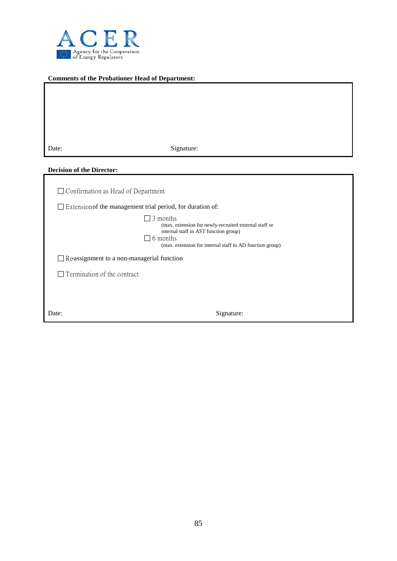

#### **Comments of the Probationer Head of Department:**

| Date: | Signature: |
|-------|------------|

#### **Decision of the Director:**

| $\Box$ Confirmation as Head of Department                         |                                                                                                                                                                                                  |
|-------------------------------------------------------------------|--------------------------------------------------------------------------------------------------------------------------------------------------------------------------------------------------|
| $\Box$ Extension of the management trial period, for duration of: |                                                                                                                                                                                                  |
|                                                                   | $\Box$ 3 months<br>(max. extension for newly-recruited external staff or<br>internal staff in AST function group)<br>$\Box$ 6 months<br>(max. extension for internal staff in AD function group) |
| $\Box$ Re-assignment to a non-managerial function                 |                                                                                                                                                                                                  |
| Termination of the contract                                       |                                                                                                                                                                                                  |
|                                                                   |                                                                                                                                                                                                  |
| Date:                                                             | Signature:                                                                                                                                                                                       |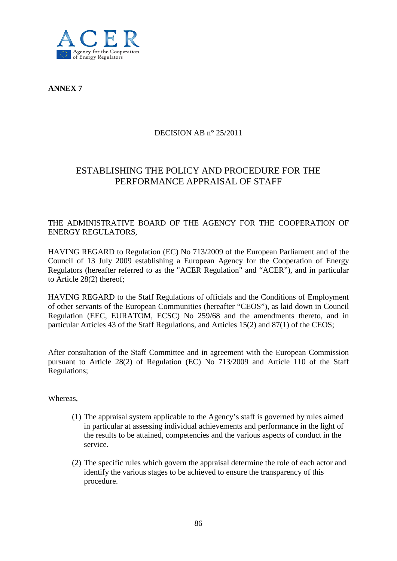

**ANNEX 7**

## DECISION AB n° 25/2011

# ESTABLISHING THE POLICY AND PROCEDURE FOR THE PERFORMANCE APPRAISAL OF STAFF

## THE ADMINISTRATIVE BOARD OF THE AGENCY FOR THE COOPERATION OF ENERGY REGULATORS,

HAVING REGARD to Regulation (EC) No 713/2009 of the European Parliament and of the Council of 13 July 2009 establishing a European Agency for the Cooperation of Energy Regulators (hereafter referred to as the "ACER Regulation" and "ACER"), and in particular to Article 28(2) thereof;

HAVING REGARD to the Staff Regulations of officials and the Conditions of Employment of other servants of the European Communities (hereafter "CEOS"), as laid down in Council Regulation (EEC, EURATOM, ECSC) No 259/68 and the amendments thereto, and in particular Articles 43 of the Staff Regulations, and Articles 15(2) and 87(1) of the CEOS;

After consultation of the Staff Committee and in agreement with the European Commission pursuant to Article 28(2) of Regulation (EC) No 713/2009 and Article 110 of the Staff Regulations;

#### Whereas,

- (1) The appraisal system applicable to the Agency's staff is governed by rules aimed in particular at assessing individual achievements and performance in the light of the results to be attained, competencies and the various aspects of conduct in the service.
- (2) The specific rules which govern the appraisal determine the role of each actor and identify the various stages to be achieved to ensure the transparency of this procedure.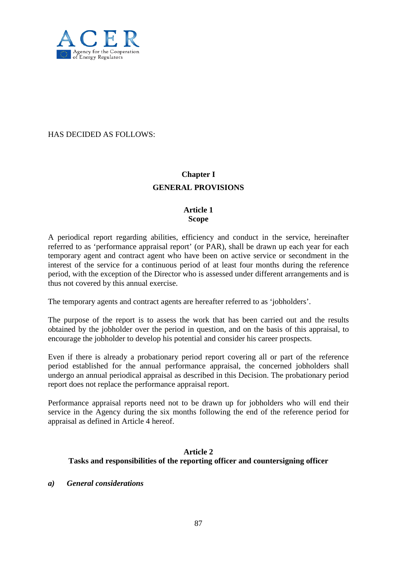

HAS DECIDED AS FOLLOWS:

# **Chapter I GENERAL PROVISIONS**

## **Article 1 Scope**

A periodical report regarding abilities, efficiency and conduct in the service, hereinafter referred to as 'performance appraisal report' (or PAR), shall be drawn up each year for each temporary agent and contract agent who have been on active service or secondment in the interest of the service for a continuous period of at least four months during the reference period, with the exception of the Director who is assessed under different arrangements and is thus not covered by this annual exercise.

The temporary agents and contract agents are hereafter referred to as 'jobholders'.

The purpose of the report is to assess the work that has been carried out and the results obtained by the jobholder over the period in question, and on the basis of this appraisal, to encourage the jobholder to develop his potential and consider his career prospects.

Even if there is already a probationary period report covering all or part of the reference period established for the annual performance appraisal, the concerned jobholders shall undergo an annual periodical appraisal as described in this Decision. The probationary period report does not replace the performance appraisal report.

Performance appraisal reports need not to be drawn up for jobholders who will end their service in the Agency during the six months following the end of the reference period for appraisal as defined in Article 4 hereof.

## **Article 2 Tasks and responsibilities of the reporting officer and countersigning officer**

*a) General considerations*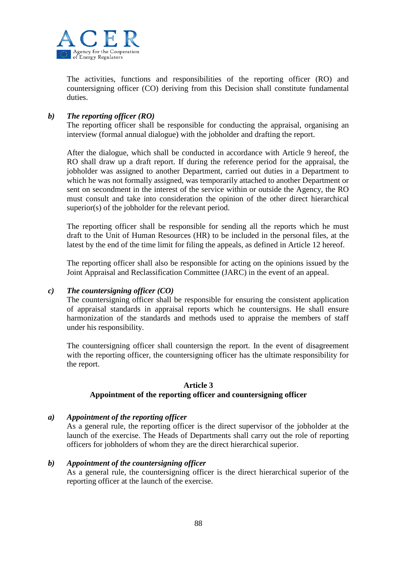

The activities, functions and responsibilities of the reporting officer (RO) and countersigning officer (CO) deriving from this Decision shall constitute fundamental duties.

## *b) The reporting officer (RO)*

The reporting officer shall be responsible for conducting the appraisal, organising an interview (formal annual dialogue) with the jobholder and drafting the report.

After the dialogue, which shall be conducted in accordance with Article 9 hereof, the RO shall draw up a draft report. If during the reference period for the appraisal, the jobholder was assigned to another Department, carried out duties in a Department to which he was not formally assigned, was temporarily attached to another Department or sent on secondment in the interest of the service within or outside the Agency, the RO must consult and take into consideration the opinion of the other direct hierarchical superior(s) of the jobholder for the relevant period.

The reporting officer shall be responsible for sending all the reports which he must draft to the Unit of Human Resources (HR) to be included in the personal files, at the latest by the end of the time limit for filing the appeals, as defined in Article 12 hereof.

The reporting officer shall also be responsible for acting on the opinions issued by the Joint Appraisal and Reclassification Committee (JARC) in the event of an appeal.

#### *c) The countersigning officer (CO)*

The countersigning officer shall be responsible for ensuring the consistent application of appraisal standards in appraisal reports which he countersigns. He shall ensure harmonization of the standards and methods used to appraise the members of staff under his responsibility.

The countersigning officer shall countersign the report. In the event of disagreement with the reporting officer, the countersigning officer has the ultimate responsibility for the report.

## **Article 3 Appointment of the reporting officer and countersigning officer**

#### *a) Appointment of the reporting officer*

As a general rule, the reporting officer is the direct supervisor of the jobholder at the launch of the exercise. The Heads of Departments shall carry out the role of reporting officers for jobholders of whom they are the direct hierarchical superior.

#### *b) Appointment of the countersigning officer*

As a general rule, the countersigning officer is the direct hierarchical superior of the reporting officer at the launch of the exercise.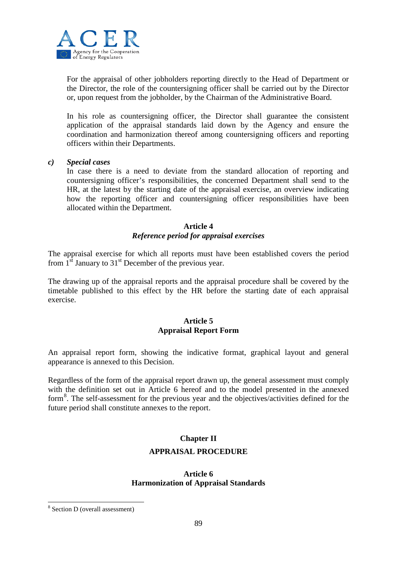

For the appraisal of other jobholders reporting directly to the Head of Department or the Director, the role of the countersigning officer shall be carried out by the Director or, upon request from the jobholder, by the Chairman of the Administrative Board.

In his role as countersigning officer, the Director shall guarantee the consistent application of the appraisal standards laid down by the Agency and ensure the coordination and harmonization thereof among countersigning officers and reporting officers within their Departments.

#### *c) Special cases*

In case there is a need to deviate from the standard allocation of reporting and countersigning officer's responsibilities, the concerned Department shall send to the HR, at the latest by the starting date of the appraisal exercise, an overview indicating how the reporting officer and countersigning officer responsibilities have been allocated within the Department.

#### **Article 4** *Reference period for appraisal exercises*

The appraisal exercise for which all reports must have been established covers the period from  $1<sup>st</sup>$  January to  $31<sup>st</sup>$  December of the previous year.

The drawing up of the appraisal reports and the appraisal procedure shall be covered by the timetable published to this effect by the HR before the starting date of each appraisal exercise.

## **Article 5 Appraisal Report Form**

An appraisal report form, showing the indicative format, graphical layout and general appearance is annexed to this Decision.

Regardless of the form of the appraisal report drawn up, the general assessment must comply with the definition set out in Article 6 hereof and to the model presented in the annexed form<sup>[8](#page-78-0)</sup>. The self-assessment for the previous year and the objectives/activities defined for the future period shall constitute annexes to the report.

# **Chapter II APPRAISAL PROCEDURE**

#### **Article 6 Harmonization of Appraisal Standards**

<span id="page-88-0"></span><sup>8</sup> Section D (overall assessment)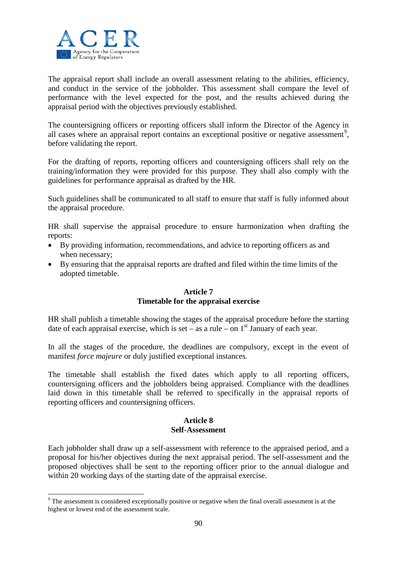

The appraisal report shall include an overall assessment relating to the abilities, efficiency, and conduct in the service of the jobholder. This assessment shall compare the level of performance with the level expected for the post, and the results achieved during the appraisal period with the objectives previously established.

The countersigning officers or reporting officers shall inform the Director of the Agency in all cases where an appraisal report contains an exceptional positive or negative assessment<sup>[9](#page-88-0)</sup>, before validating the report.

For the drafting of reports, reporting officers and countersigning officers shall rely on the training/information they were provided for this purpose. They shall also comply with the guidelines for performance appraisal as drafted by the HR.

Such guidelines shall be communicated to all staff to ensure that staff is fully informed about the appraisal procedure.

HR shall supervise the appraisal procedure to ensure harmonization when drafting the reports:

- By providing information, recommendations, and advice to reporting officers as and when necessary;
- By ensuring that the appraisal reports are drafted and filed within the time limits of the adopted timetable.

## **Article 7 Timetable for the appraisal exercise**

HR shall publish a timetable showing the stages of the appraisal procedure before the starting date of each appraisal exercise, which is set – as a rule – on  $1<sup>st</sup>$  January of each year.

In all the stages of the procedure, the deadlines are compulsory, except in the event of manifest *force majeure* or duly justified exceptional instances.

The timetable shall establish the fixed dates which apply to all reporting officers, countersigning officers and the jobholders being appraised. Compliance with the deadlines laid down in this timetable shall be referred to specifically in the appraisal reports of reporting officers and countersigning officers.

## **Article 8 Self-Assessment**

Each jobholder shall draw up a self-assessment with reference to the appraised period, and a proposal for his/her objectives during the next appraisal period. The self-assessment and the proposed objectives shall be sent to the reporting officer prior to the annual dialogue and within 20 working days of the starting date of the appraisal exercise.

<sup>&</sup>lt;sup>9</sup> The assessment is considered exceptionally positive or negative when the final overall assessment is at the highest or lowest end of the assessment scale.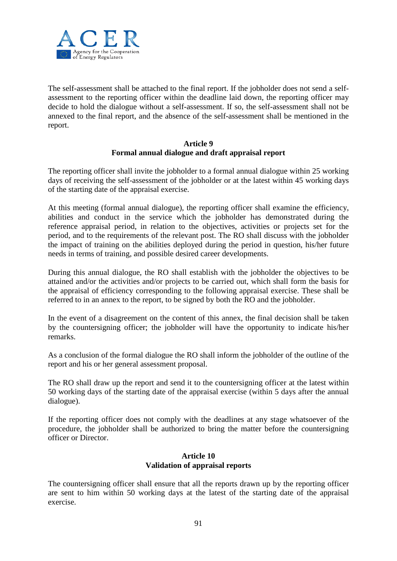

The self-assessment shall be attached to the final report. If the jobholder does not send a selfassessment to the reporting officer within the deadline laid down, the reporting officer may decide to hold the dialogue without a self-assessment. If so, the self-assessment shall not be annexed to the final report, and the absence of the self-assessment shall be mentioned in the report.

## **Article 9 Formal annual dialogue and draft appraisal report**

The reporting officer shall invite the jobholder to a formal annual dialogue within 25 working days of receiving the self-assessment of the jobholder or at the latest within 45 working days of the starting date of the appraisal exercise.

At this meeting (formal annual dialogue), the reporting officer shall examine the efficiency, abilities and conduct in the service which the jobholder has demonstrated during the reference appraisal period, in relation to the objectives, activities or projects set for the period, and to the requirements of the relevant post. The RO shall discuss with the jobholder the impact of training on the abilities deployed during the period in question, his/her future needs in terms of training, and possible desired career developments.

During this annual dialogue, the RO shall establish with the jobholder the objectives to be attained and/or the activities and/or projects to be carried out, which shall form the basis for the appraisal of efficiency corresponding to the following appraisal exercise. These shall be referred to in an annex to the report, to be signed by both the RO and the jobholder.

In the event of a disagreement on the content of this annex, the final decision shall be taken by the countersigning officer; the jobholder will have the opportunity to indicate his/her remarks.

As a conclusion of the formal dialogue the RO shall inform the jobholder of the outline of the report and his or her general assessment proposal.

The RO shall draw up the report and send it to the countersigning officer at the latest within 50 working days of the starting date of the appraisal exercise (within 5 days after the annual dialogue).

If the reporting officer does not comply with the deadlines at any stage whatsoever of the procedure, the jobholder shall be authorized to bring the matter before the countersigning officer or Director.

## **Article 10 Validation of appraisal reports**

The countersigning officer shall ensure that all the reports drawn up by the reporting officer are sent to him within 50 working days at the latest of the starting date of the appraisal exercise.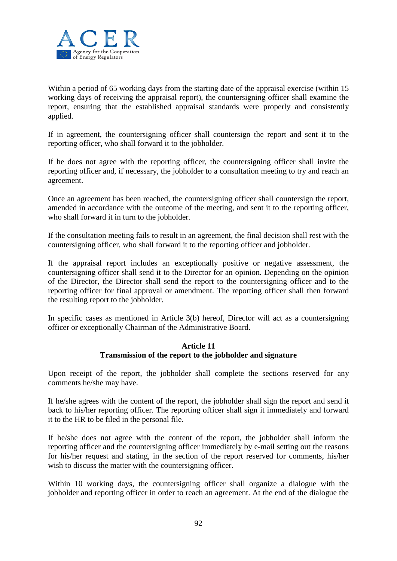

Within a period of 65 working days from the starting date of the appraisal exercise (within 15 working days of receiving the appraisal report), the countersigning officer shall examine the report, ensuring that the established appraisal standards were properly and consistently applied.

If in agreement, the countersigning officer shall countersign the report and sent it to the reporting officer, who shall forward it to the jobholder.

If he does not agree with the reporting officer, the countersigning officer shall invite the reporting officer and, if necessary, the jobholder to a consultation meeting to try and reach an agreement.

Once an agreement has been reached, the countersigning officer shall countersign the report, amended in accordance with the outcome of the meeting, and sent it to the reporting officer, who shall forward it in turn to the jobholder.

If the consultation meeting fails to result in an agreement, the final decision shall rest with the countersigning officer, who shall forward it to the reporting officer and jobholder.

If the appraisal report includes an exceptionally positive or negative assessment, the countersigning officer shall send it to the Director for an opinion. Depending on the opinion of the Director, the Director shall send the report to the countersigning officer and to the reporting officer for final approval or amendment. The reporting officer shall then forward the resulting report to the jobholder.

In specific cases as mentioned in Article 3(b) hereof, Director will act as a countersigning officer or exceptionally Chairman of the Administrative Board.

#### **Article 11 Transmission of the report to the jobholder and signature**

Upon receipt of the report, the jobholder shall complete the sections reserved for any comments he/she may have.

If he/she agrees with the content of the report, the jobholder shall sign the report and send it back to his/her reporting officer. The reporting officer shall sign it immediately and forward it to the HR to be filed in the personal file.

If he/she does not agree with the content of the report, the jobholder shall inform the reporting officer and the countersigning officer immediately by e-mail setting out the reasons for his/her request and stating, in the section of the report reserved for comments, his/her wish to discuss the matter with the countersigning officer.

Within 10 working days, the countersigning officer shall organize a dialogue with the jobholder and reporting officer in order to reach an agreement. At the end of the dialogue the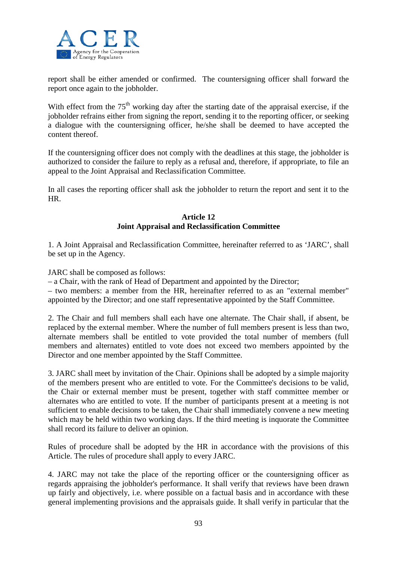

report shall be either amended or confirmed. The countersigning officer shall forward the report once again to the jobholder.

With effect from the  $75<sup>th</sup>$  working day after the starting date of the appraisal exercise, if the jobholder refrains either from signing the report, sending it to the reporting officer, or seeking a dialogue with the countersigning officer, he/she shall be deemed to have accepted the content thereof.

If the countersigning officer does not comply with the deadlines at this stage, the jobholder is authorized to consider the failure to reply as a refusal and, therefore, if appropriate, to file an appeal to the Joint Appraisal and Reclassification Committee.

In all cases the reporting officer shall ask the jobholder to return the report and sent it to the HR.

## **Article 12 Joint Appraisal and Reclassification Committee**

1. A Joint Appraisal and Reclassification Committee, hereinafter referred to as 'JARC', shall be set up in the Agency.

JARC shall be composed as follows:

– a Chair, with the rank of Head of Department and appointed by the Director;

– two members: a member from the HR, hereinafter referred to as an "external member" appointed by the Director; and one staff representative appointed by the Staff Committee.

2. The Chair and full members shall each have one alternate. The Chair shall, if absent, be replaced by the external member. Where the number of full members present is less than two, alternate members shall be entitled to vote provided the total number of members (full members and alternates) entitled to vote does not exceed two members appointed by the Director and one member appointed by the Staff Committee.

3. JARC shall meet by invitation of the Chair. Opinions shall be adopted by a simple majority of the members present who are entitled to vote. For the Committee's decisions to be valid, the Chair or external member must be present, together with staff committee member or alternates who are entitled to vote. If the number of participants present at a meeting is not sufficient to enable decisions to be taken, the Chair shall immediately convene a new meeting which may be held within two working days. If the third meeting is inquorate the Committee shall record its failure to deliver an opinion.

Rules of procedure shall be adopted by the HR in accordance with the provisions of this Article. The rules of procedure shall apply to every JARC.

4. JARC may not take the place of the reporting officer or the countersigning officer as regards appraising the jobholder's performance. It shall verify that reviews have been drawn up fairly and objectively, i.e. where possible on a factual basis and in accordance with these general implementing provisions and the appraisals guide. It shall verify in particular that the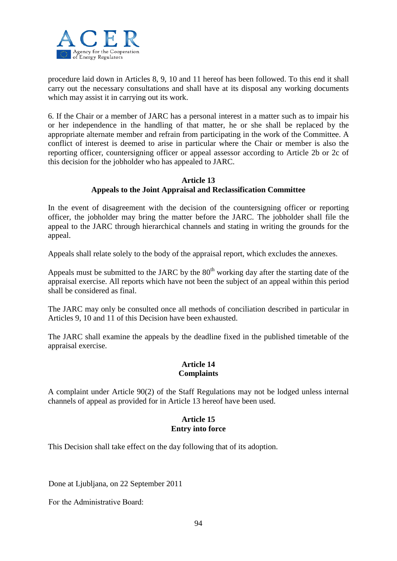

procedure laid down in Articles 8, 9, 10 and 11 hereof has been followed. To this end it shall carry out the necessary consultations and shall have at its disposal any working documents which may assist it in carrying out its work.

6. If the Chair or a member of JARC has a personal interest in a matter such as to impair his or her independence in the handling of that matter, he or she shall be replaced by the appropriate alternate member and refrain from participating in the work of the Committee. A conflict of interest is deemed to arise in particular where the Chair or member is also the reporting officer, countersigning officer or appeal assessor according to Article 2b or 2c of this decision for the jobholder who has appealed to JARC.

## **Article 13 Appeals to the Joint Appraisal and Reclassification Committee**

In the event of disagreement with the decision of the countersigning officer or reporting officer, the jobholder may bring the matter before the JARC. The jobholder shall file the appeal to the JARC through hierarchical channels and stating in writing the grounds for the appeal.

Appeals shall relate solely to the body of the appraisal report, which excludes the annexes.

Appeals must be submitted to the JARC by the  $80<sup>th</sup>$  working day after the starting date of the appraisal exercise. All reports which have not been the subject of an appeal within this period shall be considered as final.

The JARC may only be consulted once all methods of conciliation described in particular in Articles 9, 10 and 11 of this Decision have been exhausted.

The JARC shall examine the appeals by the deadline fixed in the published timetable of the appraisal exercise.

## **Article 14 Complaints**

A complaint under Article 90(2) of the Staff Regulations may not be lodged unless internal channels of appeal as provided for in Article 13 hereof have been used.

## **Article 15 Entry into force**

This Decision shall take effect on the day following that of its adoption.

Done at Ljubljana, on 22 September 2011

Fог the Administrative Board: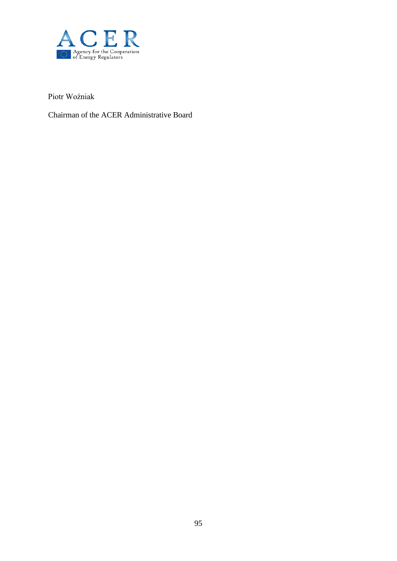

Piotr Woźniak

Chairman of the ACER Administrative Board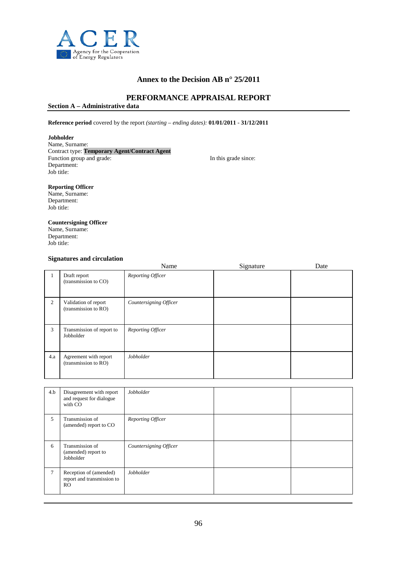

## **Annex to the Decision AB n° 25/2011**

#### **PERFORMANCE APPRAISAL REPORT**

**Section A – Administrative data**

#### **Reference period** covered by the report *(starting – ending dates):* **01/01/2011** - **31/12/2011**

#### **Jobholder**

Name, Surname: Contract type: **Temporary Agent/Contract Agent** Function group and grade: In this grade since: Department: Job title:

#### **Reporting Officer**

Name, Surname: Department: Job title:

## **Countersigning Officer**

Name, Surname: Department: Job title:

#### **Signatures and circulation**

|         |                                               | Name                   | Signature | Date |
|---------|-----------------------------------------------|------------------------|-----------|------|
| $\perp$ | Draft report<br>(transmission to CO)          | Reporting Officer      |           |      |
| 2       | Validation of report<br>(transmission to RO)  | Countersigning Officer |           |      |
| 3       | Transmission of report to<br>Jobholder        | Reporting Officer      |           |      |
| 4.a     | Agreement with report<br>(transmission to RO) | Jobholder              |           |      |

| 4.b    | Disagreement with report<br>and request for dialogue<br>with CO        | Jobholder              |  |
|--------|------------------------------------------------------------------------|------------------------|--|
| 5      | Transmission of<br>(amended) report to CO                              | Reporting Officer      |  |
| 6      | Transmission of<br>(amended) report to<br>Jobholder                    | Countersigning Officer |  |
| $\tau$ | Reception of (amended)<br>report and transmission to<br>R <sub>O</sub> | Jobholder              |  |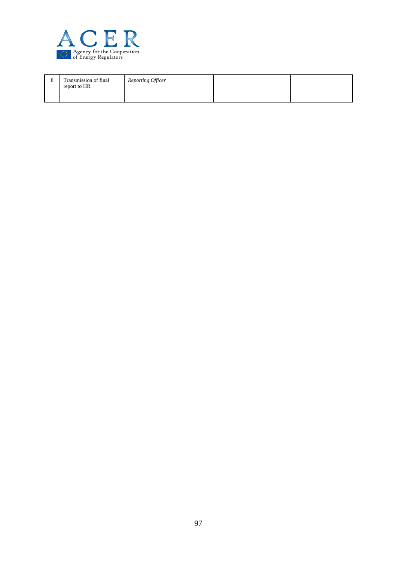

| ., | Transmission of final<br>report to HR | Reporting Officer |  |
|----|---------------------------------------|-------------------|--|
|    |                                       |                   |  |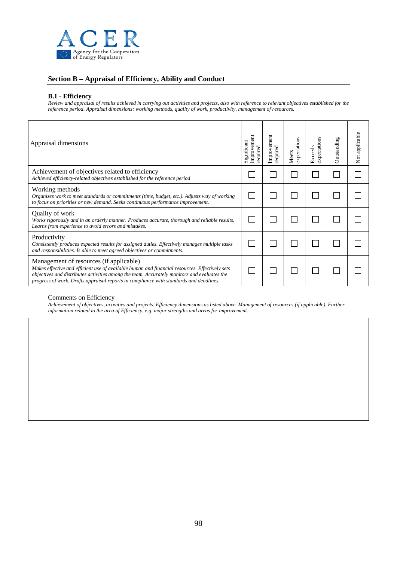

#### **Section B – Appraisal of Efficiency, Ability and Conduct**

#### **B.1 - Efficiency**

*Review and appraisal of results achieved in carrying out activities and projects, also with reference to relevant objectives established for the reference period. Appraisal dimensions: working methods, quality of work, productivity, management of resources.*

| <b>Appraisal dimensions</b>                                                                                                                                                                                                                                                                                                        | improvemen<br>Significant<br>required | Improvement<br>required | expectations<br>Meets | expectations<br>Exceeds | Outstanding | Not applicable |
|------------------------------------------------------------------------------------------------------------------------------------------------------------------------------------------------------------------------------------------------------------------------------------------------------------------------------------|---------------------------------------|-------------------------|-----------------------|-------------------------|-------------|----------------|
| Achievement of objectives related to efficiency<br>Achieved efficiency-related objectives established for the reference period                                                                                                                                                                                                     |                                       |                         |                       |                         |             |                |
| Working methods<br>Organizes work to meet standards or commitments (time, budget, etc.). Adjusts way of working<br>to focus on priorities or new demand. Seeks continuous performance improvement.                                                                                                                                 |                                       |                         |                       |                         |             |                |
| Quality of work<br>Works rigorously and in an orderly manner. Produces accurate, thorough and reliable results.<br>Learns from experience to avoid errors and mistakes.                                                                                                                                                            |                                       |                         |                       |                         |             |                |
| Productivity<br>Consistently produces expected results for assigned duties. Effectively manages multiple tasks<br>and responsibilities. Is able to meet agreed objectives or commitments.                                                                                                                                          |                                       |                         |                       |                         |             |                |
| Management of resources (if applicable)<br>Makes effective and efficient use of available human and financial resources. Effectively sets<br>objectives and distributes activities among the team. Accurately monitors and evaluates the<br>progress of work. Drafts appraisal reports in compliance with standards and deadlines. |                                       |                         |                       |                         |             |                |

#### Comments on Efficiency

*Achievement of objectives, activities and projects. Efficiency dimensions as listed above. Management of resources (if applicable). Further information related to the area of Efficiency, e.g. major strengths and areas for improvement.*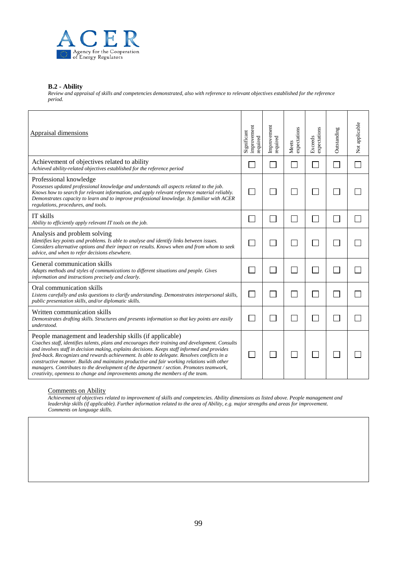

#### **B.2 - Ability**

*Review and appraisal of skills and competencies demonstrated, also with reference to relevant objectives established for the reference period.*

| <b>Appraisal dimensions</b>                                                                                                                                                                                                                                                                                                                                                                                                                                                                                                                                                                                                            | improvement<br>Significant<br>required | Improvement<br>required | expectations<br>Meets | Exceeds<br>expectations | Outstanding | Not applicable |
|----------------------------------------------------------------------------------------------------------------------------------------------------------------------------------------------------------------------------------------------------------------------------------------------------------------------------------------------------------------------------------------------------------------------------------------------------------------------------------------------------------------------------------------------------------------------------------------------------------------------------------------|----------------------------------------|-------------------------|-----------------------|-------------------------|-------------|----------------|
| Achievement of objectives related to ability<br>Achieved ability-related objectives established for the reference period                                                                                                                                                                                                                                                                                                                                                                                                                                                                                                               |                                        |                         |                       |                         |             |                |
| Professional knowledge<br>Possesses updated professional knowledge and understands all aspects related to the job.<br>Knows how to search for relevant information, and apply relevant reference material reliably.<br>Demonstrates capacity to learn and to improve professional knowledge. Is familiar with ACER<br>regulations, procedures, and tools.                                                                                                                                                                                                                                                                              |                                        |                         |                       |                         |             |                |
| IT skills<br>Ability to efficiently apply relevant IT tools on the job.                                                                                                                                                                                                                                                                                                                                                                                                                                                                                                                                                                |                                        |                         |                       | $\mathbb{R}$            |             |                |
| Analysis and problem solving<br>Identifies key points and problems. Is able to analyse and identify links between issues.<br>Considers alternative options and their impact on results. Knows when and from whom to seek<br>advice, and when to refer decisions elsewhere.                                                                                                                                                                                                                                                                                                                                                             |                                        |                         |                       |                         |             |                |
| General communication skills<br>Adapts methods and styles of communications to different situations and people. Gives<br>information and instructions precisely and clearly.                                                                                                                                                                                                                                                                                                                                                                                                                                                           |                                        |                         |                       |                         |             |                |
| Oral communication skills<br>Listens carefully and asks questions to clarify understanding. Demonstrates interpersonal skills,<br>public presentation skills, and/or diplomatic skills.                                                                                                                                                                                                                                                                                                                                                                                                                                                |                                        |                         |                       | $\mathsf{I}$            |             |                |
| Written communication skills<br>Demonstrates drafting skills. Structures and presents information so that key points are easily<br>understood.                                                                                                                                                                                                                                                                                                                                                                                                                                                                                         |                                        |                         |                       |                         |             |                |
| People management and leadership skills (if applicable)<br>Coaches staff, identifies talents, plans and encourages their training and development. Consults<br>and involves staff in decision making, explains decisions. Keeps staff informed and provides<br>feed-back. Recognizes and rewards achievement. Is able to delegate. Resolves conflicts in a<br>constructive manner. Builds and maintains productive and fair working relations with other<br>managers. Contributes to the development of the department / section. Promotes teamwork,<br>creativity, openness to change and improvements among the members of the team. |                                        |                         |                       |                         |             |                |

#### Comments on Ability

*Achievement of objectives related to improvement of skills and competencies. Ability dimensions as listed above. People management and leadership skills (if applicable). Further information related to the area of Ability, e.g. major strengths and areas for improvement. Comments on language skills.*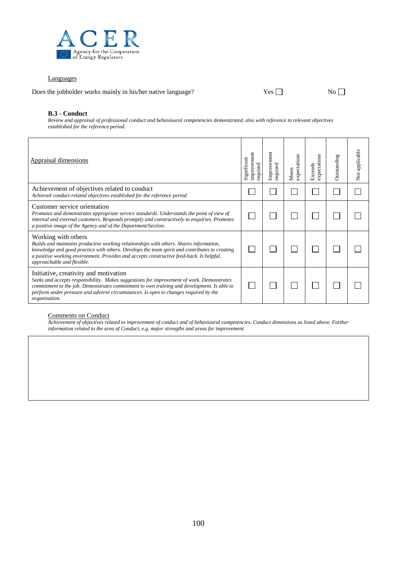

#### Languages

Does the jobholder works mainly in his/her native language?  $Yes \Box$  No  $\Box$ 

#### **B.3 - Conduct**

*Review and appraisal of professional conduct and behavioural competencies demonstrated, also with reference to relevant objectives established for the reference period.*

| Appraisal dimensions                                                                                                                                                                                                                                                                                                                      | improvement<br>Significant<br>required | Improvement<br>required | s<br>expectation<br>Meets | expectations<br>Exceeds | Outstanding | Not applicable |
|-------------------------------------------------------------------------------------------------------------------------------------------------------------------------------------------------------------------------------------------------------------------------------------------------------------------------------------------|----------------------------------------|-------------------------|---------------------------|-------------------------|-------------|----------------|
| Achievement of objectives related to conduct<br>Achieved conduct-related objectives established for the reference period                                                                                                                                                                                                                  |                                        |                         |                           |                         |             |                |
| Customer service orientation<br>Promotes and demonstrates appropriate service standards. Understands the point of view of<br>internal and external customers. Responds promptly and constructively to enquiries. Promotes<br>a positive image of the Agency and of the Department/Section.                                                |                                        |                         |                           |                         |             |                |
| Working with others<br>Builds and maintains productive working relationships with others. Shares information,<br>knowledge and good practice with others. Develops the team spirit and contributes to creating<br>a positive working environment. Provides and accepts constructive feed-back. Is helpful,<br>approachable and flexible.  |                                        |                         |                           |                         |             |                |
| Initiative, creativity and motivation<br>Seeks and accepts responsibility. Makes suggestions for improvement of work. Demonstrates<br>commitment to the job. Demonstrates commitment to own training and development. Is able to<br>perform under pressure and adverse circumstances. Is open to changes required by the<br>organisation. |                                        |                         |                           |                         |             |                |

#### Comments on Conduct

*Achievement of objectives related to improvement of conduct and of behavioural competencies. Conduct dimensions as listed above. Further information related to the area of Conduct, e.g. major strengths and areas for improvement.*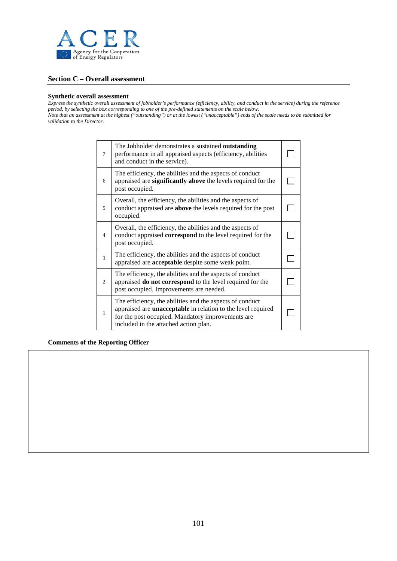

#### **Section C – Overall assessment**

#### **Synthetic overall assessment**

*Express the synthetic overall assessment of jobholder's performance (efficiency, ability, and conduct in the service) during the reference period, by selecting the box corresponding to one of the pre-defined statements on the scale below. Note that an assessment at the highest ("outstanding") or at the lowest ("unacceptable") ends of the scale needs to be submitted for validation to the Director.*

| 7              | The Jobholder demonstrates a sustained outstanding<br>performance in all appraised aspects (efficiency, abilities<br>and conduct in the service).                                                                             |  |
|----------------|-------------------------------------------------------------------------------------------------------------------------------------------------------------------------------------------------------------------------------|--|
| 6              | The efficiency, the abilities and the aspects of conduct<br>appraised are significantly above the levels required for the<br>post occupied.                                                                                   |  |
| 5              | Overall, the efficiency, the abilities and the aspects of<br>conduct appraised are <b>above</b> the levels required for the post<br>occupied.                                                                                 |  |
| $\overline{4}$ | Overall, the efficiency, the abilities and the aspects of<br>conduct appraised <b>correspond</b> to the level required for the<br>post occupied.                                                                              |  |
| 3              | The efficiency, the abilities and the aspects of conduct<br>appraised are <b>acceptable</b> despite some weak point.                                                                                                          |  |
| $\mathfrak{2}$ | The efficiency, the abilities and the aspects of conduct<br>appraised do not correspond to the level required for the<br>post occupied. Improvements are needed.                                                              |  |
| 1              | The efficiency, the abilities and the aspects of conduct<br>appraised are <b>unacceptable</b> in relation to the level required<br>for the post occupied. Mandatory improvements are<br>included in the attached action plan. |  |

#### **Comments of the Reporting Officer**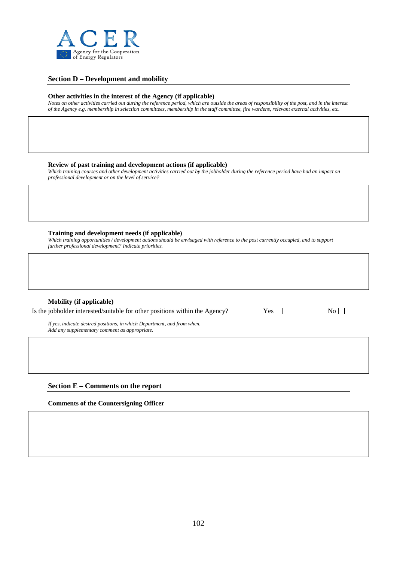

#### **Section D – Development and mobility**

#### **Other activities in the interest of the Agency (if applicable)**

*Notes on other activities carried out during the reference period, which are outside the areas of responsibility of the post, and in the interest of the Agency e.g. membership in selection committees, membership in the staff committee, fire wardens, relevant external activities, etc.*

#### **Review of past training and development actions (if applicable)**

Which training courses and other development activities carried out by the jobholder during the reference period have had an impact on *professional development or on the level of service?*

#### **Training and development needs (if applicable)**

*Which training opportunities / development actions should be envisaged with reference to the post currently occupied, and to support further professional development? Indicate priorities.*

#### **Mobility (if applicable)**

| Is the jobholder interested/suitable for other positions within the Agency? |  | $Yes \sqcap$ | No |
|-----------------------------------------------------------------------------|--|--------------|----|
|-----------------------------------------------------------------------------|--|--------------|----|

| ۰.<br>٧ |  |
|---------|--|
|---------|--|

*If yes, indicate desired positions, in which Department, and from when. Add any supplementary comment as appropriate.*

#### **Section E – Comments on the report**

**Comments of the Countersigning Officer**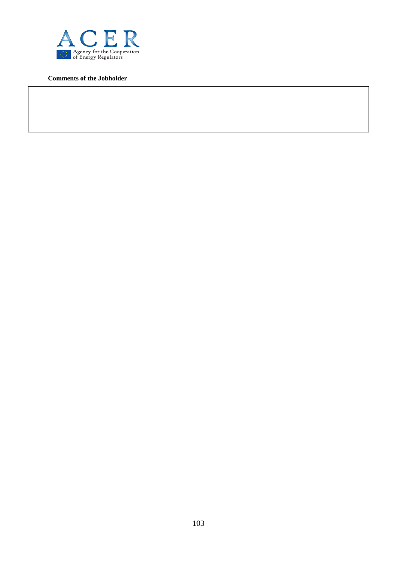

**Comments of the Jobholder**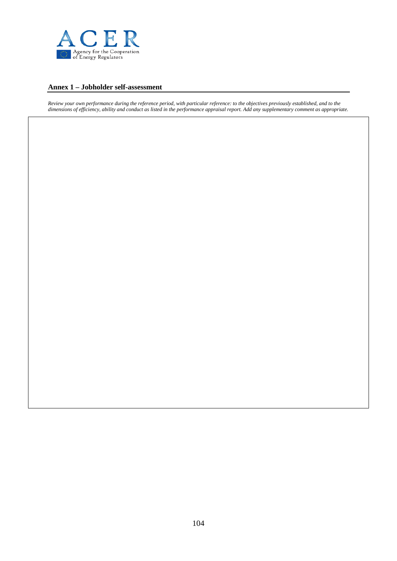

#### **Annex 1 – Jobholder self-assessment**

*Review your own performance during the reference period, with particular reference: to the objectives previously established, and to the dimensions of efficiency, ability and conduct as listed in the performance appraisal report. Add any supplementary comment as appropriate.*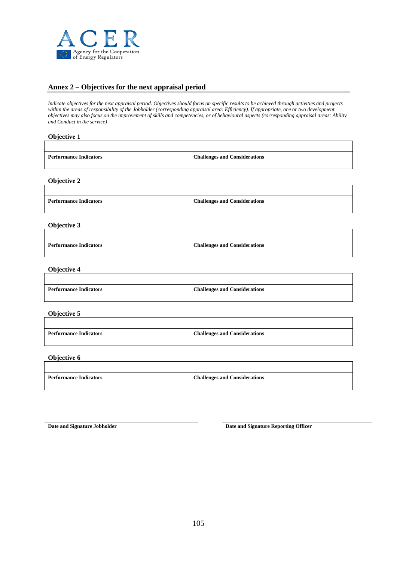

#### **Annex 2 – Objectives for the next appraisal period**

*Indicate objectives for the next appraisal period. Objectives should focus on specific results to be achieved through activities and projects*  within the areas of responsibility of the Jobholder (corresponding appraisal area: Efficiency). If appropriate, one or two development *objectives may also focus on the improvement of skills and competencies, or of behavioural aspects (corresponding appraisal areas: Ability and Conduct in the service)* 

#### **Objective 1**

| <b>Challenges and Considerations</b><br><b>Performance Indicators</b> |  |
|-----------------------------------------------------------------------|--|
|                                                                       |  |

**Objective 2**

| <b>Performance Indicators</b> | <b>Challenges and Considerations</b> |
|-------------------------------|--------------------------------------|

#### **Objective 3**

| <b>Performance Indicators</b> | <b>Challenges and Considerations</b> |
|-------------------------------|--------------------------------------|
|                               |                                      |

#### **Objective 4**

| <b>Performance Indicators</b> | <b>Challenges and Considerations</b> |
|-------------------------------|--------------------------------------|
|                               |                                      |

#### **Objective 5**

 $\overline{\phantom{a}}$ 

| <b>Performance Indicators</b> | <b>Challenges and Considerations</b> |
|-------------------------------|--------------------------------------|
|                               |                                      |

#### **Objective 6**

| <b>Performance Indicators</b> | <b>Challenges and Considerations</b> |
|-------------------------------|--------------------------------------|
|                               |                                      |

**Date and Signature Jobholder Date and Signature Reporting Officer** 

٦

٦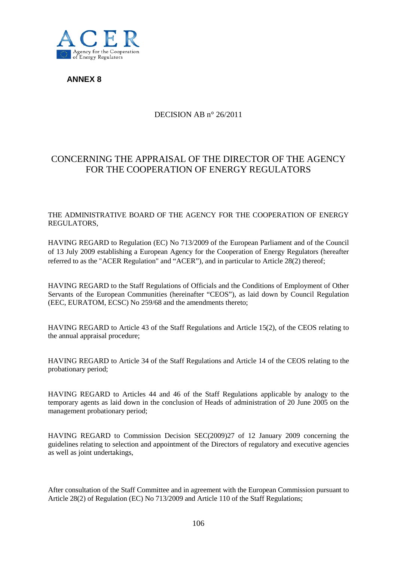

**ANNEX 8** 

## DECISION AB n° 26/2011

# CONCERNING THE APPRAISAL OF THE DIRECTOR OF THE AGENCY FOR THE COOPERATION OF ENERGY REGULATORS

#### THE ADMINISTRATIVE BOARD OF THE AGENCY FOR THE COOPERATION OF ENERGY REGULATORS,

HAVING REGARD to Regulation (EC) No 713/2009 of the European Parliament and of the Council of 13 July 2009 establishing a European Agency for the Cooperation of Energy Regulators (hereafter referred to as the "ACER Regulation" and "ACER"), and in particular to Article 28(2) thereof;

HAVING REGARD to the Staff Regulations of Officials and the Conditions of Employment of Other Servants of the European Communities (hereinafter "CEOS"), as laid down by Council Regulation (EEC, EURATOM, ECSC) No 259/68 and the amendments thereto;

HAVING REGARD to Article 43 of the Staff Regulations and Article 15(2), of the CEOS relating to the annual appraisal procedure;

HAVING REGARD to Article 34 of the Staff Regulations and Article 14 of the CEOS relating to the probationary period;

HAVING REGARD to Articles 44 and 46 of the Staff Regulations applicable by analogy to the temporary agents as laid down in the conclusion of Heads of administration of 20 June 2005 on the management probationary period;

HAVING REGARD to Commission Decision SEC(2009)27 of 12 January 2009 concerning the guidelines relating to selection and appointment of the Directors of regulatory and executive agencies as well as joint undertakings,

After consultation of the Staff Committee and in agreement with the European Commission pursuant to Article 28(2) of Regulation (EC) No 713/2009 and Article 110 of the Staff Regulations;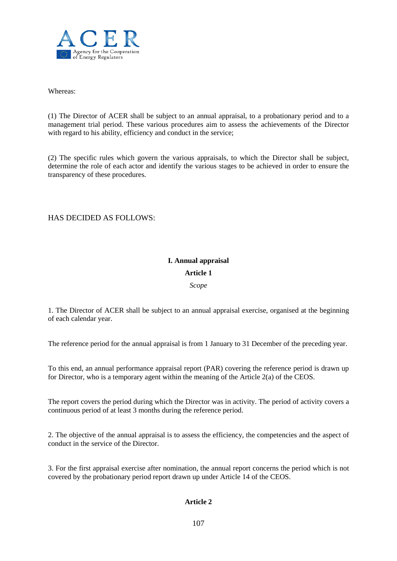

Whereas:

(1) The Director of ACER shall be subject to an annual appraisal, to a probationary period and to a management trial period. These various procedures aim to assess the achievements of the Director with regard to his ability, efficiency and conduct in the service;

(2) The specific rules which govern the various appraisals, to which the Director shall be subject, determine the role of each actor and identify the various stages to be achieved in order to ensure the transparency of these procedures.

## HAS DECIDED AS FOLLOWS:

## **I. Annual appraisal**

## **Article 1**

*Scope*

1. The Director of ACER shall be subject to an annual appraisal exercise, organised at the beginning of each calendar year.

The reference period for the annual appraisal is from 1 January to 31 December of the preceding year.

To this end, an annual performance appraisal report (PAR) covering the reference period is drawn up for Director, who is a temporary agent within the meaning of the Article 2(a) of the CEOS.

The report covers the period during which the Director was in activity. The period of activity covers a continuous period of at least 3 months during the reference period.

2. The objective of the annual appraisal is to assess the efficiency, the competencies and the aspect of conduct in the service of the Director.

3. For the first appraisal exercise after nomination, the annual report concerns the period which is not covered by the probationary period report drawn up under Article 14 of the CEOS.

## **Article 2**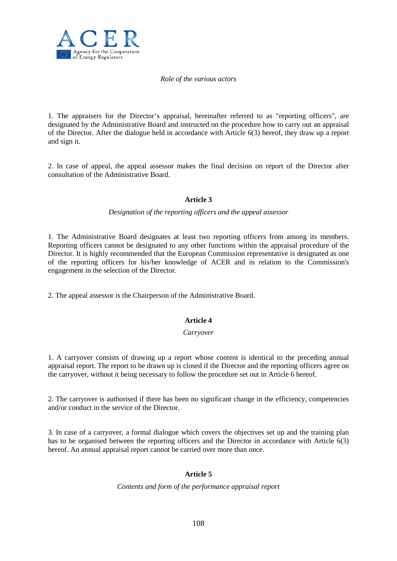

#### *Role of the various actors*

1. The appraisers for the Director's appraisal, hereinafter referred to as "reporting officers", are designated by the Administrative Board and instructed on the procedure how to carry out an appraisal of the Director. After the dialogue held in accordance with Article 6(3) hereof, they draw up a report and sign it.

2. In case of appeal, the appeal assessor makes the final decision on report of the Director after consultation of the Administrative Board.

#### **Article 3**

#### *Designation of the reporting officers and the appeal assessor*

1. The Administrative Board designates at least two reporting officers from among its members. Reporting officers cannot be designated to any other functions within the appraisal procedure of the Director. It is highly recommended that the European Commission representative is designated as one of the reporting officers for his/her knowledge of ACER and in relation to the Commission's engagement in the selection of the Director.

2. The appeal assessor is the Chairperson of the Administrative Board.

#### **Article 4**

#### *Carryover*

1. A carryover consists of drawing up a report whose content is identical to the preceding annual appraisal report. The report to be drawn up is closed if the Director and the reporting officers agree on the carryover, without it being necessary to follow the procedure set out in Article 6 hereof.

2. The carryover is authorised if there has been no significant change in the efficiency, competencies and/or conduct in the service of the Director.

3. In case of a carryover, a formal dialogue which covers the objectives set up and the training plan has to be organised between the reporting officers and the Director in accordance with Article 6(3) hereof. An annual appraisal report cannot be carried over more than once.

#### **Article 5**

*Contents and form of the performance appraisal report*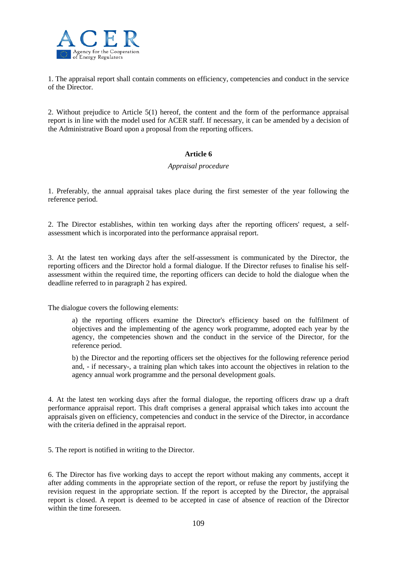

1. The appraisal report shall contain comments on efficiency, competencies and conduct in the service of the Director.

2. Without prejudice to Article 5(1) hereof, the content and the form of the performance appraisal report is in line with the model used for ACER staff. If necessary, it can be amended by a decision of the Administrative Board upon a proposal from the reporting officers.

# **Article 6**

# *Appraisal procedure*

1. Preferably, the annual appraisal takes place during the first semester of the year following the reference period.

2. The Director establishes, within ten working days after the reporting officers' request, a selfassessment which is incorporated into the performance appraisal report.

3. At the latest ten working days after the self-assessment is communicated by the Director, the reporting officers and the Director hold a formal dialogue. If the Director refuses to finalise his selfassessment within the required time, the reporting officers can decide to hold the dialogue when the deadline referred to in paragraph 2 has expired.

The dialogue covers the following elements:

a) the reporting officers examine the Director's efficiency based on the fulfilment of objectives and the implementing of the agency work programme, adopted each year by the agency, the competencies shown and the conduct in the service of the Director, for the reference period.

b) the Director and the reporting officers set the objectives for the following reference period and, - if necessary-, a training plan which takes into account the objectives in relation to the agency annual work programme and the personal development goals.

4. At the latest ten working days after the formal dialogue, the reporting officers draw up a draft performance appraisal report. This draft comprises a general appraisal which takes into account the appraisals given on efficiency, competencies and conduct in the service of the Director, in accordance with the criteria defined in the appraisal report.

5. The report is notified in writing to the Director.

6. The Director has five working days to accept the report without making any comments, accept it after adding comments in the appropriate section of the report, or refuse the report by justifying the revision request in the appropriate section. If the report is accepted by the Director, the appraisal report is closed. A report is deemed to be accepted in case of absence of reaction of the Director within the time foreseen.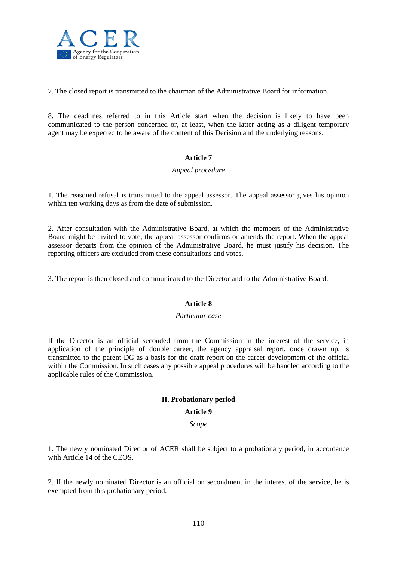

7. The closed report is transmitted to the chairman of the Administrative Board for information.

8. The deadlines referred to in this Article start when the decision is likely to have been communicated to the person concerned or, at least, when the latter acting as a diligent temporary agent may be expected to be aware of the content of this Decision and the underlying reasons.

# **Article 7**

# *Appeal procedure*

1. The reasoned refusal is transmitted to the appeal assessor. The appeal assessor gives his opinion within ten working days as from the date of submission.

2. After consultation with the Administrative Board, at which the members of the Administrative Board might be invited to vote, the appeal assessor confirms or amends the report. When the appeal assessor departs from the opinion of the Administrative Board, he must justify his decision. The reporting officers are excluded from these consultations and votes.

3. The report is then closed and communicated to the Director and to the Administrative Board.

# **Article 8**

#### *Particular case*

If the Director is an official seconded from the Commission in the interest of the service, in application of the principle of double career, the agency appraisal report, once drawn up, is transmitted to the parent DG as a basis for the draft report on the career development of the official within the Commission. In such cases any possible appeal procedures will be handled according to the applicable rules of the Commission.

# **II. Probationary period**

#### **Article 9**

*Scope*

1. The newly nominated Director of ACER shall be subject to a probationary period, in accordance with Article 14 of the CEOS.

2. If the newly nominated Director is an official on secondment in the interest of the service, he is exempted from this probationary period.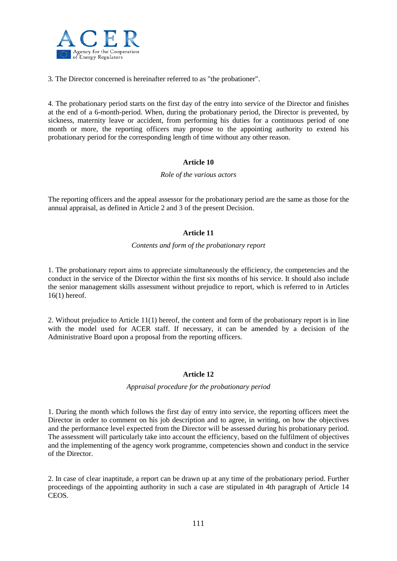

3. The Director concerned is hereinafter referred to as "the probationer".

4. The probationary period starts on the first day of the entry into service of the Director and finishes at the end of a 6-month-period. When, during the probationary period, the Director is prevented, by sickness, maternity leave or accident, from performing his duties for a continuous period of one month or more, the reporting officers may propose to the appointing authority to extend his probationary period for the corresponding length of time without any other reason.

# **Article 10**

#### *Role of the various actors*

The reporting officers and the appeal assessor for the probationary period are the same as those for the annual appraisal, as defined in Article 2 and 3 of the present Decision.

# **Article 11**

#### *Contents and form of the probationary report*

1. The probationary report aims to appreciate simultaneously the efficiency, the competencies and the conduct in the service of the Director within the first six months of his service. It should also include the senior management skills assessment without prejudice to report, which is referred to in Articles 16(1) hereof.

2. Without prejudice to Article 11(1) hereof, the content and form of the probationary report is in line with the model used for ACER staff. If necessary, it can be amended by a decision of the Administrative Board upon a proposal from the reporting officers.

#### **Article 12**

#### *Appraisal procedure for the probationary period*

1. During the month which follows the first day of entry into service, the reporting officers meet the Director in order to comment on his job description and to agree, in writing, on how the objectives and the performance level expected from the Director will be assessed during his probationary period. The assessment will particularly take into account the efficiency, based on the fulfilment of objectives and the implementing of the agency work programme, competencies shown and conduct in the service of the Director.

2. In case of clear inaptitude, a report can be drawn up at any time of the probationary period. Further proceedings of the appointing authority in such a case are stipulated in 4th paragraph of Article 14 CEOS.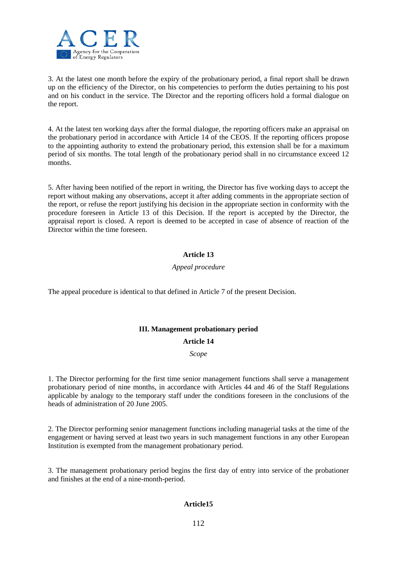

3. At the latest one month before the expiry of the probationary period, a final report shall be drawn up on the efficiency of the Director, on his competencies to perform the duties pertaining to his post and on his conduct in the service. The Director and the reporting officers hold a formal dialogue on the report.

4. At the latest ten working days after the formal dialogue, the reporting officers make an appraisal on the probationary period in accordance with Article 14 of the CEOS. If the reporting officers propose to the appointing authority to extend the probationary period, this extension shall be for a maximum period of six months. The total length of the probationary period shall in no circumstance exceed 12 months.

5. After having been notified of the report in writing, the Director has five working days to accept the report without making any observations, accept it after adding comments in the appropriate section of the report, or refuse the report justifying his decision in the appropriate section in conformity with the procedure foreseen in Article 13 of this Decision. If the report is accepted by the Director, the appraisal report is closed. A report is deemed to be accepted in case of absence of reaction of the Director within the time foreseen.

# **Article 13**

# *Appeal procedure*

The appeal procedure is identical to that defined in Article 7 of the present Decision.

# **III. Management probationary period**

#### **Article 14**

*Scope*

1. The Director performing for the first time senior management functions shall serve a management probationary period of nine months, in accordance with Articles 44 and 46 of the Staff Regulations applicable by analogy to the temporary staff under the conditions foreseen in the conclusions of the heads of administration of 20 June 2005.

2. The Director performing senior management functions including managerial tasks at the time of the engagement or having served at least two years in such management functions in any other European Institution is exempted from the management probationary period.

3. The management probationary period begins the first day of entry into service of the probationer and finishes at the end of a nine-month-period.

# **Article15**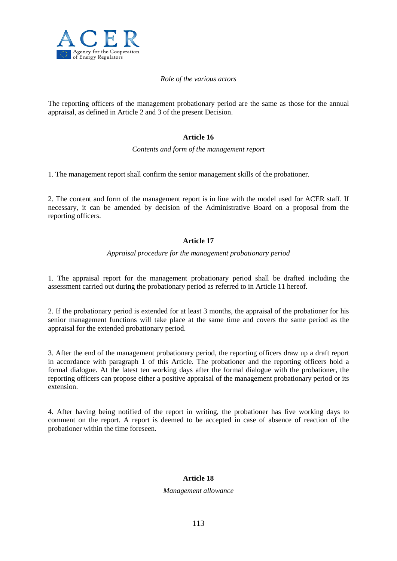

### *Role of the various actors*

The reporting officers of the management probationary period are the same as those for the annual appraisal, as defined in Article 2 and 3 of the present Decision.

# **Article 16**

*Contents and form of the management report*

1. The management report shall confirm the senior management skills of the probationer.

2. The content and form of the management report is in line with the model used for ACER staff. If necessary, it can be amended by decision of the Administrative Board on a proposal from the reporting officers.

# **Article 17**

#### *Appraisal procedure for the management probationary period*

1. The appraisal report for the management probationary period shall be drafted including the assessment carried out during the probationary period as referred to in Article 11 hereof.

2. If the probationary period is extended for at least 3 months, the appraisal of the probationer for his senior management functions will take place at the same time and covers the same period as the appraisal for the extended probationary period.

3. After the end of the management probationary period, the reporting officers draw up a draft report in accordance with paragraph 1 of this Article. The probationer and the reporting officers hold a formal dialogue. At the latest ten working days after the formal dialogue with the probationer, the reporting officers can propose either a positive appraisal of the management probationary period or its extension.

4. After having being notified of the report in writing, the probationer has five working days to comment on the report. A report is deemed to be accepted in case of absence of reaction of the probationer within the time foreseen.

# **Article 18**

#### *Management allowance*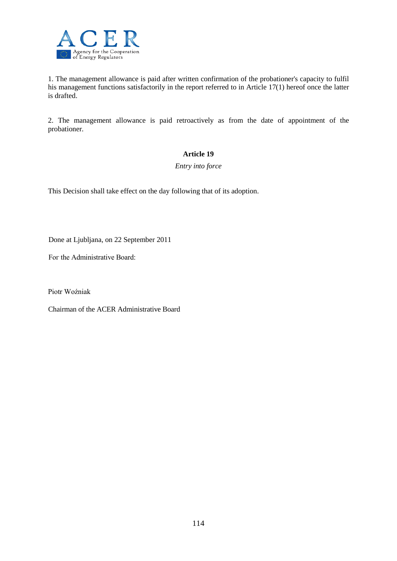

1. The management allowance is paid after written confirmation of the probationer's capacity to fulfil his management functions satisfactorily in the report referred to in Article 17(1) hereof once the latter is drafted.

2. The management allowance is paid retroactively as from the date of appointment of the probationer.

# **Article 19**

*Entry into force*

This Decision shall take effect on the day following that of its adoption.

Done at Ljubljana, on 22 September 2011

Fог the Administrative Board:

Piotr Woźniak

Chairman of the ACER Administrative Board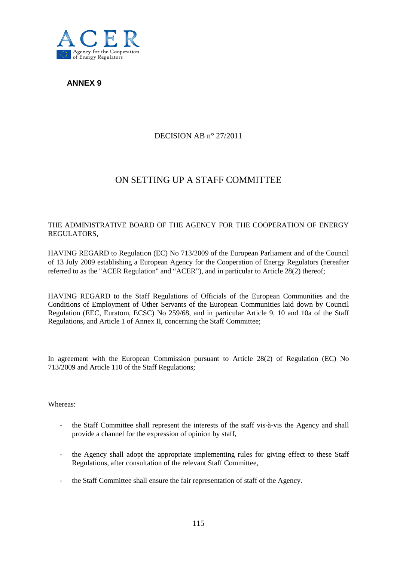

**ANNEX 9** 

# DECISION AB n° 27/2011

# ON SETTING UP A STAFF COMMITTEE

# THE ADMINISTRATIVE BOARD OF THE AGENCY FOR THE COOPERATION OF ENERGY REGULATORS,

HAVING REGARD to Regulation (EC) No 713/2009 of the European Parliament and of the Council of 13 July 2009 establishing a European Agency for the Cooperation of Energy Regulators (hereafter referred to as the "ACER Regulation" and "ACER"), and in particular to Article 28(2) thereof;

HAVING REGARD to the Staff Regulations of Officials of the European Communities and the Conditions of Employment of Other Servants of the European Communities laid down by Council Regulation (EEC, Euratom, ECSC) No 259/68, and in particular Article 9, 10 and 10a of the Staff Regulations, and Article 1 of Annex II, concerning the Staff Committee;

In agreement with the European Commission pursuant to Article 28(2) of Regulation (EC) No 713/2009 and Article 110 of the Staff Regulations;

Whereas:

- the Staff Committee shall represent the interests of the staff vis-à-vis the Agency and shall provide a channel for the expression of opinion by staff,
- the Agency shall adopt the appropriate implementing rules for giving effect to these Staff Regulations, after consultation of the relevant Staff Committee,
- the Staff Committee shall ensure the fair representation of staff of the Agency.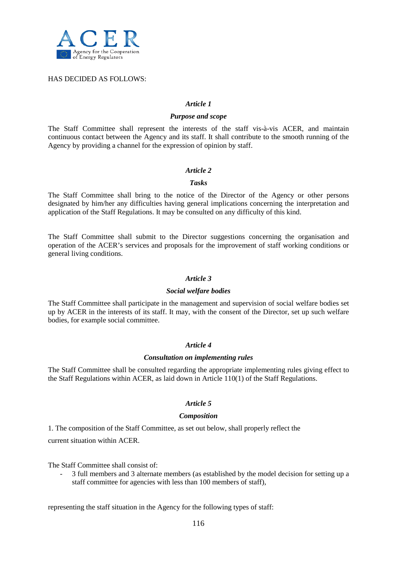

#### HAS DECIDED AS FOLLOWS:

#### *Article 1*

#### *Purpose and scope*

The Staff Committee shall represent the interests of the staff vis-à-vis ACER, and maintain continuous contact between the Agency and its staff. It shall contribute to the smooth running of the Agency by providing a channel for the expression of opinion by staff.

#### *Article 2*

#### *Tasks*

The Staff Committee shall bring to the notice of the Director of the Agency or other persons designated by him/her any difficulties having general implications concerning the interpretation and application of the Staff Regulations. It may be consulted on any difficulty of this kind.

The Staff Committee shall submit to the Director suggestions concerning the organisation and operation of the ACER's services and proposals for the improvement of staff working conditions or general living conditions.

#### *Article 3*

#### *Social welfare bodies*

The Staff Committee shall participate in the management and supervision of social welfare bodies set up by ACER in the interests of its staff. It may, with the consent of the Director, set up such welfare bodies, for example social committee.

#### *Article 4*

#### *Consultation on implementing rules*

The Staff Committee shall be consulted regarding the appropriate implementing rules giving effect to the Staff Regulations within ACER, as laid down in Article 110(1) of the Staff Regulations.

#### *Article 5*

#### *Composition*

1. The composition of the Staff Committee, as set out below, shall properly reflect the

current situation within ACER.

The Staff Committee shall consist of:

- 3 full members and 3 alternate members (as established by the model decision for setting up a staff committee for agencies with less than 100 members of staff),

representing the staff situation in the Agency for the following types of staff: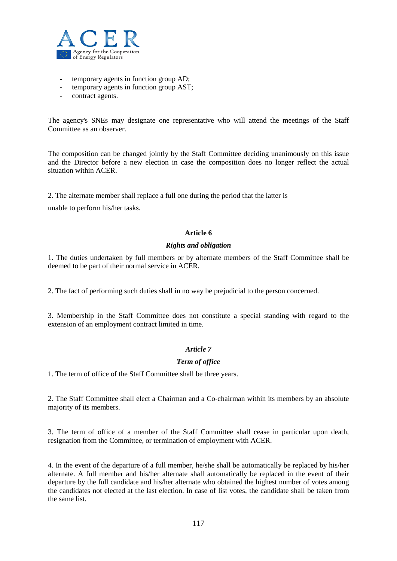

- temporary agents in function group AD;
- temporary agents in function group AST;
- contract agents.

The agency's SNEs may designate one representative who will attend the meetings of the Staff Committee as an observer.

The composition can be changed jointly by the Staff Committee deciding unanimously on this issue and the Director before a new election in case the composition does no longer reflect the actual situation within ACER.

2. The alternate member shall replace a full one during the period that the latter is

unable to perform his/her tasks.

#### **Article 6**

#### *Rights and obligation*

1. The duties undertaken by full members or by alternate members of the Staff Committee shall be deemed to be part of their normal service in ACER.

2. The fact of performing such duties shall in no way be prejudicial to the person concerned.

3. Membership in the Staff Committee does not constitute a special standing with regard to the extension of an employment contract limited in time.

# *Article 7*

# *Term of office*

1. The term of office of the Staff Committee shall be three years.

2. The Staff Committee shall elect a Chairman and a Co-chairman within its members by an absolute majority of its members.

3. The term of office of a member of the Staff Committee shall cease in particular upon death, resignation from the Committee, or termination of employment with ACER.

4. In the event of the departure of a full member, he/she shall be automatically be replaced by his/her alternate. A full member and his/her alternate shall automatically be replaced in the event of their departure by the full candidate and his/her alternate who obtained the highest number of votes among the candidates not elected at the last election. In case of list votes, the candidate shall be taken from the same list.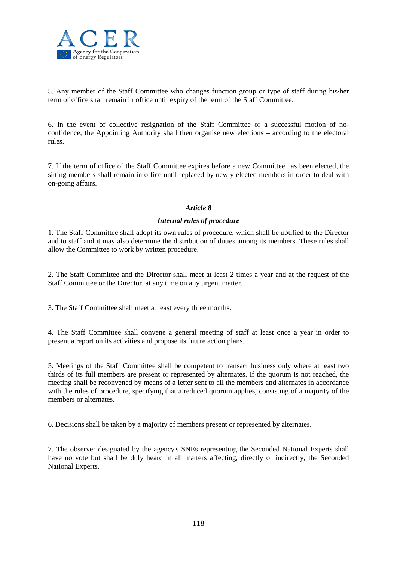

5. Any member of the Staff Committee who changes function group or type of staff during his/her term of office shall remain in office until expiry of the term of the Staff Committee.

6. In the event of collective resignation of the Staff Committee or a successful motion of noconfidence, the Appointing Authority shall then organise new elections – according to the electoral rules.

7. If the term of office of the Staff Committee expires before a new Committee has been elected, the sitting members shall remain in office until replaced by newly elected members in order to deal with on-going affairs.

# *Article 8*

# *Internal rules of procedure*

1. The Staff Committee shall adopt its own rules of procedure, which shall be notified to the Director and to staff and it may also determine the distribution of duties among its members. These rules shall allow the Committee to work by written procedure.

2. The Staff Committee and the Director shall meet at least 2 times a year and at the request of the Staff Committee or the Director, at any time on any urgent matter.

3. The Staff Committee shall meet at least every three months.

4. The Staff Committee shall convene a general meeting of staff at least once a year in order to present a report on its activities and propose its future action plans.

5. Meetings of the Staff Committee shall be competent to transact business only where at least two thirds of its full members are present or represented by alternates. If the quorum is not reached, the meeting shall be reconvened by means of a letter sent to all the members and alternates in accordance with the rules of procedure, specifying that a reduced quorum applies, consisting of a majority of the members or alternates.

6. Decisions shall be taken by a majority of members present or represented by alternates.

7. The observer designated by the agency's SNEs representing the Seconded National Experts shall have no vote but shall be duly heard in all matters affecting, directly or indirectly, the Seconded National Experts.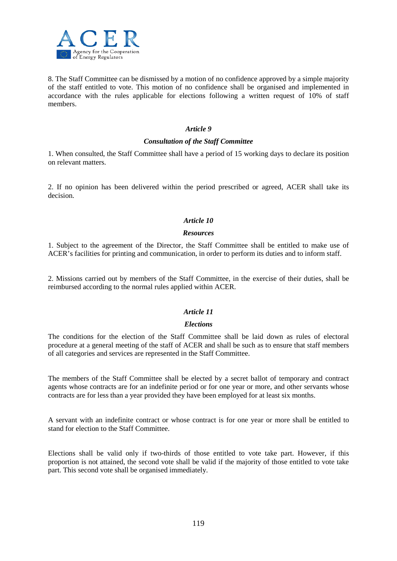

8. The Staff Committee can be dismissed by a motion of no confidence approved by a simple majority of the staff entitled to vote. This motion of no confidence shall be organised and implemented in accordance with the rules applicable for elections following a written request of 10% of staff members.

### *Article 9*

### *Consultation of the Staff Committee*

1. When consulted, the Staff Committee shall have a period of 15 working days to declare its position on relevant matters.

2. If no opinion has been delivered within the period prescribed or agreed, ACER shall take its decision.

# *Article 10*

#### *Resources*

1. Subject to the agreement of the Director, the Staff Committee shall be entitled to make use of ACER's facilities for printing and communication, in order to perform its duties and to inform staff.

2. Missions carried out by members of the Staff Committee, in the exercise of their duties, shall be reimbursed according to the normal rules applied within ACER.

# *Article 11*

#### *Elections*

The conditions for the election of the Staff Committee shall be laid down as rules of electoral procedure at a general meeting of the staff of ACER and shall be such as to ensure that staff members of all categories and services are represented in the Staff Committee.

The members of the Staff Committee shall be elected by a secret ballot of temporary and contract agents whose contracts are for an indefinite period or for one year or more, and other servants whose contracts are for less than a year provided they have been employed for at least six months.

A servant with an indefinite contract or whose contract is for one year or more shall be entitled to stand for election to the Staff Committee.

Elections shall be valid only if two-thirds of those entitled to vote take part. However, if this proportion is not attained, the second vote shall be valid if the majority of those entitled to vote take part. This second vote shall be organised immediately.